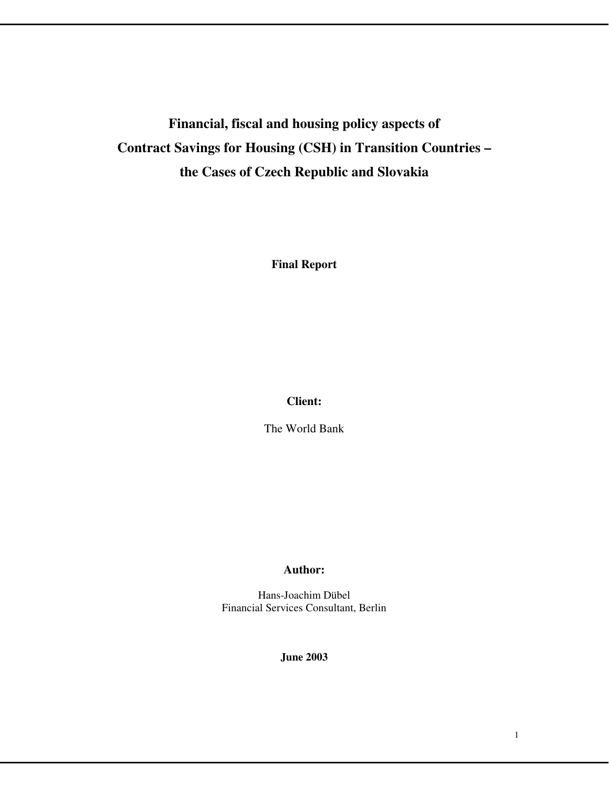# **Financial, fiscal and housing policy aspects of Contract Savings for Housing (CSH) in Transition Countries – the Cases of Czech Republic and Slovakia**

**Final Report** 

# **Client:**

The World Bank

# **Author:**

Hans-Joachim Dübel Financial Services Consultant, Berlin

**June 2003**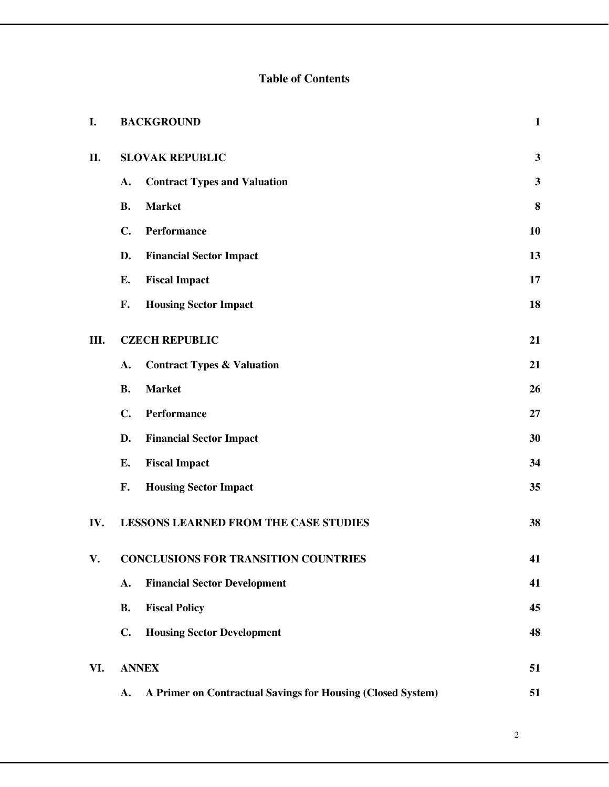# **Table of Contents**

| I.  |           | <b>BACKGROUND</b>                                           | $\mathbf{1}$ |
|-----|-----------|-------------------------------------------------------------|--------------|
| II. |           | <b>SLOVAK REPUBLIC</b>                                      | $\mathbf{3}$ |
|     | A.        | <b>Contract Types and Valuation</b>                         | $\mathbf{3}$ |
|     | <b>B.</b> | <b>Market</b>                                               | 8            |
|     | C.        | Performance                                                 | 10           |
|     | D.        | <b>Financial Sector Impact</b>                              | 13           |
|     | E.        | <b>Fiscal Impact</b>                                        | 17           |
|     | F.        | <b>Housing Sector Impact</b>                                | 18           |
| Ш.  |           | <b>CZECH REPUBLIC</b>                                       | 21           |
|     | A.        | <b>Contract Types &amp; Valuation</b>                       | 21           |
|     | <b>B.</b> | <b>Market</b>                                               | 26           |
|     | C.        | Performance                                                 | 27           |
|     | D.        | <b>Financial Sector Impact</b>                              | 30           |
|     | E.        | <b>Fiscal Impact</b>                                        | 34           |
|     | F.        | <b>Housing Sector Impact</b>                                | 35           |
| IV. |           | <b>LESSONS LEARNED FROM THE CASE STUDIES</b>                | 38           |
| V.  |           | <b>CONCLUSIONS FOR TRANSITION COUNTRIES</b>                 | 41           |
|     | A.        | <b>Financial Sector Development</b>                         | 41           |
|     | <b>B.</b> | <b>Fiscal Policy</b>                                        | 45           |
|     | C.        | <b>Housing Sector Development</b>                           | 48           |
| VI. |           | <b>ANNEX</b>                                                | 51           |
|     | A.        | A Primer on Contractual Savings for Housing (Closed System) | 51           |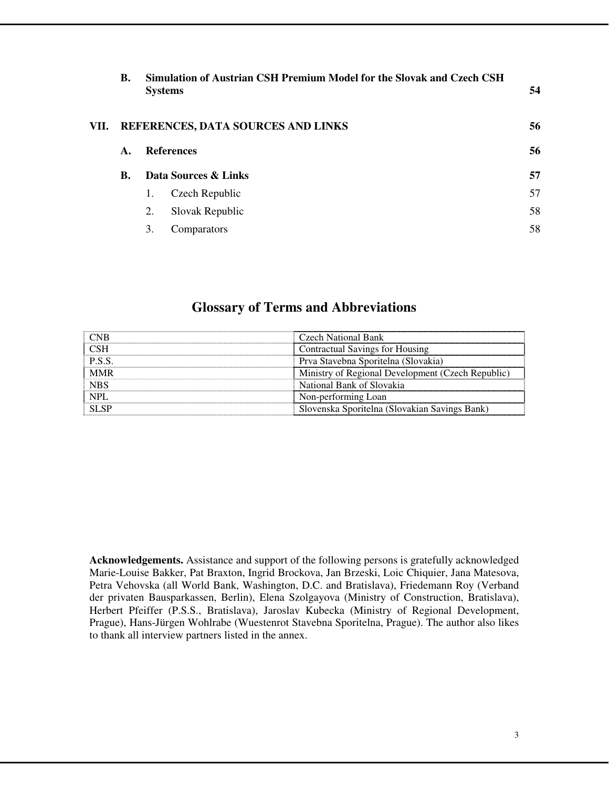|      | <b>B.</b>                          |    | Simulation of Austrian CSH Premium Model for the Slovak and Czech CSH<br><b>Systems</b> | 54 |  |  |  |  |  |
|------|------------------------------------|----|-----------------------------------------------------------------------------------------|----|--|--|--|--|--|
| VII. | REFERENCES, DATA SOURCES AND LINKS |    |                                                                                         |    |  |  |  |  |  |
|      | $\mathbf{A}$ .                     |    | <b>References</b>                                                                       | 56 |  |  |  |  |  |
|      | <b>B.</b>                          |    | Data Sources & Links                                                                    | 57 |  |  |  |  |  |
|      |                                    | 1. | Czech Republic                                                                          | 57 |  |  |  |  |  |
|      |                                    | 2. | Slovak Republic                                                                         | 58 |  |  |  |  |  |
|      |                                    | 3. | Comparators                                                                             | 58 |  |  |  |  |  |

# **Glossary of Terms and Abbreviations**

|        | Czech National Bank                               |
|--------|---------------------------------------------------|
| – CSH  | Contractual Savings for Housing                   |
| P.S.S. | Prva Stavebna Sporitelna (Slovakia)               |
| † MMR  | Ministry of Regional Development (Czech Republic) |
| NBS    | National Bank of Slovakia                         |
| NPI    | Non-performing Loan                               |
|        | Slovenska Sporitelna (Slovakian Savings Bank)     |

**Acknowledgements.** Assistance and support of the following persons is gratefully acknowledged Marie-Louise Bakker, Pat Braxton, Ingrid Brockova, Jan Brzeski, Loic Chiquier, Jana Matesova, Petra Vehovska (all World Bank, Washington, D.C. and Bratislava), Friedemann Roy (Verband der privaten Bausparkassen, Berlin), Elena Szolgayova (Ministry of Construction, Bratislava), Herbert Pfeiffer (P.S.S., Bratislava), Jaroslav Kubecka (Ministry of Regional Development, Prague), Hans-Jürgen Wohlrabe (Wuestenrot Stavebna Sporitelna, Prague). The author also likes to thank all interview partners listed in the annex.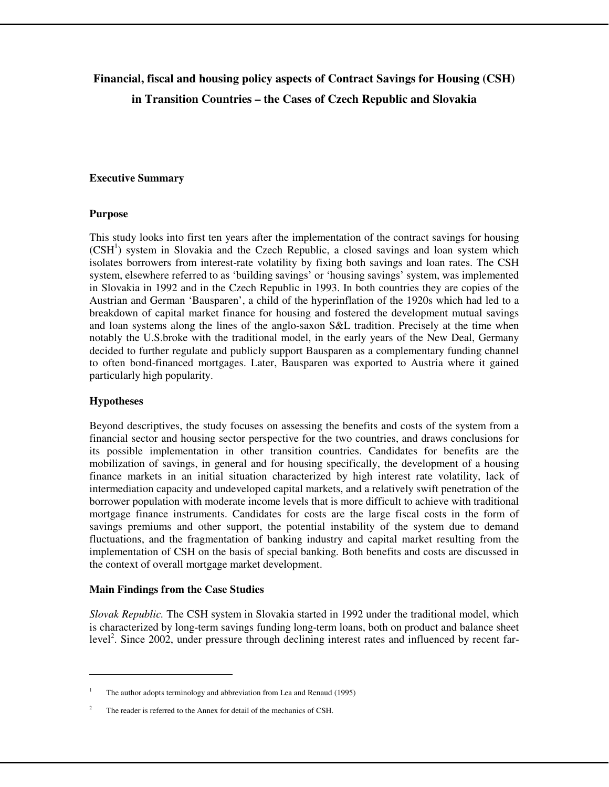# **Financial, fiscal and housing policy aspects of Contract Savings for Housing (CSH) in Transition Countries – the Cases of Czech Republic and Slovakia**

#### **Executive Summary**

#### **Purpose**

This study looks into first ten years after the implementation of the contract savings for housing (CSH<sup>1</sup>) system in Slovakia and the Czech Republic, a closed savings and loan system which isolates borrowers from interest-rate volatility by fixing both savings and loan rates. The CSH system, elsewhere referred to as 'building savings' or 'housing savings' system, was implemented in Slovakia in 1992 and in the Czech Republic in 1993. In both countries they are copies of the Austrian and German 'Bausparen', a child of the hyperinflation of the 1920s which had led to a breakdown of capital market finance for housing and fostered the development mutual savings and loan systems along the lines of the anglo-saxon S&L tradition. Precisely at the time when notably the U.S.broke with the traditional model, in the early years of the New Deal, Germany decided to further regulate and publicly support Bausparen as a complementary funding channel to often bond-financed mortgages. Later, Bausparen was exported to Austria where it gained particularly high popularity.

#### **Hypotheses**

 $\overline{a}$ 

Beyond descriptives, the study focuses on assessing the benefits and costs of the system from a financial sector and housing sector perspective for the two countries, and draws conclusions for its possible implementation in other transition countries. Candidates for benefits are the mobilization of savings, in general and for housing specifically, the development of a housing finance markets in an initial situation characterized by high interest rate volatility, lack of intermediation capacity and undeveloped capital markets, and a relatively swift penetration of the borrower population with moderate income levels that is more difficult to achieve with traditional mortgage finance instruments. Candidates for costs are the large fiscal costs in the form of savings premiums and other support, the potential instability of the system due to demand fluctuations, and the fragmentation of banking industry and capital market resulting from the implementation of CSH on the basis of special banking. Both benefits and costs are discussed in the context of overall mortgage market development.

#### **Main Findings from the Case Studies**

*Slovak Republic.* The CSH system in Slovakia started in 1992 under the traditional model, which is characterized by long-term savings funding long-term loans, both on product and balance sheet level<sup>2</sup>. Since 2002, under pressure through declining interest rates and influenced by recent far-

<sup>1</sup> The author adopts terminology and abbreviation from Lea and Renaud (1995)

<sup>2</sup> The reader is referred to the Annex for detail of the mechanics of CSH.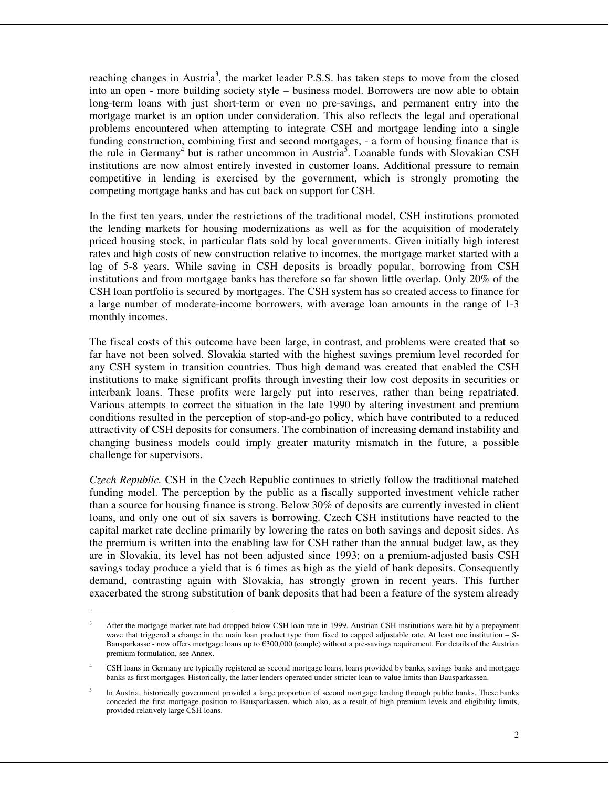reaching changes in Austria<sup>3</sup>, the market leader P.S.S. has taken steps to move from the closed into an open - more building society style – business model. Borrowers are now able to obtain long-term loans with just short-term or even no pre-savings, and permanent entry into the mortgage market is an option under consideration. This also reflects the legal and operational problems encountered when attempting to integrate CSH and mortgage lending into a single funding construction, combining first and second mortgages, - a form of housing finance that is the rule in Germany<sup>4</sup> but is rather uncommon in Austria<sup>5</sup>. Loanable funds with Slovakian CSH institutions are now almost entirely invested in customer loans. Additional pressure to remain competitive in lending is exercised by the government, which is strongly promoting the competing mortgage banks and has cut back on support for CSH.

In the first ten years, under the restrictions of the traditional model, CSH institutions promoted the lending markets for housing modernizations as well as for the acquisition of moderately priced housing stock, in particular flats sold by local governments. Given initially high interest rates and high costs of new construction relative to incomes, the mortgage market started with a lag of 5-8 years. While saving in CSH deposits is broadly popular, borrowing from CSH institutions and from mortgage banks has therefore so far shown little overlap. Only 20% of the CSH loan portfolio is secured by mortgages. The CSH system has so created access to finance for a large number of moderate-income borrowers, with average loan amounts in the range of 1-3 monthly incomes.

The fiscal costs of this outcome have been large, in contrast, and problems were created that so far have not been solved. Slovakia started with the highest savings premium level recorded for any CSH system in transition countries. Thus high demand was created that enabled the CSH institutions to make significant profits through investing their low cost deposits in securities or interbank loans. These profits were largely put into reserves, rather than being repatriated. Various attempts to correct the situation in the late 1990 by altering investment and premium conditions resulted in the perception of stop-and-go policy, which have contributed to a reduced attractivity of CSH deposits for consumers. The combination of increasing demand instability and changing business models could imply greater maturity mismatch in the future, a possible challenge for supervisors.

*Czech Republic.* CSH in the Czech Republic continues to strictly follow the traditional matched funding model. The perception by the public as a fiscally supported investment vehicle rather than a source for housing finance is strong. Below 30% of deposits are currently invested in client loans, and only one out of six savers is borrowing. Czech CSH institutions have reacted to the capital market rate decline primarily by lowering the rates on both savings and deposit sides. As the premium is written into the enabling law for CSH rather than the annual budget law, as they are in Slovakia, its level has not been adjusted since 1993; on a premium-adjusted basis CSH savings today produce a yield that is 6 times as high as the yield of bank deposits. Consequently demand, contrasting again with Slovakia, has strongly grown in recent years. This further exacerbated the strong substitution of bank deposits that had been a feature of the system already

 $\overline{a}$ 

<sup>3</sup> After the mortgage market rate had dropped below CSH loan rate in 1999, Austrian CSH institutions were hit by a prepayment wave that triggered a change in the main loan product type from fixed to capped adjustable rate. At least one institution – S-Bausparkasse - now offers mortgage loans up to €300,000 (couple) without a pre-savings requirement. For details of the Austrian premium formulation, see Annex.

<sup>4</sup> CSH loans in Germany are typically registered as second mortgage loans, loans provided by banks, savings banks and mortgage banks as first mortgages. Historically, the latter lenders operated under stricter loan-to-value limits than Bausparkassen.

<sup>5</sup> In Austria, historically government provided a large proportion of second mortgage lending through public banks. These banks conceded the first mortgage position to Bausparkassen, which also, as a result of high premium levels and eligibility limits, provided relatively large CSH loans.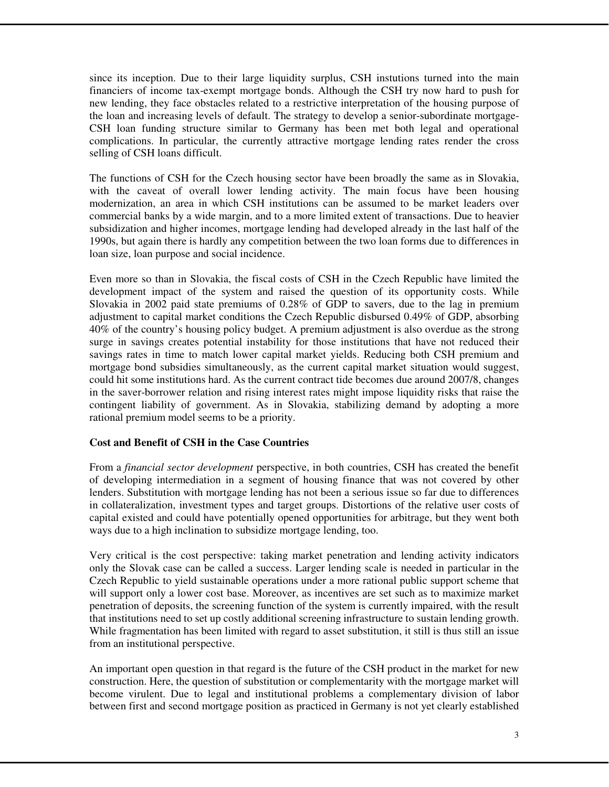since its inception. Due to their large liquidity surplus, CSH instutions turned into the main financiers of income tax-exempt mortgage bonds. Although the CSH try now hard to push for new lending, they face obstacles related to a restrictive interpretation of the housing purpose of the loan and increasing levels of default. The strategy to develop a senior-subordinate mortgage-CSH loan funding structure similar to Germany has been met both legal and operational complications. In particular, the currently attractive mortgage lending rates render the cross selling of CSH loans difficult.

The functions of CSH for the Czech housing sector have been broadly the same as in Slovakia, with the caveat of overall lower lending activity. The main focus have been housing modernization, an area in which CSH institutions can be assumed to be market leaders over commercial banks by a wide margin, and to a more limited extent of transactions. Due to heavier subsidization and higher incomes, mortgage lending had developed already in the last half of the 1990s, but again there is hardly any competition between the two loan forms due to differences in loan size, loan purpose and social incidence.

Even more so than in Slovakia, the fiscal costs of CSH in the Czech Republic have limited the development impact of the system and raised the question of its opportunity costs. While Slovakia in 2002 paid state premiums of 0.28% of GDP to savers, due to the lag in premium adjustment to capital market conditions the Czech Republic disbursed 0.49% of GDP, absorbing 40% of the country's housing policy budget. A premium adjustment is also overdue as the strong surge in savings creates potential instability for those institutions that have not reduced their savings rates in time to match lower capital market yields. Reducing both CSH premium and mortgage bond subsidies simultaneously, as the current capital market situation would suggest, could hit some institutions hard. As the current contract tide becomes due around 2007/8, changes in the saver-borrower relation and rising interest rates might impose liquidity risks that raise the contingent liability of government. As in Slovakia, stabilizing demand by adopting a more rational premium model seems to be a priority.

# **Cost and Benefit of CSH in the Case Countries**

From a *financial sector development* perspective, in both countries, CSH has created the benefit of developing intermediation in a segment of housing finance that was not covered by other lenders. Substitution with mortgage lending has not been a serious issue so far due to differences in collateralization, investment types and target groups. Distortions of the relative user costs of capital existed and could have potentially opened opportunities for arbitrage, but they went both ways due to a high inclination to subsidize mortgage lending, too.

Very critical is the cost perspective: taking market penetration and lending activity indicators only the Slovak case can be called a success. Larger lending scale is needed in particular in the Czech Republic to yield sustainable operations under a more rational public support scheme that will support only a lower cost base. Moreover, as incentives are set such as to maximize market penetration of deposits, the screening function of the system is currently impaired, with the result that institutions need to set up costly additional screening infrastructure to sustain lending growth. While fragmentation has been limited with regard to asset substitution, it still is thus still an issue from an institutional perspective.

An important open question in that regard is the future of the CSH product in the market for new construction. Here, the question of substitution or complementarity with the mortgage market will become virulent. Due to legal and institutional problems a complementary division of labor between first and second mortgage position as practiced in Germany is not yet clearly established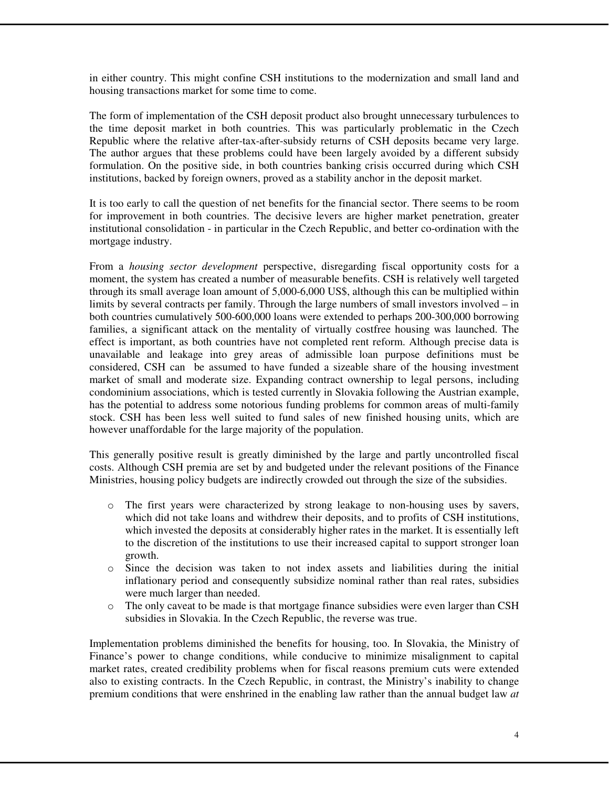in either country. This might confine CSH institutions to the modernization and small land and housing transactions market for some time to come.

The form of implementation of the CSH deposit product also brought unnecessary turbulences to the time deposit market in both countries. This was particularly problematic in the Czech Republic where the relative after-tax-after-subsidy returns of CSH deposits became very large. The author argues that these problems could have been largely avoided by a different subsidy formulation. On the positive side, in both countries banking crisis occurred during which CSH institutions, backed by foreign owners, proved as a stability anchor in the deposit market.

It is too early to call the question of net benefits for the financial sector. There seems to be room for improvement in both countries. The decisive levers are higher market penetration, greater institutional consolidation - in particular in the Czech Republic, and better co-ordination with the mortgage industry.

From a *housing sector development* perspective, disregarding fiscal opportunity costs for a moment, the system has created a number of measurable benefits. CSH is relatively well targeted through its small average loan amount of 5,000-6,000 US\$, although this can be multiplied within limits by several contracts per family. Through the large numbers of small investors involved – in both countries cumulatively 500-600,000 loans were extended to perhaps 200-300,000 borrowing families, a significant attack on the mentality of virtually costfree housing was launched. The effect is important, as both countries have not completed rent reform. Although precise data is unavailable and leakage into grey areas of admissible loan purpose definitions must be considered, CSH can be assumed to have funded a sizeable share of the housing investment market of small and moderate size. Expanding contract ownership to legal persons, including condominium associations, which is tested currently in Slovakia following the Austrian example, has the potential to address some notorious funding problems for common areas of multi-family stock. CSH has been less well suited to fund sales of new finished housing units, which are however unaffordable for the large majority of the population.

This generally positive result is greatly diminished by the large and partly uncontrolled fiscal costs. Although CSH premia are set by and budgeted under the relevant positions of the Finance Ministries, housing policy budgets are indirectly crowded out through the size of the subsidies.

- o The first years were characterized by strong leakage to non-housing uses by savers, which did not take loans and withdrew their deposits, and to profits of CSH institutions, which invested the deposits at considerably higher rates in the market. It is essentially left to the discretion of the institutions to use their increased capital to support stronger loan growth.
- o Since the decision was taken to not index assets and liabilities during the initial inflationary period and consequently subsidize nominal rather than real rates, subsidies were much larger than needed.
- o The only caveat to be made is that mortgage finance subsidies were even larger than CSH subsidies in Slovakia. In the Czech Republic, the reverse was true.

Implementation problems diminished the benefits for housing, too. In Slovakia, the Ministry of Finance's power to change conditions, while conducive to minimize misalignment to capital market rates, created credibility problems when for fiscal reasons premium cuts were extended also to existing contracts. In the Czech Republic, in contrast, the Ministry's inability to change premium conditions that were enshrined in the enabling law rather than the annual budget law *at*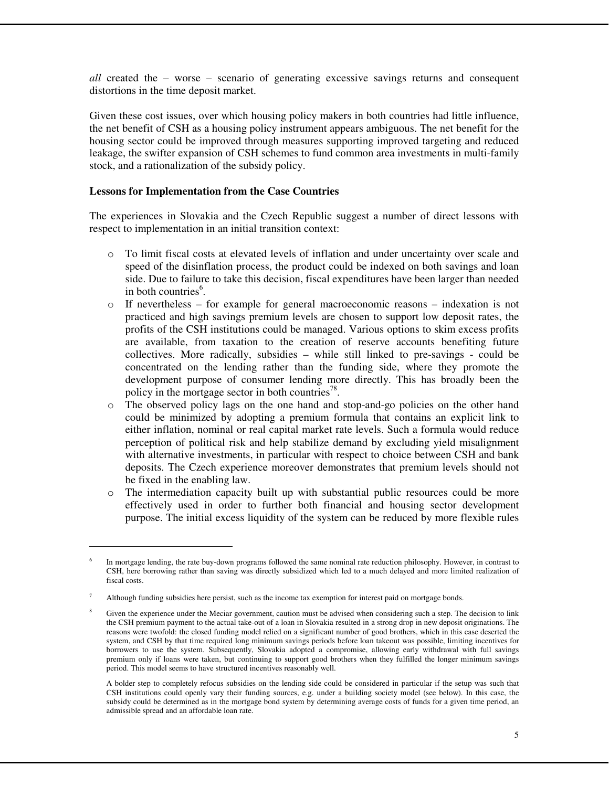*all* created the – worse – scenario of generating excessive savings returns and consequent distortions in the time deposit market.

Given these cost issues, over which housing policy makers in both countries had little influence, the net benefit of CSH as a housing policy instrument appears ambiguous. The net benefit for the housing sector could be improved through measures supporting improved targeting and reduced leakage, the swifter expansion of CSH schemes to fund common area investments in multi-family stock, and a rationalization of the subsidy policy.

#### **Lessons for Implementation from the Case Countries**

 $\overline{a}$ 

The experiences in Slovakia and the Czech Republic suggest a number of direct lessons with respect to implementation in an initial transition context:

- o To limit fiscal costs at elevated levels of inflation and under uncertainty over scale and speed of the disinflation process, the product could be indexed on both savings and loan side. Due to failure to take this decision, fiscal expenditures have been larger than needed in both countries<sup>6</sup>.
- $\circ$  If nevertheless for example for general macroeconomic reasons indexation is not practiced and high savings premium levels are chosen to support low deposit rates, the profits of the CSH institutions could be managed. Various options to skim excess profits are available, from taxation to the creation of reserve accounts benefiting future collectives. More radically, subsidies – while still linked to pre-savings - could be concentrated on the lending rather than the funding side, where they promote the development purpose of consumer lending more directly. This has broadly been the policy in the mortgage sector in both countries<sup>78</sup>.
- o The observed policy lags on the one hand and stop-and-go policies on the other hand could be minimized by adopting a premium formula that contains an explicit link to either inflation, nominal or real capital market rate levels. Such a formula would reduce perception of political risk and help stabilize demand by excluding yield misalignment with alternative investments, in particular with respect to choice between CSH and bank deposits. The Czech experience moreover demonstrates that premium levels should not be fixed in the enabling law.
- o The intermediation capacity built up with substantial public resources could be more effectively used in order to further both financial and housing sector development purpose. The initial excess liquidity of the system can be reduced by more flexible rules

<sup>6</sup> In mortgage lending, the rate buy-down programs followed the same nominal rate reduction philosophy. However, in contrast to CSH, here borrowing rather than saving was directly subsidized which led to a much delayed and more limited realization of fiscal costs.

<sup>7</sup> Although funding subsidies here persist, such as the income tax exemption for interest paid on mortgage bonds.

Given the experience under the Meciar government, caution must be advised when considering such a step. The decision to link the CSH premium payment to the actual take-out of a loan in Slovakia resulted in a strong drop in new deposit originations. The reasons were twofold: the closed funding model relied on a significant number of good brothers, which in this case deserted the system, and CSH by that time required long minimum savings periods before loan takeout was possible, limiting incentives for borrowers to use the system. Subsequently, Slovakia adopted a compromise, allowing early withdrawal with full savings premium only if loans were taken, but continuing to support good brothers when they fulfilled the longer minimum savings period. This model seems to have structured incentives reasonably well.

A bolder step to completely refocus subsidies on the lending side could be considered in particular if the setup was such that CSH institutions could openly vary their funding sources, e.g. under a building society model (see below). In this case, the subsidy could be determined as in the mortgage bond system by determining average costs of funds for a given time period, an admissible spread and an affordable loan rate.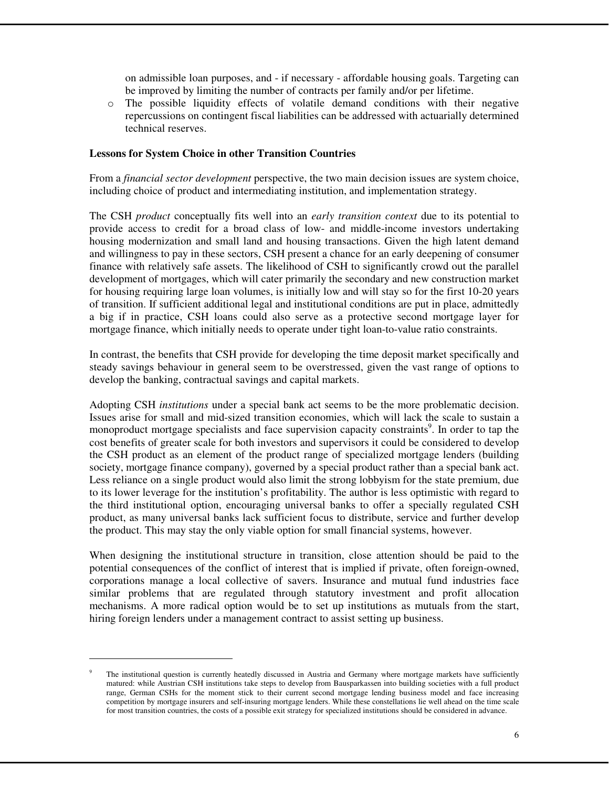on admissible loan purposes, and - if necessary - affordable housing goals. Targeting can be improved by limiting the number of contracts per family and/or per lifetime.

o The possible liquidity effects of volatile demand conditions with their negative repercussions on contingent fiscal liabilities can be addressed with actuarially determined technical reserves.

#### **Lessons for System Choice in other Transition Countries**

From a *financial sector development* perspective, the two main decision issues are system choice, including choice of product and intermediating institution, and implementation strategy.

The CSH *product* conceptually fits well into an *early transition context* due to its potential to provide access to credit for a broad class of low- and middle-income investors undertaking housing modernization and small land and housing transactions. Given the high latent demand and willingness to pay in these sectors, CSH present a chance for an early deepening of consumer finance with relatively safe assets. The likelihood of CSH to significantly crowd out the parallel development of mortgages, which will cater primarily the secondary and new construction market for housing requiring large loan volumes, is initially low and will stay so for the first 10-20 years of transition. If sufficient additional legal and institutional conditions are put in place, admittedly a big if in practice, CSH loans could also serve as a protective second mortgage layer for mortgage finance, which initially needs to operate under tight loan-to-value ratio constraints.

In contrast, the benefits that CSH provide for developing the time deposit market specifically and steady savings behaviour in general seem to be overstressed, given the vast range of options to develop the banking, contractual savings and capital markets.

Adopting CSH *institutions* under a special bank act seems to be the more problematic decision. Issues arise for small and mid-sized transition economies, which will lack the scale to sustain a monoproduct mortgage specialists and face supervision capacity constraints<sup>9</sup>. In order to tap the cost benefits of greater scale for both investors and supervisors it could be considered to develop the CSH product as an element of the product range of specialized mortgage lenders (building society, mortgage finance company), governed by a special product rather than a special bank act. Less reliance on a single product would also limit the strong lobbyism for the state premium, due to its lower leverage for the institution's profitability. The author is less optimistic with regard to the third institutional option, encouraging universal banks to offer a specially regulated CSH product, as many universal banks lack sufficient focus to distribute, service and further develop the product. This may stay the only viable option for small financial systems, however.

When designing the institutional structure in transition, close attention should be paid to the potential consequences of the conflict of interest that is implied if private, often foreign-owned, corporations manage a local collective of savers. Insurance and mutual fund industries face similar problems that are regulated through statutory investment and profit allocation mechanisms. A more radical option would be to set up institutions as mutuals from the start, hiring foreign lenders under a management contract to assist setting up business.

 $\overline{a}$ 

<sup>9</sup> The institutional question is currently heatedly discussed in Austria and Germany where mortgage markets have sufficiently matured: while Austrian CSH institutions take steps to develop from Bausparkassen into building societies with a full product range, German CSHs for the moment stick to their current second mortgage lending business model and face increasing competition by mortgage insurers and self-insuring mortgage lenders. While these constellations lie well ahead on the time scale for most transition countries, the costs of a possible exit strategy for specialized institutions should be considered in advance.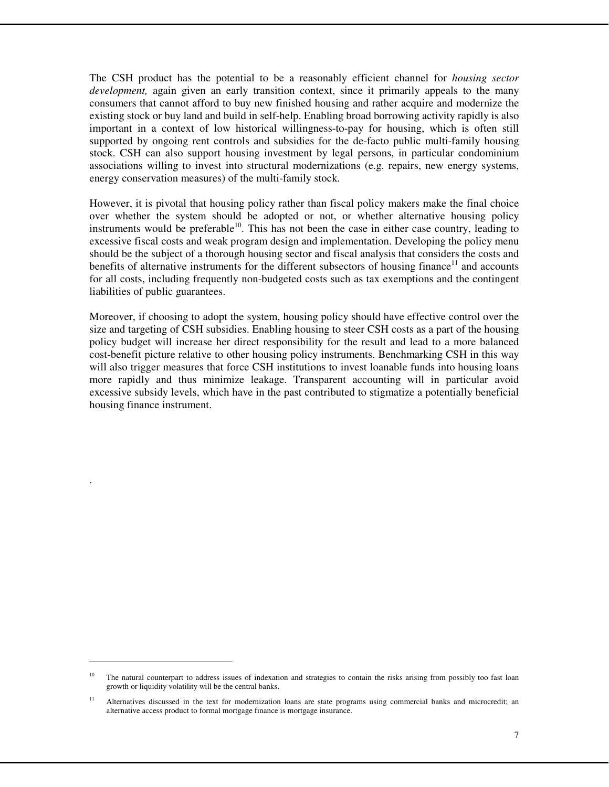The CSH product has the potential to be a reasonably efficient channel for *housing sector development,* again given an early transition context, since it primarily appeals to the many consumers that cannot afford to buy new finished housing and rather acquire and modernize the existing stock or buy land and build in self-help. Enabling broad borrowing activity rapidly is also important in a context of low historical willingness-to-pay for housing, which is often still supported by ongoing rent controls and subsidies for the de-facto public multi-family housing stock. CSH can also support housing investment by legal persons, in particular condominium associations willing to invest into structural modernizations (e.g. repairs, new energy systems, energy conservation measures) of the multi-family stock.

However, it is pivotal that housing policy rather than fiscal policy makers make the final choice over whether the system should be adopted or not, or whether alternative housing policy instruments would be preferable<sup>10</sup>. This has not been the case in either case country, leading to excessive fiscal costs and weak program design and implementation. Developing the policy menu should be the subject of a thorough housing sector and fiscal analysis that considers the costs and benefits of alternative instruments for the different subsectors of housing finance<sup>11</sup> and accounts for all costs, including frequently non-budgeted costs such as tax exemptions and the contingent liabilities of public guarantees.

Moreover, if choosing to adopt the system, housing policy should have effective control over the size and targeting of CSH subsidies. Enabling housing to steer CSH costs as a part of the housing policy budget will increase her direct responsibility for the result and lead to a more balanced cost-benefit picture relative to other housing policy instruments. Benchmarking CSH in this way will also trigger measures that force CSH institutions to invest loanable funds into housing loans more rapidly and thus minimize leakage. Transparent accounting will in particular avoid excessive subsidy levels, which have in the past contributed to stigmatize a potentially beneficial housing finance instrument.

.

 $10$  The natural counterpart to address issues of indexation and strategies to contain the risks arising from possibly too fast loan growth or liquidity volatility will be the central banks.

<sup>&</sup>lt;sup>11</sup> Alternatives discussed in the text for modernization loans are state programs using commercial banks and microcredit; an alternative access product to formal mortgage finance is mortgage insurance.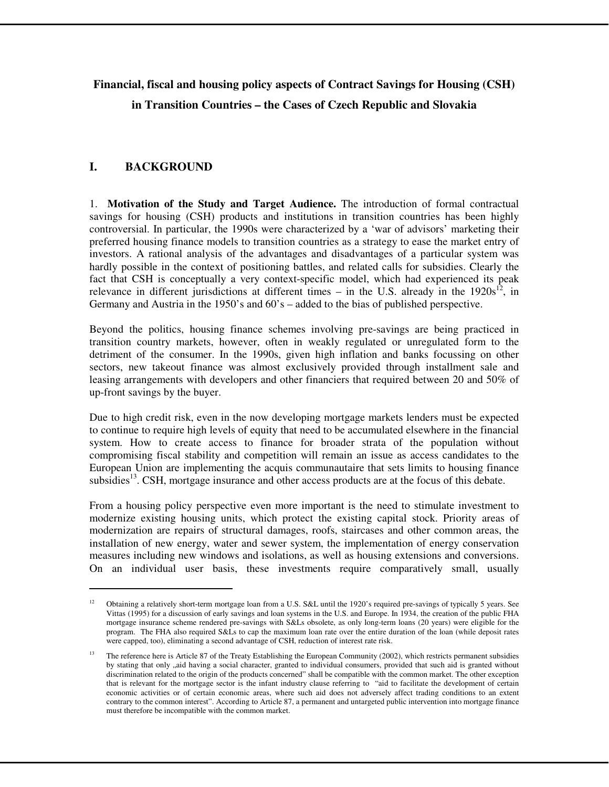# **Financial, fiscal and housing policy aspects of Contract Savings for Housing (CSH) in Transition Countries – the Cases of Czech Republic and Slovakia**

# **I. BACKGROUND**

l

1. **Motivation of the Study and Target Audience.** The introduction of formal contractual savings for housing (CSH) products and institutions in transition countries has been highly controversial. In particular, the 1990s were characterized by a 'war of advisors' marketing their preferred housing finance models to transition countries as a strategy to ease the market entry of investors. A rational analysis of the advantages and disadvantages of a particular system was hardly possible in the context of positioning battles, and related calls for subsidies. Clearly the fact that CSH is conceptually a very context-specific model, which had experienced its peak relevance in different jurisdictions at different times – in the U.S. already in the  $1920s^{12}$ , in Germany and Austria in the 1950's and 60's – added to the bias of published perspective.

Beyond the politics, housing finance schemes involving pre-savings are being practiced in transition country markets, however, often in weakly regulated or unregulated form to the detriment of the consumer. In the 1990s, given high inflation and banks focussing on other sectors, new takeout finance was almost exclusively provided through installment sale and leasing arrangements with developers and other financiers that required between 20 and 50% of up-front savings by the buyer.

Due to high credit risk, even in the now developing mortgage markets lenders must be expected to continue to require high levels of equity that need to be accumulated elsewhere in the financial system. How to create access to finance for broader strata of the population without compromising fiscal stability and competition will remain an issue as access candidates to the European Union are implementing the acquis communautaire that sets limits to housing finance subsidies<sup>13</sup>. CSH, mortgage insurance and other access products are at the focus of this debate.

From a housing policy perspective even more important is the need to stimulate investment to modernize existing housing units, which protect the existing capital stock. Priority areas of modernization are repairs of structural damages, roofs, staircases and other common areas, the installation of new energy, water and sewer system, the implementation of energy conservation measures including new windows and isolations, as well as housing extensions and conversions. On an individual user basis, these investments require comparatively small, usually

<sup>&</sup>lt;sup>12</sup> Obtaining a relatively short-term mortgage loan from a U.S. S&L until the 1920's required pre-savings of typically 5 years. See Vittas (1995) for a discussion of early savings and loan systems in the U.S. and Europe. In 1934, the creation of the public FHA mortgage insurance scheme rendered pre-savings with S&Ls obsolete, as only long-term loans (20 years) were eligible for the program. The FHA also required S&Ls to cap the maximum loan rate over the entire duration of the loan (while deposit rates were capped, too), eliminating a second advantage of CSH, reduction of interest rate risk.

<sup>&</sup>lt;sup>13</sup> The reference here is Article 87 of the Treaty Establishing the European Community (2002), which restricts permanent subsidies by stating that only "aid having a social character, granted to individual consumers, provided that such aid is granted without discrimination related to the origin of the products concerned" shall be compatible with the common market. The other exception that is relevant for the mortgage sector is the infant industry clause referring to "aid to facilitate the development of certain economic activities or of certain economic areas, where such aid does not adversely affect trading conditions to an extent contrary to the common interest". According to Article 87, a permanent and untargeted public intervention into mortgage finance must therefore be incompatible with the common market.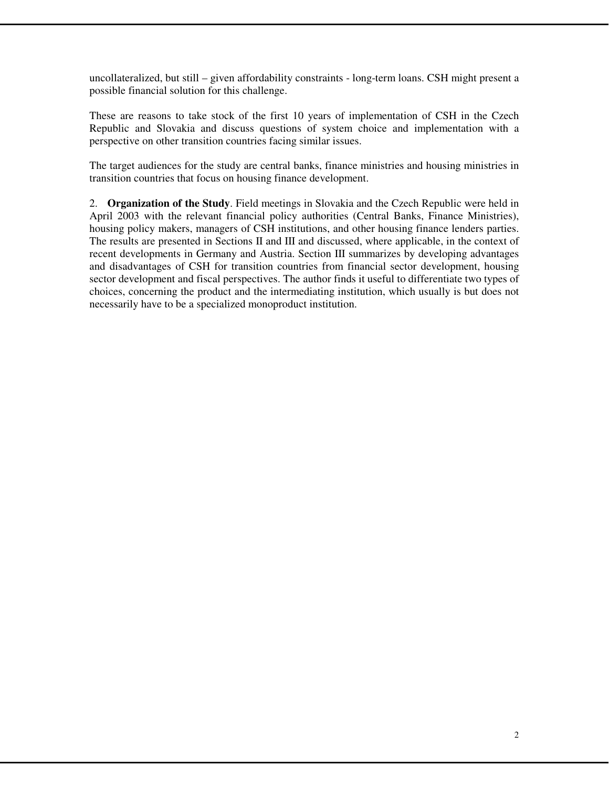uncollateralized, but still – given affordability constraints - long-term loans. CSH might present a possible financial solution for this challenge.

These are reasons to take stock of the first 10 years of implementation of CSH in the Czech Republic and Slovakia and discuss questions of system choice and implementation with a perspective on other transition countries facing similar issues.

The target audiences for the study are central banks, finance ministries and housing ministries in transition countries that focus on housing finance development.

2. **Organization of the Study**. Field meetings in Slovakia and the Czech Republic were held in April 2003 with the relevant financial policy authorities (Central Banks, Finance Ministries), housing policy makers, managers of CSH institutions, and other housing finance lenders parties. The results are presented in Sections II and III and discussed, where applicable, in the context of recent developments in Germany and Austria. Section III summarizes by developing advantages and disadvantages of CSH for transition countries from financial sector development, housing sector development and fiscal perspectives. The author finds it useful to differentiate two types of choices, concerning the product and the intermediating institution, which usually is but does not necessarily have to be a specialized monoproduct institution.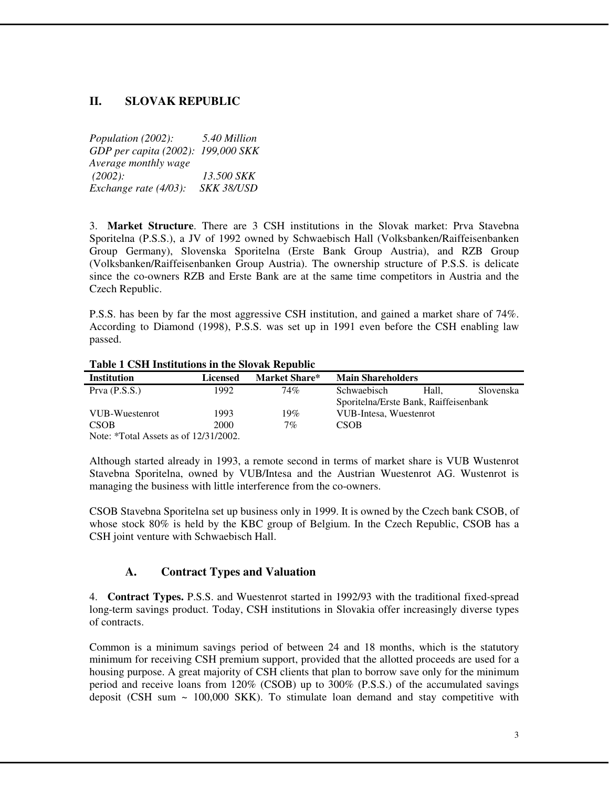# **II. SLOVAK REPUBLIC**

*Population (2002): 5.40 Million GDP per capita (2002): 199,000 SKK Average monthly wage (2002): 13.500 SKK Exchange rate (4/03): SKK 38/USD* 

3. **Market Structure**. There are 3 CSH institutions in the Slovak market: Prva Stavebna Sporitelna (P.S.S.), a JV of 1992 owned by Schwaebisch Hall (Volksbanken/Raiffeisenbanken Group Germany), Slovenska Sporitelna (Erste Bank Group Austria), and RZB Group (Volksbanken/Raiffeisenbanken Group Austria). The ownership structure of P.S.S. is delicate since the co-owners RZB and Erste Bank are at the same time competitors in Austria and the Czech Republic.

P.S.S. has been by far the most aggressive CSH institution, and gained a market share of 74%. According to Diamond (1998), P.S.S. was set up in 1991 even before the CSH enabling law passed.

| <b>Institution</b>                         | Licensed | <b>Market Share*</b> | <b>Main Shareholders</b>              |       |           |  |
|--------------------------------------------|----------|----------------------|---------------------------------------|-------|-----------|--|
| Prva $(P.S.S.)$                            | 1992     | 74%                  | Schwaebisch                           | Hall. | Slovenska |  |
|                                            |          |                      | Sporitelna/Erste Bank, Raiffeisenbank |       |           |  |
| VUB-Wuestenrot                             | 1993     | 19%                  | VUB-Intesa, Wuestenrot                |       |           |  |
| <b>CSOB</b>                                | 2000     | 7%                   | <b>CSOB</b>                           |       |           |  |
| Note: $*Total Assets$ as of $12/31/2002$ . |          |                      |                                       |       |           |  |

#### **Table 1 CSH Institutions in the Slovak Republic**

Although started already in 1993, a remote second in terms of market share is VUB Wustenrot Stavebna Sporitelna, owned by VUB/Intesa and the Austrian Wuestenrot AG. Wustenrot is managing the business with little interference from the co-owners.

CSOB Stavebna Sporitelna set up business only in 1999. It is owned by the Czech bank CSOB, of whose stock 80% is held by the KBC group of Belgium. In the Czech Republic, CSOB has a CSH joint venture with Schwaebisch Hall.

# **A. Contract Types and Valuation**

4. **Contract Types.** P.S.S. and Wuestenrot started in 1992/93 with the traditional fixed-spread long-term savings product. Today, CSH institutions in Slovakia offer increasingly diverse types of contracts.

Common is a minimum savings period of between 24 and 18 months, which is the statutory minimum for receiving CSH premium support, provided that the allotted proceeds are used for a housing purpose. A great majority of CSH clients that plan to borrow save only for the minimum period and receive loans from 120% (CSOB) up to 300% (P.S.S.) of the accumulated savings deposit (CSH sum  $\sim 100,000$  SKK). To stimulate loan demand and stay competitive with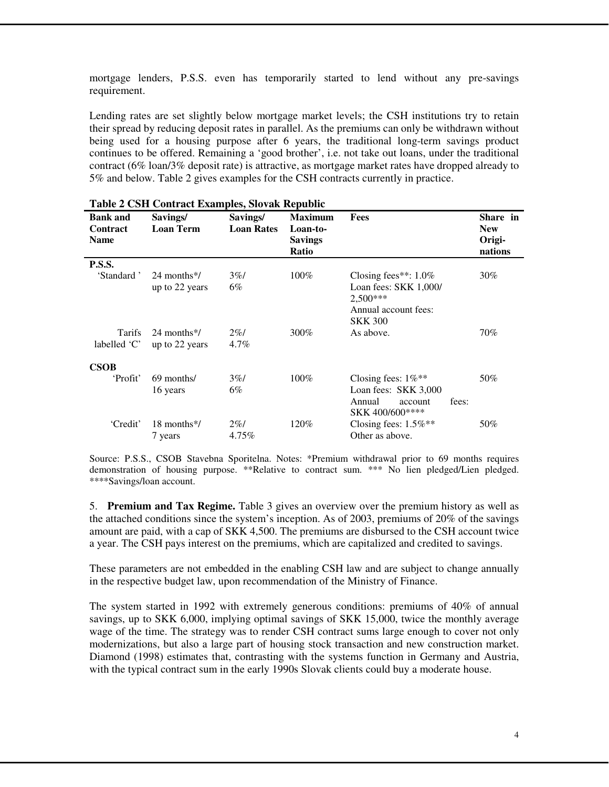mortgage lenders, P.S.S. even has temporarily started to lend without any pre-savings requirement.

Lending rates are set slightly below mortgage market levels; the CSH institutions try to retain their spread by reducing deposit rates in parallel. As the premiums can only be withdrawn without being used for a housing purpose after 6 years, the traditional long-term savings product continues to be offered. Remaining a 'good brother', i.e. not take out loans, under the traditional contract (6% loan/3% deposit rate) is attractive, as mortgage market rates have dropped already to 5% and below. Table 2 gives examples for the CSH contracts currently in practice.

| <b>Bank and</b><br>Contract<br><b>Name</b> | Savings/<br><b>Loan Term</b>               | Savings/<br><b>Loan Rates</b> | <b>Maximum</b><br>Loan-to-<br><b>Savings</b><br>Ratio | Fees                                                                                                       | Share in<br><b>New</b><br>Origi-<br>nations |
|--------------------------------------------|--------------------------------------------|-------------------------------|-------------------------------------------------------|------------------------------------------------------------------------------------------------------------|---------------------------------------------|
| <b>P.S.S.</b>                              |                                            |                               |                                                       |                                                                                                            |                                             |
| 'Standard'                                 | 24 months <sup>*</sup> /<br>up to 22 years | 3%<br>6%                      | 100%                                                  | Closing fees**: $1.0\%$<br>Loan fees: $SKK 1,000/$<br>$2,500***$<br>Annual account fees:<br><b>SKK 300</b> | $30\%$                                      |
| <b>Tarifs</b><br>labelled 'C'              | 24 months*/<br>up to 22 years              | $2\%$<br>4.7%                 | 300%                                                  | As above.                                                                                                  | 70%                                         |
| <b>CSOB</b>                                |                                            |                               |                                                       |                                                                                                            |                                             |
| 'Profit'                                   | 69 months/<br>16 years                     | 3%<br>6%                      | $100\%$                                               | Closing fees: $1\%$ <sup>**</sup><br>Loan fees: SKK 3,000<br>fees:<br>Annual<br>account<br>SKK 400/600**** | 50%                                         |
| 'Credit'                                   | 18 months*/<br>7 years                     | $2\%$<br>4.75%                | 120%                                                  | Closing fees: $1.5\%$ **<br>Other as above.                                                                | 50%                                         |

| Table 2 CSH Contract Examples, Slovak Republic |  |  |  |  |
|------------------------------------------------|--|--|--|--|
|------------------------------------------------|--|--|--|--|

Source: P.S.S., CSOB Stavebna Sporitelna. Notes: \*Premium withdrawal prior to 69 months requires demonstration of housing purpose. \*\*Relative to contract sum. \*\*\* No lien pledged/Lien pledged. \*\*\*\*Savings/loan account.

5. **Premium and Tax Regime.** Table 3 gives an overview over the premium history as well as the attached conditions since the system's inception. As of 2003, premiums of 20% of the savings amount are paid, with a cap of SKK 4,500. The premiums are disbursed to the CSH account twice a year. The CSH pays interest on the premiums, which are capitalized and credited to savings.

These parameters are not embedded in the enabling CSH law and are subject to change annually in the respective budget law, upon recommendation of the Ministry of Finance.

The system started in 1992 with extremely generous conditions: premiums of 40% of annual savings, up to SKK 6,000, implying optimal savings of SKK 15,000, twice the monthly average wage of the time. The strategy was to render CSH contract sums large enough to cover not only modernizations, but also a large part of housing stock transaction and new construction market. Diamond (1998) estimates that, contrasting with the systems function in Germany and Austria, with the typical contract sum in the early 1990s Slovak clients could buy a moderate house.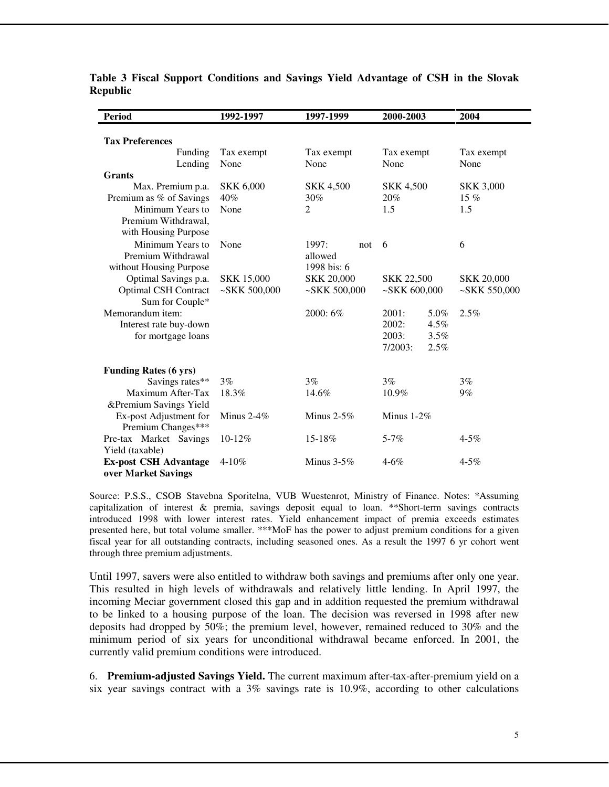| <b>Period</b>                    | 1992-1997<br>1997-1999 |                   | 2000-2003         | 2004              |  |
|----------------------------------|------------------------|-------------------|-------------------|-------------------|--|
|                                  |                        |                   |                   |                   |  |
| <b>Tax Preferences</b>           |                        |                   |                   |                   |  |
| Funding                          | Tax exempt             | Tax exempt        | Tax exempt        | Tax exempt        |  |
| Lending                          | None                   | None              | None              | None              |  |
| <b>Grants</b>                    |                        |                   |                   |                   |  |
| Max. Premium p.a.                | <b>SKK 6,000</b>       | <b>SKK 4,500</b>  | <b>SKK 4,500</b>  | <b>SKK 3,000</b>  |  |
| Premium as % of Savings          | 40%                    | 30%               | 20%               | 15 $%$            |  |
| Minimum Years to                 | None                   | $\overline{2}$    | 1.5               | 1.5               |  |
| Premium Withdrawal,              |                        |                   |                   |                   |  |
| with Housing Purpose             |                        |                   |                   |                   |  |
| Minimum Years to                 | None                   | 1997:<br>not      | 6                 | 6                 |  |
| Premium Withdrawal               |                        | allowed           |                   |                   |  |
| without Housing Purpose          |                        | 1998 bis: 6       |                   |                   |  |
| Optimal Savings p.a.             | <b>SKK 15,000</b>      | <b>SKK 20,000</b> | <b>SKK 22,500</b> | <b>SKK 20,000</b> |  |
| <b>Optimal CSH Contract</b>      | $-SKK 500,000$         | $-SKK 500,000$    | $-SKK 600,000$    | $-SKK 550,000$    |  |
| Sum for Couple*                  |                        |                   |                   |                   |  |
| Memorandum item:                 |                        | 2000: 6%          | 2001:<br>5.0%     | 2.5%              |  |
| Interest rate buy-down           |                        |                   | 2002:<br>4.5%     |                   |  |
| for mortgage loans               |                        |                   | 3.5%<br>2003:     |                   |  |
|                                  |                        |                   | 2.5%<br>7/2003:   |                   |  |
|                                  |                        |                   |                   |                   |  |
| <b>Funding Rates (6 yrs)</b>     |                        |                   |                   |                   |  |
| Savings rates**                  | 3%                     | 3%                | 3%                | 3%                |  |
| Maximum After-Tax                | 18.3%                  | 14.6%             | 10.9%             | $9\%$             |  |
| &Premium Savings Yield           |                        |                   |                   |                   |  |
| Ex-post Adjustment for           | Minus $2-4\%$          | Minus $2-5%$      | Minus $1-2\%$     |                   |  |
| Premium Changes***               |                        |                   |                   |                   |  |
| Pre-tax Market Savings<br>10-12% |                        | 15-18%            | $5 - 7%$          | $4 - 5\%$         |  |
| Yield (taxable)                  |                        |                   |                   |                   |  |
| <b>Ex-post CSH Advantage</b>     | $4 - 10\%$             | Minus $3-5\%$     | $4 - 6\%$         | $4 - 5\%$         |  |
| over Market Savings              |                        |                   |                   |                   |  |

**Table 3 Fiscal Support Conditions and Savings Yield Advantage of CSH in the Slovak Republic** 

Source: P.S.S., CSOB Stavebna Sporitelna, VUB Wuestenrot, Ministry of Finance. Notes: \*Assuming capitalization of interest  $\&$  premia, savings deposit equal to loan. \*\*Short-term savings contracts introduced 1998 with lower interest rates. Yield enhancement impact of premia exceeds estimates presented here, but total volume smaller. \*\*\*MoF has the power to adjust premium conditions for a given fiscal year for all outstanding contracts, including seasoned ones. As a result the 1997 6 yr cohort went through three premium adjustments.

Until 1997, savers were also entitled to withdraw both savings and premiums after only one year. This resulted in high levels of withdrawals and relatively little lending. In April 1997, the incoming Meciar government closed this gap and in addition requested the premium withdrawal to be linked to a housing purpose of the loan. The decision was reversed in 1998 after new deposits had dropped by 50%; the premium level, however, remained reduced to 30% and the minimum period of six years for unconditional withdrawal became enforced. In 2001, the currently valid premium conditions were introduced.

6. **Premium-adjusted Savings Yield.** The current maximum after-tax-after-premium yield on a six year savings contract with a 3% savings rate is 10.9%, according to other calculations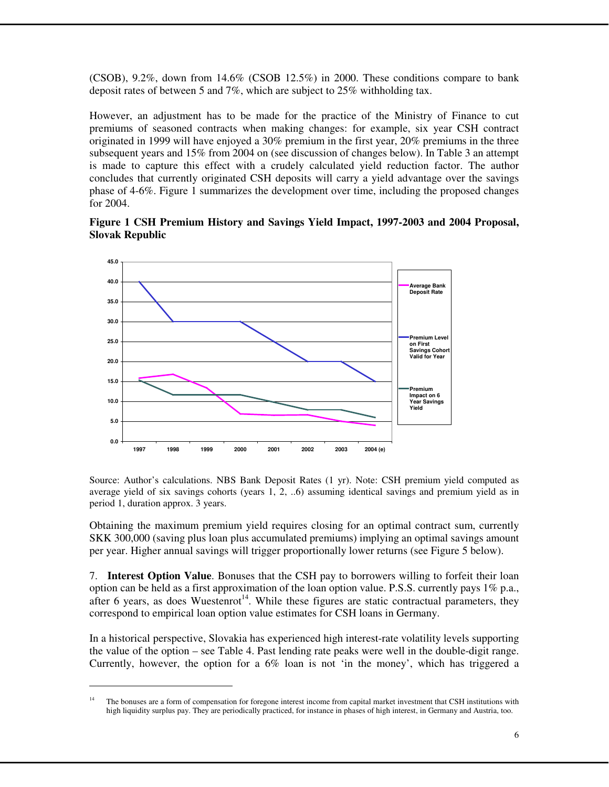(CSOB), 9.2%, down from 14.6% (CSOB 12.5%) in 2000. These conditions compare to bank deposit rates of between 5 and 7%, which are subject to 25% withholding tax.

However, an adjustment has to be made for the practice of the Ministry of Finance to cut premiums of seasoned contracts when making changes: for example, six year CSH contract originated in 1999 will have enjoyed a 30% premium in the first year, 20% premiums in the three subsequent years and 15% from 2004 on (see discussion of changes below). In Table 3 an attempt is made to capture this effect with a crudely calculated yield reduction factor. The author concludes that currently originated CSH deposits will carry a yield advantage over the savings phase of 4-6%. Figure 1 summarizes the development over time, including the proposed changes for 2004.

**Figure 1 CSH Premium History and Savings Yield Impact, 1997-2003 and 2004 Proposal, Slovak Republic** 



Source: Author's calculations. NBS Bank Deposit Rates (1 yr). Note: CSH premium yield computed as average yield of six savings cohorts (years 1, 2, ..6) assuming identical savings and premium yield as in period 1, duration approx. 3 years.

Obtaining the maximum premium yield requires closing for an optimal contract sum, currently SKK 300,000 (saving plus loan plus accumulated premiums) implying an optimal savings amount per year. Higher annual savings will trigger proportionally lower returns (see Figure 5 below).

7. **Interest Option Value**. Bonuses that the CSH pay to borrowers willing to forfeit their loan option can be held as a first approximation of the loan option value. P.S.S. currently pays 1% p.a., after 6 years, as does Wuestenrot<sup>14</sup>. While these figures are static contractual parameters, they correspond to empirical loan option value estimates for CSH loans in Germany.

In a historical perspective, Slovakia has experienced high interest-rate volatility levels supporting the value of the option – see Table 4. Past lending rate peaks were well in the double-digit range. Currently, however, the option for a  $6\%$  loan is not 'in the money', which has triggered a

<sup>&</sup>lt;sup>14</sup> The bonuses are a form of compensation for foregone interest income from capital market investment that CSH institutions with high liquidity surplus pay. They are periodically practiced, for instance in phases of high interest, in Germany and Austria, too.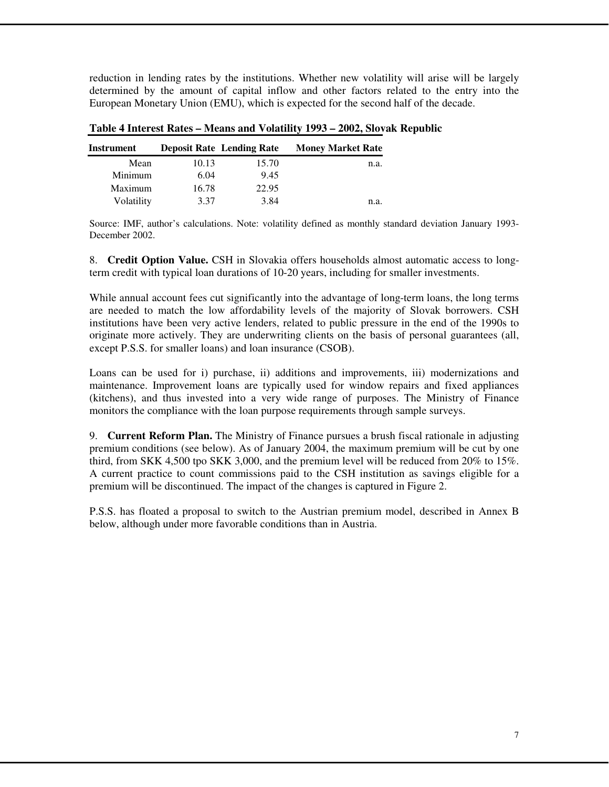reduction in lending rates by the institutions. Whether new volatility will arise will be largely determined by the amount of capital inflow and other factors related to the entry into the European Monetary Union (EMU), which is expected for the second half of the decade.

| Instrument |       | <b>Deposit Rate Lending Rate</b> | <b>Money Market Rate</b> |
|------------|-------|----------------------------------|--------------------------|
| Mean       | 10.13 | 15.70                            | n.a.                     |
| Minimum    | 6.04  | 9.45                             |                          |
| Maximum    | 16.78 | 22.95                            |                          |
| Volatility | 3.37  | 3.84                             | n.a.                     |

#### **Table 4 Interest Rates – Means and Volatility 1993 – 2002, Slovak Republic**

Source: IMF, author's calculations. Note: volatility defined as monthly standard deviation January 1993- December 2002.

8. **Credit Option Value.** CSH in Slovakia offers households almost automatic access to longterm credit with typical loan durations of 10-20 years, including for smaller investments.

While annual account fees cut significantly into the advantage of long-term loans, the long terms are needed to match the low affordability levels of the majority of Slovak borrowers. CSH institutions have been very active lenders, related to public pressure in the end of the 1990s to originate more actively. They are underwriting clients on the basis of personal guarantees (all, except P.S.S. for smaller loans) and loan insurance (CSOB).

Loans can be used for i) purchase, ii) additions and improvements, iii) modernizations and maintenance. Improvement loans are typically used for window repairs and fixed appliances (kitchens), and thus invested into a very wide range of purposes. The Ministry of Finance monitors the compliance with the loan purpose requirements through sample surveys.

9. **Current Reform Plan.** The Ministry of Finance pursues a brush fiscal rationale in adjusting premium conditions (see below). As of January 2004, the maximum premium will be cut by one third, from SKK 4,500 tpo SKK 3,000, and the premium level will be reduced from 20% to 15%. A current practice to count commissions paid to the CSH institution as savings eligible for a premium will be discontinued. The impact of the changes is captured in Figure 2.

P.S.S. has floated a proposal to switch to the Austrian premium model, described in Annex B below, although under more favorable conditions than in Austria.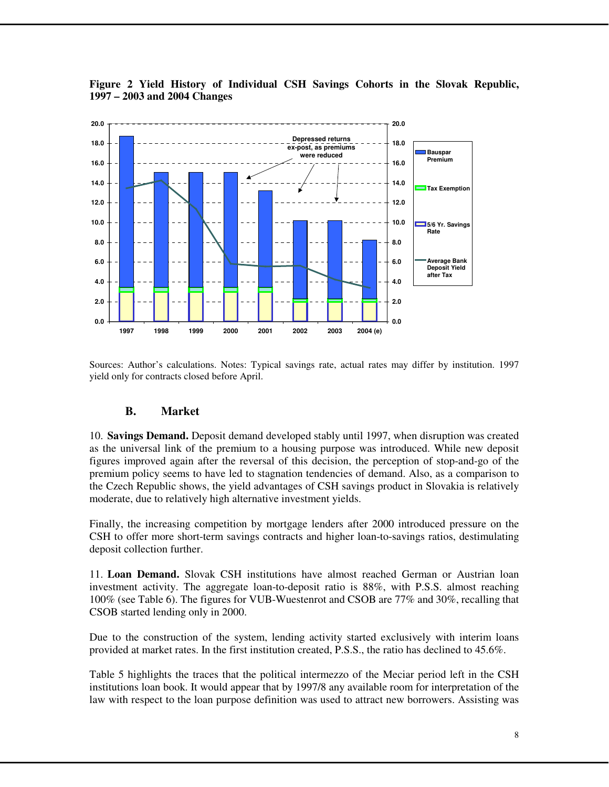

**Figure 2 Yield History of Individual CSH Savings Cohorts in the Slovak Republic, 1997 – 2003 and 2004 Changes** 

Sources: Author's calculations. Notes: Typical savings rate, actual rates may differ by institution. 1997 yield only for contracts closed before April.

#### **B. Market**

10. **Savings Demand.** Deposit demand developed stably until 1997, when disruption was created as the universal link of the premium to a housing purpose was introduced. While new deposit figures improved again after the reversal of this decision, the perception of stop-and-go of the premium policy seems to have led to stagnation tendencies of demand. Also, as a comparison to the Czech Republic shows, the yield advantages of CSH savings product in Slovakia is relatively moderate, due to relatively high alternative investment yields.

Finally, the increasing competition by mortgage lenders after 2000 introduced pressure on the CSH to offer more short-term savings contracts and higher loan-to-savings ratios, destimulating deposit collection further.

11. **Loan Demand.** Slovak CSH institutions have almost reached German or Austrian loan investment activity. The aggregate loan-to-deposit ratio is 88%, with P.S.S. almost reaching 100% (see Table 6). The figures for VUB-Wuestenrot and CSOB are 77% and 30%, recalling that CSOB started lending only in 2000.

Due to the construction of the system, lending activity started exclusively with interim loans provided at market rates. In the first institution created, P.S.S., the ratio has declined to 45.6%.

Table 5 highlights the traces that the political intermezzo of the Meciar period left in the CSH institutions loan book. It would appear that by 1997/8 any available room for interpretation of the law with respect to the loan purpose definition was used to attract new borrowers. Assisting was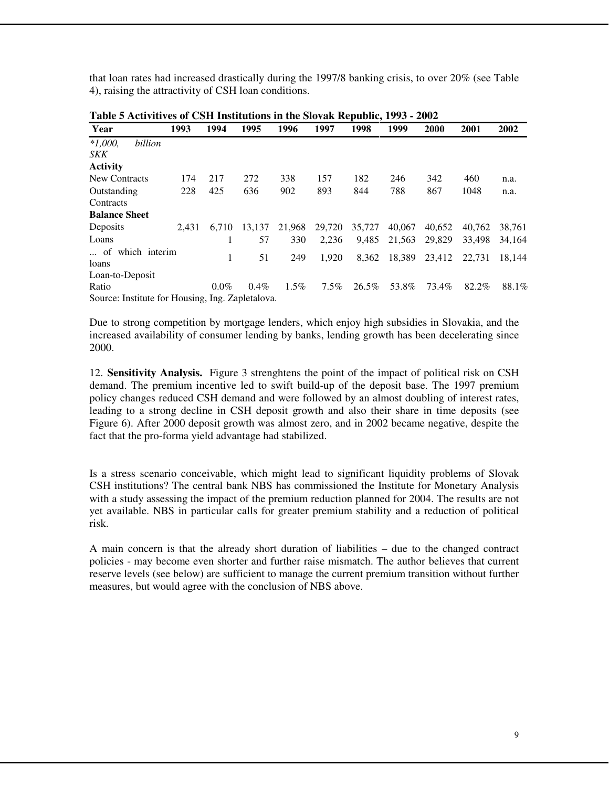that loan rates had increased drastically during the 1997/8 banking crisis, to over 20% (see Table 4), raising the attractivity of CSH loan conditions.

| Tubic o Activitivos of Coll Mistrutiviis in the Slovan Acpublic, 1990 |       |         |         |         |         |        |        |        |        |        |
|-----------------------------------------------------------------------|-------|---------|---------|---------|---------|--------|--------|--------|--------|--------|
| Year                                                                  | 1993  | 1994    | 1995    | 1996    | 1997    | 1998   | 1999   | 2000   | 2001   | 2002   |
| $*1,000.$<br>billion                                                  |       |         |         |         |         |        |        |        |        |        |
| <b>SKK</b>                                                            |       |         |         |         |         |        |        |        |        |        |
| <b>Activity</b>                                                       |       |         |         |         |         |        |        |        |        |        |
| New Contracts                                                         | 174   | 217     | 272     | 338     | 157     | 182    | 246    | 342    | 460    | n.a.   |
| Outstanding                                                           | 228   | 425     | 636     | 902     | 893     | 844    | 788    | 867    | 1048   | n.a.   |
| Contracts                                                             |       |         |         |         |         |        |        |        |        |        |
| <b>Balance Sheet</b>                                                  |       |         |         |         |         |        |        |        |        |        |
| Deposits                                                              | 2.431 | 6.710   | 13.137  | 21,968  | 29,720  | 35,727 | 40,067 | 40.652 | 40.762 | 38.761 |
| Loans                                                                 |       |         | 57      | 330     | 2.236   | 9.485  | 21,563 | 29.829 | 33.498 | 34.164 |
| of which interim                                                      |       |         |         |         |         |        |        |        |        |        |
| loans                                                                 |       | 1       | 51      | 249     | 1.920   | 8.362  | 18,389 | 23.412 | 22.731 | 18.144 |
| Loan-to-Deposit                                                       |       |         |         |         |         |        |        |        |        |        |
| Ratio                                                                 |       | $0.0\%$ | $0.4\%$ | $1.5\%$ | $7.5\%$ | 26.5%  | 53.8%  | 73.4%  | 82.2%  | 88.1%  |
| Source: Institute for Housing, Ing. Zapletalova.                      |       |         |         |         |         |        |        |        |        |        |

| Table 5 Activitives of CSH Institutions in the Slovak Republic, 1993 - 2002 |  |
|-----------------------------------------------------------------------------|--|
|-----------------------------------------------------------------------------|--|

Due to strong competition by mortgage lenders, which enjoy high subsidies in Slovakia, and the increased availability of consumer lending by banks, lending growth has been decelerating since 2000.

12. **Sensitivity Analysis.** Figure 3 strenghtens the point of the impact of political risk on CSH demand. The premium incentive led to swift build-up of the deposit base. The 1997 premium policy changes reduced CSH demand and were followed by an almost doubling of interest rates, leading to a strong decline in CSH deposit growth and also their share in time deposits (see Figure 6). After 2000 deposit growth was almost zero, and in 2002 became negative, despite the fact that the pro-forma yield advantage had stabilized.

Is a stress scenario conceivable, which might lead to significant liquidity problems of Slovak CSH institutions? The central bank NBS has commissioned the Institute for Monetary Analysis with a study assessing the impact of the premium reduction planned for 2004. The results are not yet available. NBS in particular calls for greater premium stability and a reduction of political risk.

A main concern is that the already short duration of liabilities – due to the changed contract policies - may become even shorter and further raise mismatch. The author believes that current reserve levels (see below) are sufficient to manage the current premium transition without further measures, but would agree with the conclusion of NBS above.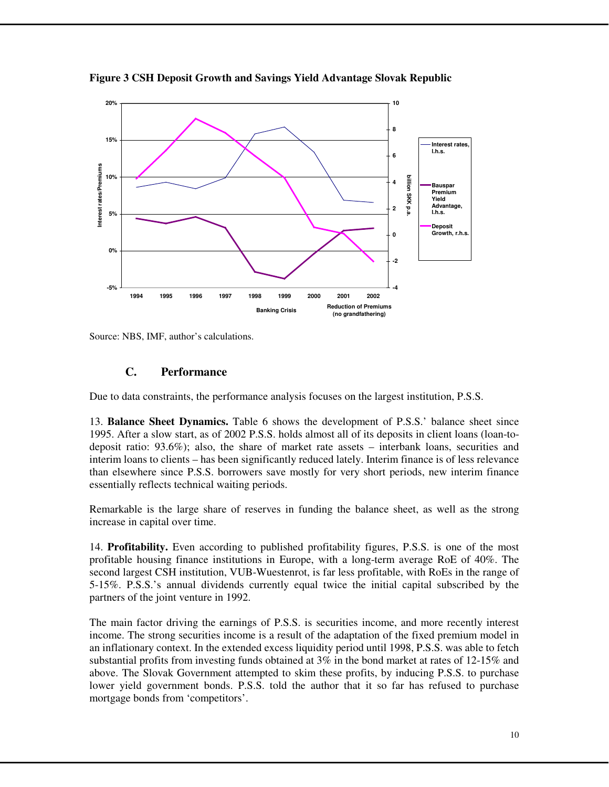

**Figure 3 CSH Deposit Growth and Savings Yield Advantage Slovak Republic** 

Source: NBS, IMF, author's calculations.

### **C. Performance**

Due to data constraints, the performance analysis focuses on the largest institution, P.S.S.

13. **Balance Sheet Dynamics.** Table 6 shows the development of P.S.S.' balance sheet since 1995. After a slow start, as of 2002 P.S.S. holds almost all of its deposits in client loans (loan-todeposit ratio: 93.6%); also, the share of market rate assets – interbank loans, securities and interim loans to clients – has been significantly reduced lately. Interim finance is of less relevance than elsewhere since P.S.S. borrowers save mostly for very short periods, new interim finance essentially reflects technical waiting periods.

Remarkable is the large share of reserves in funding the balance sheet, as well as the strong increase in capital over time.

14. **Profitability.** Even according to published profitability figures, P.S.S. is one of the most profitable housing finance institutions in Europe, with a long-term average RoE of 40%. The second largest CSH institution, VUB-Wuestenrot, is far less profitable, with RoEs in the range of 5-15%. P.S.S.'s annual dividends currently equal twice the initial capital subscribed by the partners of the joint venture in 1992.

The main factor driving the earnings of P.S.S. is securities income, and more recently interest income. The strong securities income is a result of the adaptation of the fixed premium model in an inflationary context. In the extended excess liquidity period until 1998, P.S.S. was able to fetch substantial profits from investing funds obtained at 3% in the bond market at rates of 12-15% and above. The Slovak Government attempted to skim these profits, by inducing P.S.S. to purchase lower yield government bonds. P.S.S. told the author that it so far has refused to purchase mortgage bonds from 'competitors'.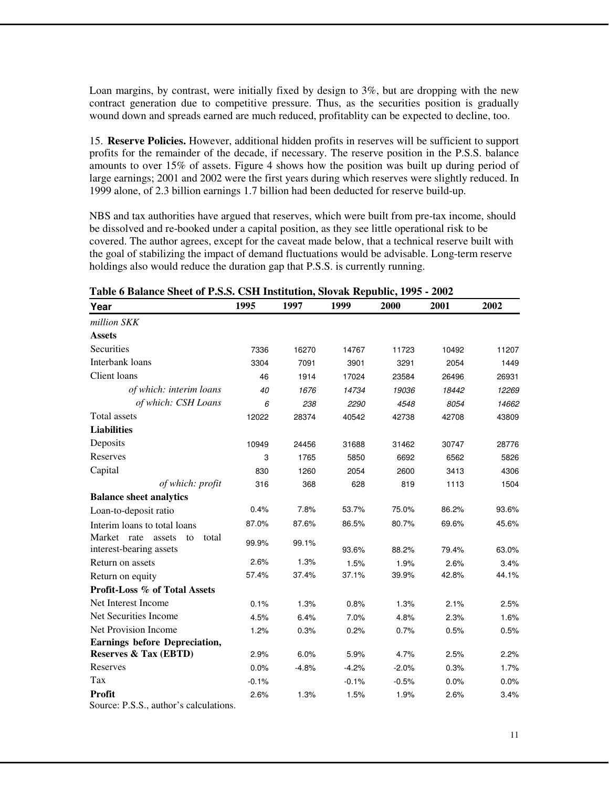Loan margins, by contrast, were initially fixed by design to 3%, but are dropping with the new contract generation due to competitive pressure. Thus, as the securities position is gradually wound down and spreads earned are much reduced, profitablity can be expected to decline, too.

15. **Reserve Policies.** However, additional hidden profits in reserves will be sufficient to support profits for the remainder of the decade, if necessary. The reserve position in the P.S.S. balance amounts to over 15% of assets. Figure 4 shows how the position was built up during period of large earnings; 2001 and 2002 were the first years during which reserves were slightly reduced. In 1999 alone, of 2.3 billion earnings 1.7 billion had been deducted for reserve build-up.

NBS and tax authorities have argued that reserves, which were built from pre-tax income, should be dissolved and re-booked under a capital position, as they see little operational risk to be covered. The author agrees, except for the caveat made below, that a technical reserve built with the goal of stabilizing the impact of demand fluctuations would be advisable. Long-term reserve holdings also would reduce the duration gap that P.S.S. is currently running.

| Year                                                                                             | 1995    | 1997    | 1999    | 2000    | 2001  | 2002  |
|--------------------------------------------------------------------------------------------------|---------|---------|---------|---------|-------|-------|
| million SKK                                                                                      |         |         |         |         |       |       |
| <b>Assets</b>                                                                                    |         |         |         |         |       |       |
| Securities                                                                                       | 7336    | 16270   | 14767   | 11723   | 10492 | 11207 |
| Interbank loans                                                                                  | 3304    | 7091    | 3901    | 3291    | 2054  | 1449  |
| Client loans                                                                                     | 46      | 1914    | 17024   | 23584   | 26496 | 26931 |
| of which: interim loans                                                                          | 40      | 1676    | 14734   | 19036   | 18442 | 12269 |
| of which: CSH Loans                                                                              | 6       | 238     | 2290    | 4548    | 8054  | 14662 |
| Total assets                                                                                     | 12022   | 28374   | 40542   | 42738   | 42708 | 43809 |
| <b>Liabilities</b>                                                                               |         |         |         |         |       |       |
| Deposits                                                                                         | 10949   | 24456   | 31688   | 31462   | 30747 | 28776 |
| Reserves                                                                                         | 3       | 1765    | 5850    | 6692    | 6562  | 5826  |
| Capital                                                                                          | 830     | 1260    | 2054    | 2600    | 3413  | 4306  |
| of which: profit                                                                                 | 316     | 368     | 628     | 819     | 1113  | 1504  |
| <b>Balance sheet analytics</b>                                                                   |         |         |         |         |       |       |
| Loan-to-deposit ratio                                                                            | 0.4%    | 7.8%    | 53.7%   | 75.0%   | 86.2% | 93.6% |
| Interim loans to total loans                                                                     | 87.0%   | 87.6%   | 86.5%   | 80.7%   | 69.6% | 45.6% |
| Market rate<br>assets<br>total<br>to<br>interest-bearing assets                                  | 99.9%   | 99.1%   | 93.6%   | 88.2%   | 79.4% | 63.0% |
| Return on assets                                                                                 | 2.6%    | 1.3%    | 1.5%    | 1.9%    | 2.6%  | 3.4%  |
| Return on equity                                                                                 | 57.4%   | 37.4%   | 37.1%   | 39.9%   | 42.8% | 44.1% |
| Profit-Loss % of Total Assets                                                                    |         |         |         |         |       |       |
| Net Interest Income                                                                              | 0.1%    | 1.3%    | 0.8%    | 1.3%    | 2.1%  | 2.5%  |
| Net Securities Income                                                                            | 4.5%    | 6.4%    | 7.0%    | 4.8%    | 2.3%  | 1.6%  |
| Net Provision Income                                                                             | 1.2%    | 0.3%    | 0.2%    | 0.7%    | 0.5%  | 0.5%  |
| <b>Earnings before Depreciation,</b>                                                             |         |         |         |         |       |       |
| <b>Reserves &amp; Tax (EBTD)</b>                                                                 | 2.9%    | 6.0%    | 5.9%    | 4.7%    | 2.5%  | 2.2%  |
| Reserves                                                                                         | 0.0%    | $-4.8%$ | $-4.2%$ | $-2.0%$ | 0.3%  | 1.7%  |
| Tax                                                                                              | $-0.1%$ |         | $-0.1%$ | $-0.5%$ | 0.0%  | 0.0%  |
| <b>Profit</b>                                                                                    | 2.6%    | 1.3%    | 1.5%    | 1.9%    | 2.6%  | 3.4%  |
| $\mathcal{L}_{\text{Ource}}$ $\mathcal{L} \times \mathcal{L}_{\text{out}}$ author's calculations |         |         |         |         |       |       |

**Table 6 Balance Sheet of P.S.S. CSH Institution, Slovak Republic, 1995 - 2002** 

Source: P.S.S., author's calculations.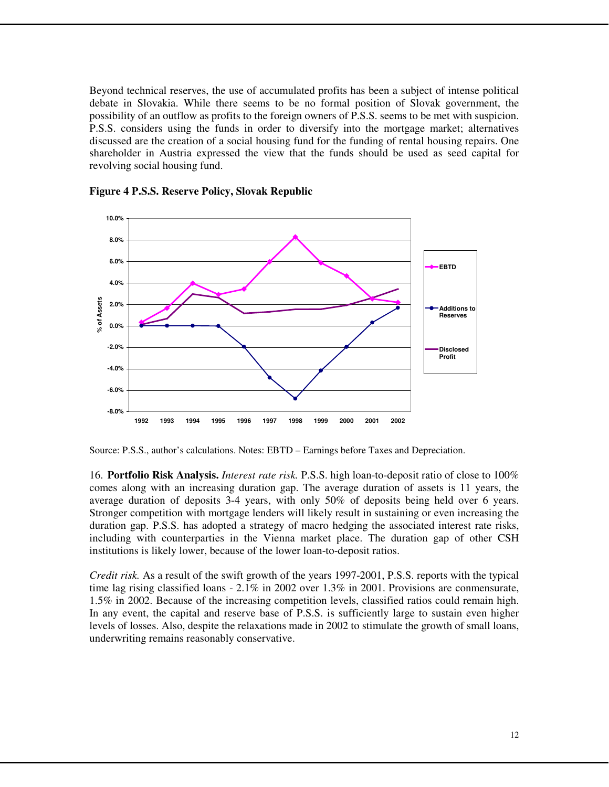Beyond technical reserves, the use of accumulated profits has been a subject of intense political debate in Slovakia. While there seems to be no formal position of Slovak government, the possibility of an outflow as profits to the foreign owners of P.S.S. seems to be met with suspicion. P.S.S. considers using the funds in order to diversify into the mortgage market; alternatives discussed are the creation of a social housing fund for the funding of rental housing repairs. One shareholder in Austria expressed the view that the funds should be used as seed capital for revolving social housing fund.



**Figure 4 P.S.S. Reserve Policy, Slovak Republic** 

Source: P.S.S., author's calculations. Notes: EBTD – Earnings before Taxes and Depreciation.

16. **Portfolio Risk Analysis.** *Interest rate risk.* P.S.S. high loan-to-deposit ratio of close to 100% comes along with an increasing duration gap. The average duration of assets is 11 years, the average duration of deposits 3-4 years, with only 50% of deposits being held over 6 years. Stronger competition with mortgage lenders will likely result in sustaining or even increasing the duration gap. P.S.S. has adopted a strategy of macro hedging the associated interest rate risks, including with counterparties in the Vienna market place. The duration gap of other CSH institutions is likely lower, because of the lower loan-to-deposit ratios.

*Credit risk.* As a result of the swift growth of the years 1997-2001, P.S.S. reports with the typical time lag rising classified loans - 2.1% in 2002 over 1.3% in 2001. Provisions are conmensurate, 1.5% in 2002. Because of the increasing competition levels, classified ratios could remain high. In any event, the capital and reserve base of P.S.S. is sufficiently large to sustain even higher levels of losses. Also, despite the relaxations made in 2002 to stimulate the growth of small loans, underwriting remains reasonably conservative.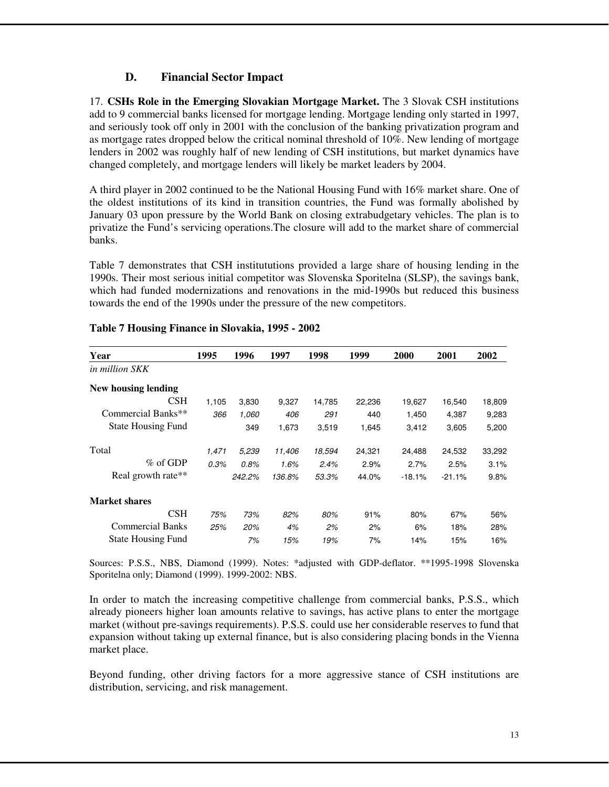# **D. Financial Sector Impact**

17. **CSHs Role in the Emerging Slovakian Mortgage Market.** The 3 Slovak CSH institutions add to 9 commercial banks licensed for mortgage lending. Mortgage lending only started in 1997, and seriously took off only in 2001 with the conclusion of the banking privatization program and as mortgage rates dropped below the critical nominal threshold of 10%. New lending of mortgage lenders in 2002 was roughly half of new lending of CSH institutions, but market dynamics have changed completely, and mortgage lenders will likely be market leaders by 2004.

A third player in 2002 continued to be the National Housing Fund with 16% market share. One of the oldest institutions of its kind in transition countries, the Fund was formally abolished by January 03 upon pressure by the World Bank on closing extrabudgetary vehicles. The plan is to privatize the Fund's servicing operations.The closure will add to the market share of commercial banks.

Table 7 demonstrates that CSH institututions provided a large share of housing lending in the 1990s. Their most serious initial competitor was Slovenska Sporitelna (SLSP), the savings bank, which had funded modernizations and renovations in the mid-1990s but reduced this business towards the end of the 1990s under the pressure of the new competitors.

| Year                      | 1995  | 1996   | 1997   | 1998   | 1999   | 2000     | 2001     | 2002   |
|---------------------------|-------|--------|--------|--------|--------|----------|----------|--------|
| in million SKK            |       |        |        |        |        |          |          |        |
| New housing lending       |       |        |        |        |        |          |          |        |
| <b>CSH</b>                | 1,105 | 3,830  | 9,327  | 14,785 | 22,236 | 19,627   | 16,540   | 18,809 |
| Commercial Banks**        | 366   | 1,060  | 406    | 291    | 440    | 1,450    | 4,387    | 9,283  |
| <b>State Housing Fund</b> |       | 349    | 1,673  | 3,519  | 1,645  | 3,412    | 3,605    | 5,200  |
| Total                     | 1,471 | 5,239  | 11,406 | 18,594 | 24,321 | 24,488   | 24,532   | 33,292 |
| $\%$ of GDP               | 0.3%  | 0.8%   | 1.6%   | 2.4%   | 2.9%   | 2.7%     | 2.5%     | 3.1%   |
| Real growth rate**        |       | 242.2% | 136.8% | 53.3%  | 44.0%  | $-18.1%$ | $-21.1%$ | 9.8%   |
| <b>Market shares</b>      |       |        |        |        |        |          |          |        |
| CSH                       | 75%   | 73%    | 82%    | 80%    | 91%    | 80%      | 67%      | 56%    |
| <b>Commercial Banks</b>   | 25%   | 20%    | 4%     | 2%     | 2%     | 6%       | 18%      | 28%    |
| <b>State Housing Fund</b> |       | 7%     | 15%    | 19%    | 7%     | 14%      | 15%      | 16%    |

#### **Table 7 Housing Finance in Slovakia, 1995 - 2002**

Sources: P.S.S., NBS, Diamond (1999). Notes: \*adjusted with GDP-deflator. \*\*1995-1998 Slovenska Sporitelna only; Diamond (1999). 1999-2002: NBS.

In order to match the increasing competitive challenge from commercial banks, P.S.S., which already pioneers higher loan amounts relative to savings, has active plans to enter the mortgage market (without pre-savings requirements). P.S.S. could use her considerable reserves to fund that expansion without taking up external finance, but is also considering placing bonds in the Vienna market place.

Beyond funding, other driving factors for a more aggressive stance of CSH institutions are distribution, servicing, and risk management.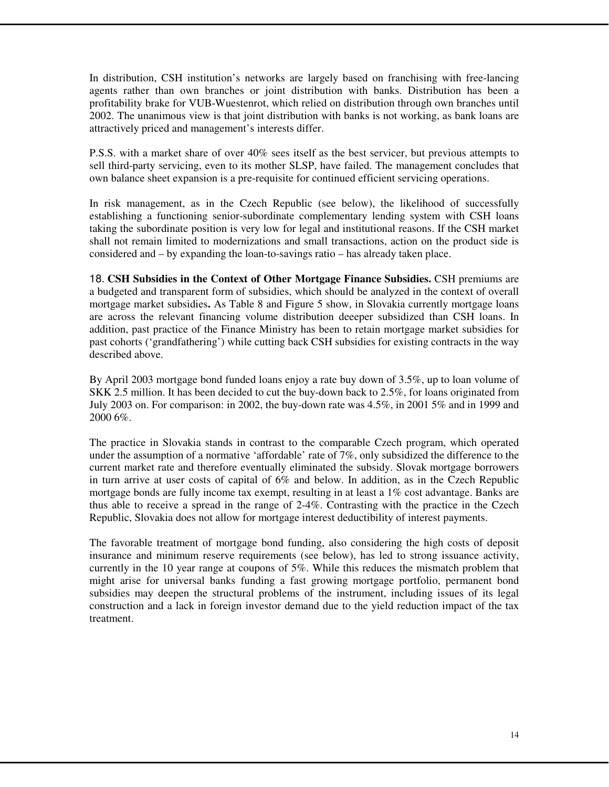In distribution, CSH institution's networks are largely based on franchising with free-lancing agents rather than own branches or joint distribution with banks. Distribution has been a profitability brake for VUB-Wuestenrot, which relied on distribution through own branches until 2002. The unanimous view is that joint distribution with banks is not working, as bank loans are attractively priced and management's interests differ.

P.S.S. with a market share of over 40% sees itself as the best servicer, but previous attempts to sell third-party servicing, even to its mother SLSP, have failed. The management concludes that own balance sheet expansion is a pre-requisite for continued efficient servicing operations.

In risk management, as in the Czech Republic (see below), the likelihood of successfully establishing a functioning senior-subordinate complementary lending system with CSH loans taking the subordinate position is very low for legal and institutional reasons. If the CSH market shall not remain limited to modernizations and small transactions, action on the product side is considered and – by expanding the loan-to-savings ratio – has already taken place.

18. **CSH Subsidies in the Context of Other Mortgage Finance Subsidies.** CSH premiums are a budgeted and transparent form of subsidies, which should be analyzed in the context of overall mortgage market subsidies**.** As Table 8 and Figure 5 show, in Slovakia currently mortgage loans are across the relevant financing volume distribution deeeper subsidized than CSH loans. In addition, past practice of the Finance Ministry has been to retain mortgage market subsidies for past cohorts ('grandfathering') while cutting back CSH subsidies for existing contracts in the way described above.

By April 2003 mortgage bond funded loans enjoy a rate buy down of 3.5%, up to loan volume of SKK 2.5 million. It has been decided to cut the buy-down back to 2.5%, for loans originated from July 2003 on. For comparison: in 2002, the buy-down rate was 4.5%, in 2001 5% and in 1999 and 2000 6%.

The practice in Slovakia stands in contrast to the comparable Czech program, which operated under the assumption of a normative 'affordable' rate of 7%, only subsidized the difference to the current market rate and therefore eventually eliminated the subsidy. Slovak mortgage borrowers in turn arrive at user costs of capital of 6% and below. In addition, as in the Czech Republic mortgage bonds are fully income tax exempt, resulting in at least a 1% cost advantage. Banks are thus able to receive a spread in the range of 2-4%. Contrasting with the practice in the Czech Republic, Slovakia does not allow for mortgage interest deductibility of interest payments.

The favorable treatment of mortgage bond funding, also considering the high costs of deposit insurance and minimum reserve requirements (see below), has led to strong issuance activity, currently in the 10 year range at coupons of 5%. While this reduces the mismatch problem that might arise for universal banks funding a fast growing mortgage portfolio, permanent bond subsidies may deepen the structural problems of the instrument, including issues of its legal construction and a lack in foreign investor demand due to the yield reduction impact of the tax treatment.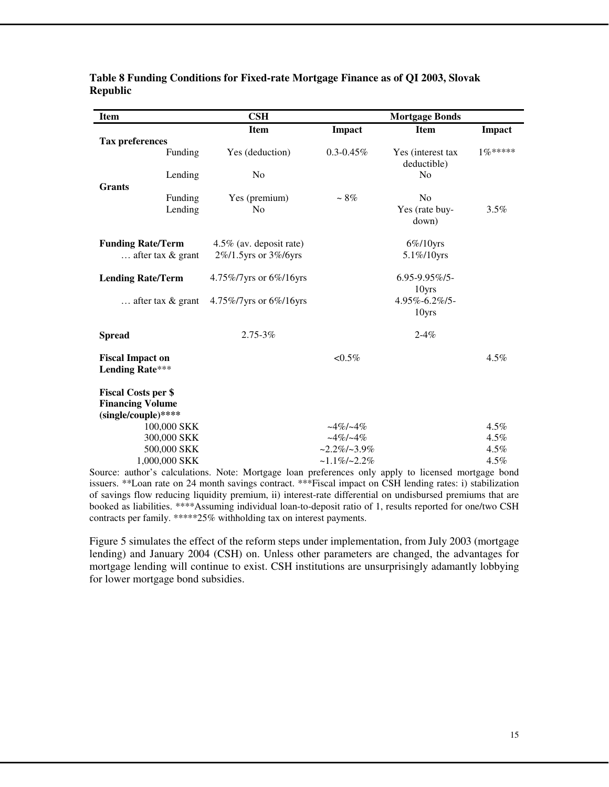| <b>Item</b>                |                              | $\mathbf{CSH}$          |                                    | <b>Mortgage Bonds</b> |              |
|----------------------------|------------------------------|-------------------------|------------------------------------|-----------------------|--------------|
|                            |                              | <b>Item</b>             | Impact                             | <b>Item</b>           | Impact       |
| <b>Tax preferences</b>     |                              |                         |                                    |                       |              |
|                            | Funding                      | Yes (deduction)         | $0.3 - 0.45\%$                     | Yes (interest tax     | $1\%***$     |
|                            |                              |                         |                                    | deductible)           |              |
| <b>Grants</b>              | Lending                      | N <sub>0</sub>          |                                    | N <sub>0</sub>        |              |
|                            | Funding                      | Yes (premium)           | $\sim 8\%$                         | N <sub>0</sub>        |              |
|                            | Lending                      | No                      |                                    | Yes (rate buy-        | 3.5%         |
|                            |                              |                         |                                    | down)                 |              |
|                            | <b>Funding Rate/Term</b>     | 4.5% (av. deposit rate) |                                    | $6\%/10$ yrs          |              |
|                            | $\ldots$ after tax & grant   | 2%/1.5yrs or 3%/6yrs    |                                    | 5.1%/10yrs            |              |
|                            | <b>Lending Rate/Term</b>     | 4.75%/7yrs or 6%/16yrs  |                                    | $6.95 - 9.95\%$       |              |
|                            |                              |                         |                                    | 10yrs                 |              |
|                            | after tax $\&$ grant         | 4.75%/7yrs or 6%/16yrs  |                                    | 4.95%-6.2%/5-         |              |
|                            |                              |                         |                                    | 10yrs                 |              |
| <b>Spread</b>              |                              | $2.75 - 3\%$            |                                    | $2 - 4\%$             |              |
| <b>Fiscal Impact on</b>    |                              |                         | $< 0.5\%$                          |                       | $4.5\%$      |
| <b>Lending Rate***</b>     |                              |                         |                                    |                       |              |
| <b>Fiscal Costs per \$</b> |                              |                         |                                    |                       |              |
| <b>Financing Volume</b>    |                              |                         |                                    |                       |              |
| (single/couple)****        |                              |                         |                                    |                       |              |
|                            | 100,000 SKK                  |                         | $-4\%/-4\%$                        |                       | $4.5\%$      |
|                            | 300,000 SKK                  |                         | $-4\%/-4\%$                        |                       | 4.5%         |
|                            | 500,000 SKK<br>1,000,000 SKK |                         | $-2.2\%/-3.9\%$<br>$~1.1\%$ /~2.2% |                       | 4.5%<br>4.5% |
|                            |                              |                         |                                    |                       |              |

#### **Table 8 Funding Conditions for Fixed-rate Mortgage Finance as of QI 2003, Slovak Republic**

Source: author's calculations. Note: Mortgage loan preferences only apply to licensed mortgage bond issuers. \*\*Loan rate on 24 month savings contract. \*\*\*Fiscal impact on CSH lending rates: i) stabilization of savings flow reducing liquidity premium, ii) interest-rate differential on undisbursed premiums that are booked as liabilities. \*\*\*\*Assuming individual loan-to-deposit ratio of 1, results reported for one/two CSH contracts per family. \*\*\*\*\*25% withholding tax on interest payments.

Figure 5 simulates the effect of the reform steps under implementation, from July 2003 (mortgage lending) and January 2004 (CSH) on. Unless other parameters are changed, the advantages for mortgage lending will continue to exist. CSH institutions are unsurprisingly adamantly lobbying for lower mortgage bond subsidies.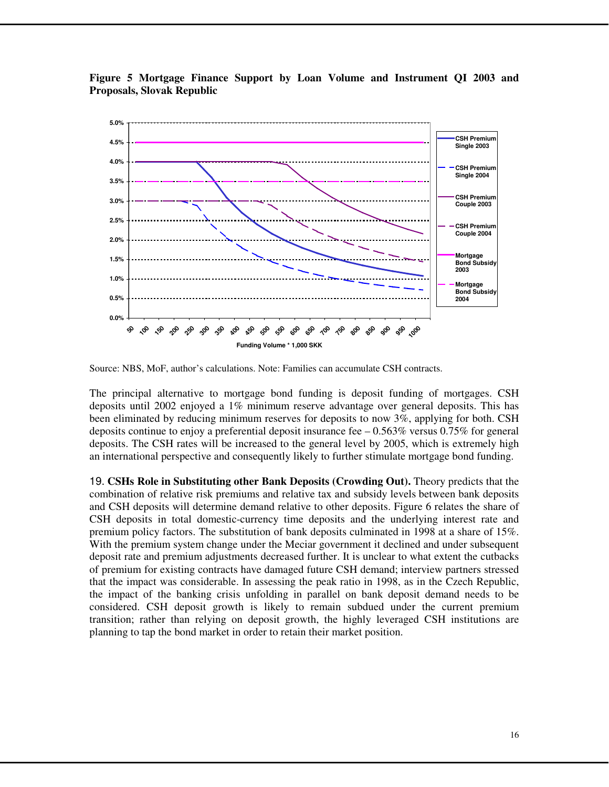**Figure 5 Mortgage Finance Support by Loan Volume and Instrument QI 2003 and Proposals, Slovak Republic** 



Source: NBS, MoF, author's calculations. Note: Families can accumulate CSH contracts.

The principal alternative to mortgage bond funding is deposit funding of mortgages. CSH deposits until 2002 enjoyed a 1% minimum reserve advantage over general deposits. This has been eliminated by reducing minimum reserves for deposits to now 3%, applying for both. CSH deposits continue to enjoy a preferential deposit insurance fee  $-0.563\%$  versus 0.75% for general deposits. The CSH rates will be increased to the general level by 2005, which is extremely high an international perspective and consequently likely to further stimulate mortgage bond funding.

19. **CSHs Role in Substituting other Bank Deposits (Crowding Out).** Theory predicts that the combination of relative risk premiums and relative tax and subsidy levels between bank deposits and CSH deposits will determine demand relative to other deposits. Figure 6 relates the share of CSH deposits in total domestic-currency time deposits and the underlying interest rate and premium policy factors. The substitution of bank deposits culminated in 1998 at a share of 15%. With the premium system change under the Meciar government it declined and under subsequent deposit rate and premium adjustments decreased further. It is unclear to what extent the cutbacks of premium for existing contracts have damaged future CSH demand; interview partners stressed that the impact was considerable. In assessing the peak ratio in 1998, as in the Czech Republic, the impact of the banking crisis unfolding in parallel on bank deposit demand needs to be considered. CSH deposit growth is likely to remain subdued under the current premium transition; rather than relying on deposit growth, the highly leveraged CSH institutions are planning to tap the bond market in order to retain their market position.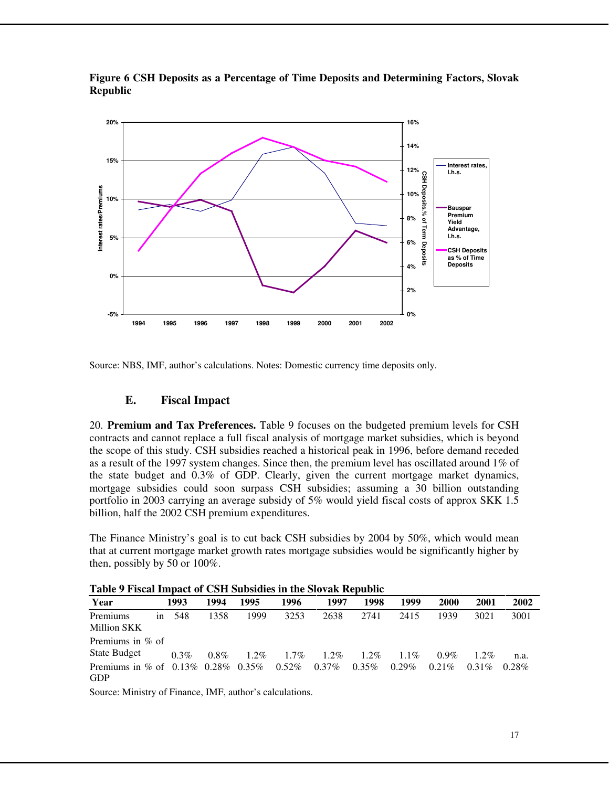

**Figure 6 CSH Deposits as a Percentage of Time Deposits and Determining Factors, Slovak Republic** 

Source: NBS, IMF, author's calculations. Notes: Domestic currency time deposits only.

# **E. Fiscal Impact**

20. **Premium and Tax Preferences.** Table 9 focuses on the budgeted premium levels for CSH contracts and cannot replace a full fiscal analysis of mortgage market subsidies, which is beyond the scope of this study. CSH subsidies reached a historical peak in 1996, before demand receded as a result of the 1997 system changes. Since then, the premium level has oscillated around 1% of the state budget and 0.3% of GDP. Clearly, given the current mortgage market dynamics, mortgage subsidies could soon surpass CSH subsidies; assuming a 30 billion outstanding portfolio in 2003 carrying an average subsidy of 5% would yield fiscal costs of approx SKK 1.5 billion, half the 2002 CSH premium expenditures.

The Finance Ministry's goal is to cut back CSH subsidies by 2004 by 50%, which would mean that at current mortgage market growth rates mortgage subsidies would be significantly higher by then, possibly by 50 or 100%.

| Table 7 Fiscal Hilbact of Cott Dubsidies III the Dividit Kepublic |               |         |         |         |          |          |          |          |             |          |          |
|-------------------------------------------------------------------|---------------|---------|---------|---------|----------|----------|----------|----------|-------------|----------|----------|
| Year                                                              |               | 1993    | 1994    | 1995    | 1996     | 1997     | 1998     | 1999     | <b>2000</b> | 2001     | 2002     |
| Premiums<br>Million SKK                                           | <sub>in</sub> | 548     | 1358    | 1999    | 3253     | 2638     | 2741     | 2415     | 1939        | 3021     | 3001     |
| Premiums in $%$ of<br><b>State Budget</b>                         |               | $0.3\%$ | $0.8\%$ | $1.2\%$ | $1.7\%$  | $1.2\%$  | $1.2\%$  | 1.1%     | $0.9\%$     | $1.2\%$  | n.a.     |
| Premiums in % of $0.13\%$ 0.28% 0.35%<br><b>GDP</b>               |               |         |         |         | $0.52\%$ | $0.37\%$ | $0.35\%$ | $0.29\%$ | $0.21\%$    | $0.31\%$ | $0.28\%$ |

**Table 9 Fiscal Impact of CSH Subsidies in the Slovak Republic** 

Source: Ministry of Finance, IMF, author's calculations.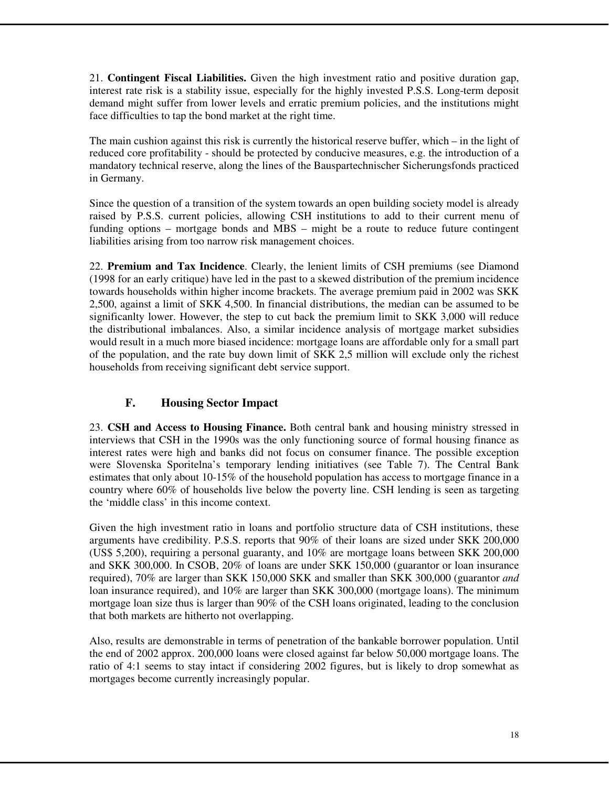21. **Contingent Fiscal Liabilities.** Given the high investment ratio and positive duration gap, interest rate risk is a stability issue, especially for the highly invested P.S.S. Long-term deposit demand might suffer from lower levels and erratic premium policies, and the institutions might face difficulties to tap the bond market at the right time.

The main cushion against this risk is currently the historical reserve buffer, which – in the light of reduced core profitability - should be protected by conducive measures, e.g. the introduction of a mandatory technical reserve, along the lines of the Bauspartechnischer Sicherungsfonds practiced in Germany.

Since the question of a transition of the system towards an open building society model is already raised by P.S.S. current policies, allowing CSH institutions to add to their current menu of funding options – mortgage bonds and MBS – might be a route to reduce future contingent liabilities arising from too narrow risk management choices.

22. **Premium and Tax Incidence**. Clearly, the lenient limits of CSH premiums (see Diamond (1998 for an early critique) have led in the past to a skewed distribution of the premium incidence towards households within higher income brackets. The average premium paid in 2002 was SKK 2,500, against a limit of SKK 4,500. In financial distributions, the median can be assumed to be significanlty lower. However, the step to cut back the premium limit to SKK 3,000 will reduce the distributional imbalances. Also, a similar incidence analysis of mortgage market subsidies would result in a much more biased incidence: mortgage loans are affordable only for a small part of the population, and the rate buy down limit of SKK 2,5 million will exclude only the richest households from receiving significant debt service support.

# **F. Housing Sector Impact**

23. **CSH and Access to Housing Finance.** Both central bank and housing ministry stressed in interviews that CSH in the 1990s was the only functioning source of formal housing finance as interest rates were high and banks did not focus on consumer finance. The possible exception were Slovenska Sporitelna's temporary lending initiatives (see Table 7). The Central Bank estimates that only about 10-15% of the household population has access to mortgage finance in a country where 60% of households live below the poverty line. CSH lending is seen as targeting the 'middle class' in this income context.

Given the high investment ratio in loans and portfolio structure data of CSH institutions, these arguments have credibility. P.S.S. reports that 90% of their loans are sized under SKK 200,000 (US\$ 5,200), requiring a personal guaranty, and 10% are mortgage loans between SKK 200,000 and SKK 300,000. In CSOB, 20% of loans are under SKK 150,000 (guarantor or loan insurance required), 70% are larger than SKK 150,000 SKK and smaller than SKK 300,000 (guarantor *and*  loan insurance required), and 10% are larger than SKK 300,000 (mortgage loans). The minimum mortgage loan size thus is larger than 90% of the CSH loans originated, leading to the conclusion that both markets are hitherto not overlapping.

Also, results are demonstrable in terms of penetration of the bankable borrower population. Until the end of 2002 approx. 200,000 loans were closed against far below 50,000 mortgage loans. The ratio of 4:1 seems to stay intact if considering 2002 figures, but is likely to drop somewhat as mortgages become currently increasingly popular.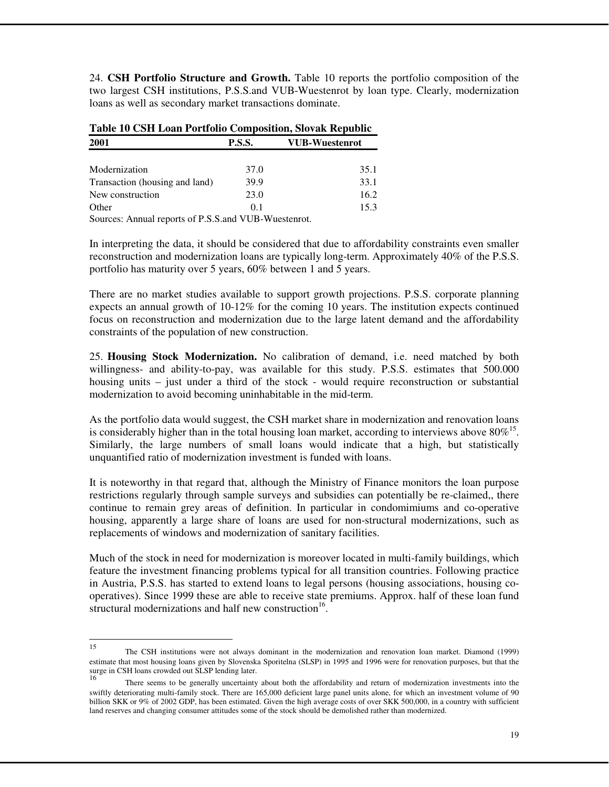24. **CSH Portfolio Structure and Growth.** Table 10 reports the portfolio composition of the two largest CSH institutions, P.S.S.and VUB-Wuestenrot by loan type. Clearly, modernization loans as well as secondary market transactions dominate.

| Table TV CSH Loan Portfolio Composition, Slovak Republic |               |                       |
|----------------------------------------------------------|---------------|-----------------------|
| 2001                                                     | <b>P.S.S.</b> | <b>VUB-Wuestenrot</b> |
| Modernization                                            | 37.0          | 35.1                  |
| Transaction (housing and land)                           | 39.9          | 33.1                  |
| New construction                                         | 23.0          | 16.2                  |
| Other                                                    | 0.1           | 15.3                  |
|                                                          |               |                       |

**Table 10 CSH Loan Portfolio Composition, Slovak Republic** 

Sources: Annual reports of P.S.S.and VUB-Wuestenrot.

In interpreting the data, it should be considered that due to affordability constraints even smaller reconstruction and modernization loans are typically long-term. Approximately 40% of the P.S.S. portfolio has maturity over 5 years, 60% between 1 and 5 years.

There are no market studies available to support growth projections. P.S.S. corporate planning expects an annual growth of 10-12% for the coming 10 years. The institution expects continued focus on reconstruction and modernization due to the large latent demand and the affordability constraints of the population of new construction.

25. **Housing Stock Modernization.** No calibration of demand, i.e. need matched by both willingness- and ability-to-pay, was available for this study. P.S.S. estimates that 500.000 housing units – just under a third of the stock - would require reconstruction or substantial modernization to avoid becoming uninhabitable in the mid-term.

As the portfolio data would suggest, the CSH market share in modernization and renovation loans is considerably higher than in the total housing loan market, according to interviews above  $80\%$ <sup>15</sup>. Similarly, the large numbers of small loans would indicate that a high, but statistically unquantified ratio of modernization investment is funded with loans.

It is noteworthy in that regard that, although the Ministry of Finance monitors the loan purpose restrictions regularly through sample surveys and subsidies can potentially be re-claimed,, there continue to remain grey areas of definition. In particular in condomimiums and co-operative housing, apparently a large share of loans are used for non-structural modernizations, such as replacements of windows and modernization of sanitary facilities.

Much of the stock in need for modernization is moreover located in multi-family buildings, which feature the investment financing problems typical for all transition countries. Following practice in Austria, P.S.S. has started to extend loans to legal persons (housing associations, housing cooperatives). Since 1999 these are able to receive state premiums. Approx. half of these loan fund structural modernizations and half new construction<sup>16</sup>.

<sup>15</sup> The CSH institutions were not always dominant in the modernization and renovation loan market. Diamond (1999) estimate that most housing loans given by Slovenska Sporitelna (SLSP) in 1995 and 1996 were for renovation purposes, but that the surge in CSH loans crowded out SLSP lending later.<br>
<sup>16</sup>

There seems to be generally uncertainty about both the affordability and return of modernization investments into the swiftly deteriorating multi-family stock. There are 165,000 deficient large panel units alone, for which an investment volume of 90 billion SKK or 9% of 2002 GDP, has been estimated. Given the high average costs of over SKK 500,000, in a country with sufficient land reserves and changing consumer attitudes some of the stock should be demolished rather than modernized.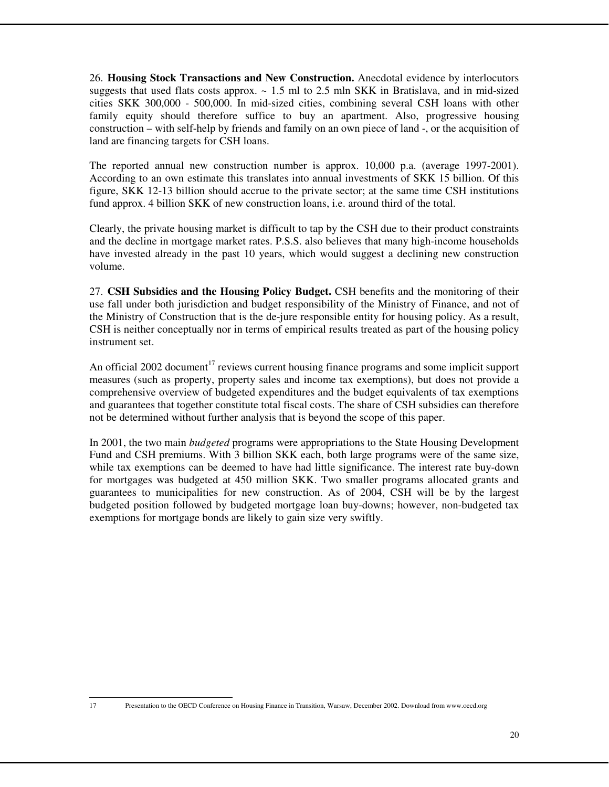26. **Housing Stock Transactions and New Construction.** Anecdotal evidence by interlocutors suggests that used flats costs approx.  $\sim 1.5$  ml to 2.5 mln SKK in Bratislava, and in mid-sized cities SKK 300,000 - 500,000. In mid-sized cities, combining several CSH loans with other family equity should therefore suffice to buy an apartment. Also, progressive housing construction – with self-help by friends and family on an own piece of land -, or the acquisition of land are financing targets for CSH loans.

The reported annual new construction number is approx. 10,000 p.a. (average 1997-2001). According to an own estimate this translates into annual investments of SKK 15 billion. Of this figure, SKK 12-13 billion should accrue to the private sector; at the same time CSH institutions fund approx. 4 billion SKK of new construction loans, i.e. around third of the total.

Clearly, the private housing market is difficult to tap by the CSH due to their product constraints and the decline in mortgage market rates. P.S.S. also believes that many high-income households have invested already in the past 10 years, which would suggest a declining new construction volume.

27. **CSH Subsidies and the Housing Policy Budget.** CSH benefits and the monitoring of their use fall under both jurisdiction and budget responsibility of the Ministry of Finance, and not of the Ministry of Construction that is the de-jure responsible entity for housing policy. As a result, CSH is neither conceptually nor in terms of empirical results treated as part of the housing policy instrument set.

An official 2002 document<sup>17</sup> reviews current housing finance programs and some implicit support measures (such as property, property sales and income tax exemptions), but does not provide a comprehensive overview of budgeted expenditures and the budget equivalents of tax exemptions and guarantees that together constitute total fiscal costs. The share of CSH subsidies can therefore not be determined without further analysis that is beyond the scope of this paper.

In 2001, the two main *budgeted* programs were appropriations to the State Housing Development Fund and CSH premiums. With 3 billion SKK each, both large programs were of the same size, while tax exemptions can be deemed to have had little significance. The interest rate buy-down for mortgages was budgeted at 450 million SKK. Two smaller programs allocated grants and guarantees to municipalities for new construction. As of 2004, CSH will be by the largest budgeted position followed by budgeted mortgage loan buy-downs; however, non-budgeted tax exemptions for mortgage bonds are likely to gain size very swiftly.

<sup>17</sup> 

<sup>17</sup> Presentation to the OECD Conference on Housing Finance in Transition, Warsaw, December 2002. Download from www.oecd.org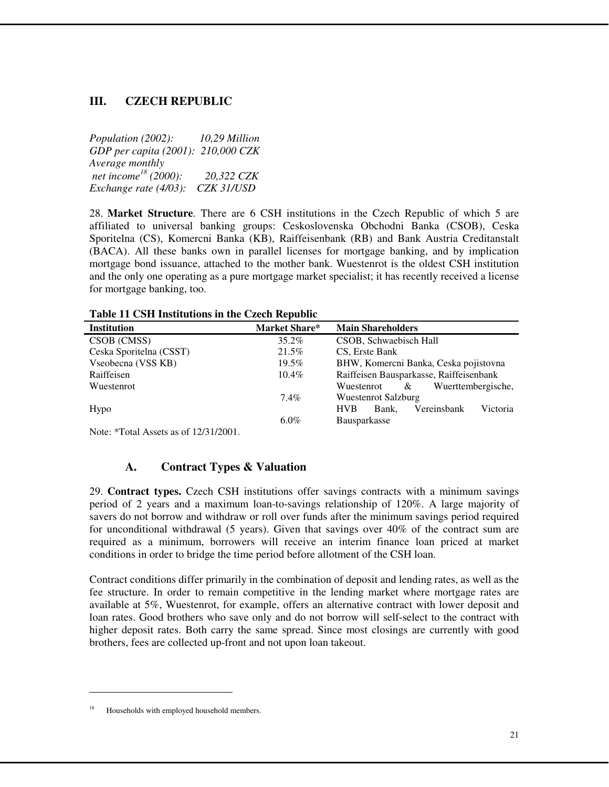# **III. CZECH REPUBLIC**

*Population (2002): 10,29 Million GDP per capita (2001): 210,000 CZK Average monthly net income<sup>18</sup> (2000): 20,322 CZK Exchange rate (4/03): CZK 31/USD* 

28. **Market Structure**. There are 6 CSH institutions in the Czech Republic of which 5 are affiliated to universal banking groups: Ceskoslovenska Obchodni Banka (CSOB), Ceska Sporitelna (CS), Komercni Banka (KB), Raiffeisenbank (RB) and Bank Austria Creditanstalt (BACA). All these banks own in parallel licenses for mortgage banking, and by implication mortgage bond issuance, attached to the mother bank. Wuestenrot is the oldest CSH institution and the only one operating as a pure mortgage market specialist; it has recently received a license for mortgage banking, too.

| Table 11 Co11 Institutions in the Czech Republic |                      |                                                |
|--------------------------------------------------|----------------------|------------------------------------------------|
| <b>Institution</b>                               | <b>Market Share*</b> | <b>Main Shareholders</b>                       |
| CSOB (CMSS)                                      | $35.2\%$             | CSOB, Schwaebisch Hall                         |
| Ceska Sporitelna (CSST)                          | 21.5%                | CS, Erste Bank                                 |
| Vseobecna (VSS KB)                               | 19.5%                | BHW, Komercni Banka, Ceska pojistovna          |
| Raiffeisen                                       | $10.4\%$             | Raiffeisen Bausparkasse, Raiffeisenbank        |
| Wuestenrot                                       |                      | Wuerttembergische,<br>Wuestenrot<br>&          |
|                                                  | $7.4\%$              | <b>Wuestenrot Salzburg</b>                     |
| Hypo                                             |                      | Victoria<br>Vereinsbank<br><b>HVB</b><br>Bank. |
|                                                  | $6.0\%$              | <b>Bausparkasse</b>                            |
|                                                  |                      |                                                |

**Table 11 CSH Institutions in the Czech Republic**

Note: \*Total Assets as of 12/31/2001.

# **A. Contract Types & Valuation**

29. **Contract types.** Czech CSH institutions offer savings contracts with a minimum savings period of 2 years and a maximum loan-to-savings relationship of 120%. A large majority of savers do not borrow and withdraw or roll over funds after the minimum savings period required for unconditional withdrawal (5 years). Given that savings over 40% of the contract sum are required as a minimum, borrowers will receive an interim finance loan priced at market conditions in order to bridge the time period before allotment of the CSH loan.

Contract conditions differ primarily in the combination of deposit and lending rates, as well as the fee structure. In order to remain competitive in the lending market where mortgage rates are available at 5%, Wuestenrot, for example, offers an alternative contract with lower deposit and loan rates. Good brothers who save only and do not borrow will self-select to the contract with higher deposit rates. Both carry the same spread. Since most closings are currently with good brothers, fees are collected up-front and not upon loan takeout.

 $\overline{a}$ 

Households with employed household members.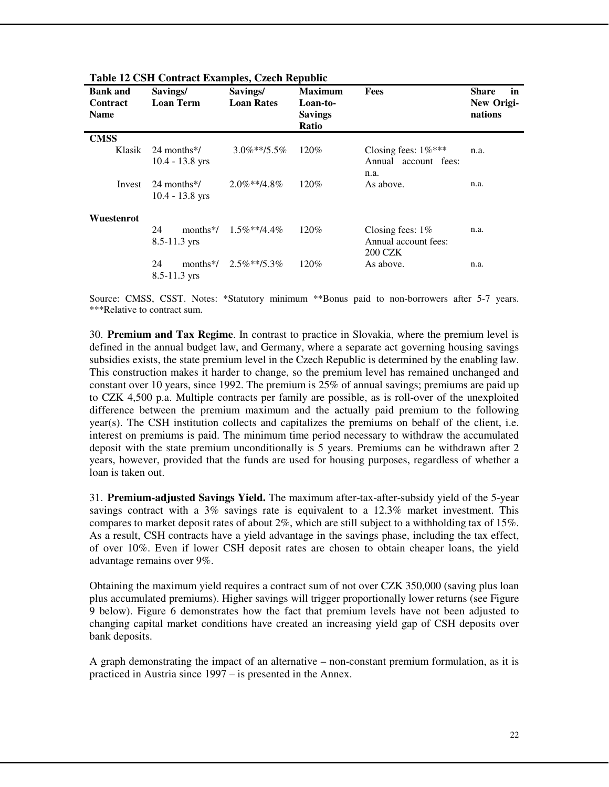| <b>Bank and</b><br><b>Contract</b><br><b>Name</b> | Savings/<br><b>Loan Term</b>                    | Savings/<br><b>Loan Rates</b> | <b>Maximum</b><br>Loan-to-<br><b>Savings</b><br>Ratio | <b>Fees</b>                                                   | Share<br>in<br>New Origi-<br>nations |
|---------------------------------------------------|-------------------------------------------------|-------------------------------|-------------------------------------------------------|---------------------------------------------------------------|--------------------------------------|
| <b>CMSS</b><br>Klasik                             | 24 months*/<br>$10.4 - 13.8$ yrs                | $3.0\%**/5.5\%$               | 120\%                                                 | Closing fees: $1\%***$<br>Annual account fees:<br>n.a.        | n.a.                                 |
| Invest                                            | $24$ months $\frac{k}{4}$<br>$10.4 - 13.8$ yrs  | $2.0\%$ **/4.8%               | 120\%                                                 | As above.                                                     | n.a.                                 |
| Wuestenrot                                        | 24<br>months <sup>*/</sup><br>$8.5 - 11.3$ yrs  | $1.5\%$ **/4.4%               | 120\%                                                 | Closing fees: $1\%$<br>Annual account fees:<br><b>200 CZK</b> | n.a.                                 |
|                                                   | 24<br>months <sup>*</sup> /<br>$8.5 - 11.3$ yrs | $2.5\%$ **/5.3%               | 120%                                                  | As above.                                                     | n.a.                                 |

**Table 12 CSH Contract Examples, Czech Republic** 

Source: CMSS, CSST. Notes: \*Statutory minimum \*\*Bonus paid to non-borrowers after 5-7 years. \*\*\*Relative to contract sum.

30. **Premium and Tax Regime**. In contrast to practice in Slovakia, where the premium level is defined in the annual budget law, and Germany, where a separate act governing housing savings subsidies exists, the state premium level in the Czech Republic is determined by the enabling law. This construction makes it harder to change, so the premium level has remained unchanged and constant over 10 years, since 1992. The premium is 25% of annual savings; premiums are paid up to CZK 4,500 p.a. Multiple contracts per family are possible, as is roll-over of the unexploited difference between the premium maximum and the actually paid premium to the following year(s). The CSH institution collects and capitalizes the premiums on behalf of the client, i.e. interest on premiums is paid. The minimum time period necessary to withdraw the accumulated deposit with the state premium unconditionally is 5 years. Premiums can be withdrawn after 2 years, however, provided that the funds are used for housing purposes, regardless of whether a loan is taken out.

31. **Premium-adjusted Savings Yield.** The maximum after-tax-after-subsidy yield of the 5-year savings contract with a 3% savings rate is equivalent to a 12.3% market investment. This compares to market deposit rates of about  $2\%$ , which are still subject to a withholding tax of 15%. As a result, CSH contracts have a yield advantage in the savings phase, including the tax effect, of over 10%. Even if lower CSH deposit rates are chosen to obtain cheaper loans, the yield advantage remains over 9%.

Obtaining the maximum yield requires a contract sum of not over CZK 350,000 (saving plus loan plus accumulated premiums). Higher savings will trigger proportionally lower returns (see Figure 9 below). Figure 6 demonstrates how the fact that premium levels have not been adjusted to changing capital market conditions have created an increasing yield gap of CSH deposits over bank deposits.

A graph demonstrating the impact of an alternative – non-constant premium formulation, as it is practiced in Austria since 1997 – is presented in the Annex.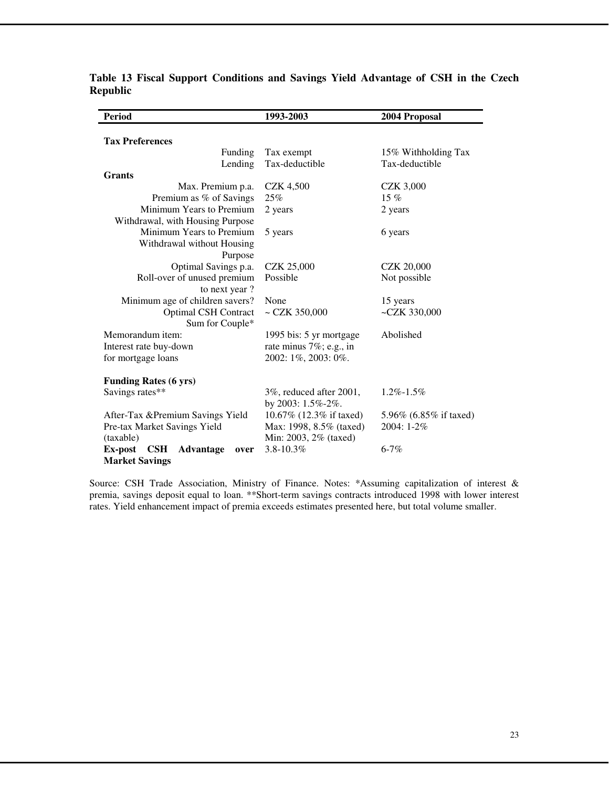| <b>Period</b>                                     | 1993-2003               | 2004 Proposal          |
|---------------------------------------------------|-------------------------|------------------------|
|                                                   |                         |                        |
| <b>Tax Preferences</b>                            |                         |                        |
| Funding                                           | Tax exempt              | 15% Withholding Tax    |
| Lending                                           | Tax-deductible          | Tax-deductible         |
| <b>Grants</b>                                     |                         |                        |
| Max. Premium p.a.                                 | <b>CZK 4,500</b>        | <b>CZK 3,000</b>       |
| Premium as % of Savings                           | 25%                     | $15\%$                 |
| Minimum Years to Premium                          | 2 years                 | 2 years                |
| Withdrawal, with Housing Purpose                  |                         |                        |
| Minimum Years to Premium                          | 5 years                 | 6 years                |
| Withdrawal without Housing                        |                         |                        |
| Purpose                                           |                         |                        |
| Optimal Savings p.a.                              | <b>CZK 25,000</b>       | <b>CZK 20,000</b>      |
| Roll-over of unused premium                       | Possible                | Not possible           |
| to next year?                                     |                         |                        |
| Minimum age of children savers?                   | None                    | 15 years               |
| <b>Optimal CSH Contract</b>                       | $\sim$ CZK 350,000      | ~CZK 330,000           |
| Sum for Couple*                                   |                         |                        |
| Memorandum item:                                  | 1995 bis: 5 yr mortgage | Abolished              |
| Interest rate buy-down                            | rate minus 7%; e.g., in |                        |
| for mortgage loans                                | 2002: 1%, 2003: 0%.     |                        |
|                                                   |                         |                        |
| <b>Funding Rates (6 yrs)</b>                      |                         |                        |
| Savings rates**                                   | 3%, reduced after 2001, | $1.2\% - 1.5\%$        |
|                                                   | by 2003: 1.5%-2%.       |                        |
| After-Tax &Premium Savings Yield                  | 10.67% (12.3% if taxed) | 5.96% (6.85% if taxed) |
| Pre-tax Market Savings Yield                      | Max: 1998, 8.5% (taxed) | 2004: 1-2%             |
| (taxable)                                         | Min: 2003, 2% (taxed)   |                        |
| Ex-post<br><b>CSH</b><br><b>Advantage</b><br>over | $3.8 - 10.3\%$          | $6 - 7%$               |
| <b>Market Savings</b>                             |                         |                        |

**Table 13 Fiscal Support Conditions and Savings Yield Advantage of CSH in the Czech Republic** 

Source: CSH Trade Association, Ministry of Finance. Notes: \*Assuming capitalization of interest & premia, savings deposit equal to loan. \*\*Short-term savings contracts introduced 1998 with lower interest rates. Yield enhancement impact of premia exceeds estimates presented here, but total volume smaller.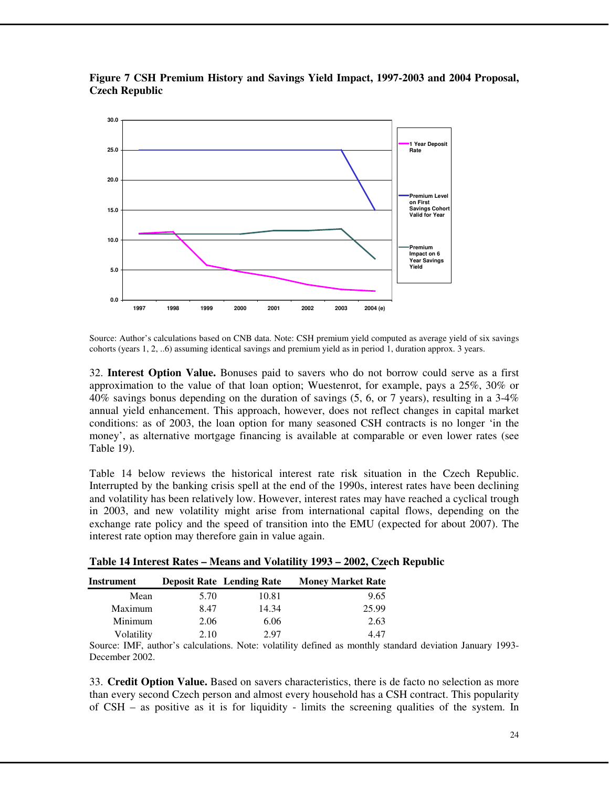

**Figure 7 CSH Premium History and Savings Yield Impact, 1997-2003 and 2004 Proposal, Czech Republic** 

Source: Author's calculations based on CNB data. Note: CSH premium yield computed as average yield of six savings cohorts (years 1, 2, ..6) assuming identical savings and premium yield as in period 1, duration approx. 3 years.

32. **Interest Option Value.** Bonuses paid to savers who do not borrow could serve as a first approximation to the value of that loan option; Wuestenrot, for example, pays a 25%, 30% or 40% savings bonus depending on the duration of savings (5, 6, or 7 years), resulting in a 3-4% annual yield enhancement. This approach, however, does not reflect changes in capital market conditions: as of 2003, the loan option for many seasoned CSH contracts is no longer 'in the money', as alternative mortgage financing is available at comparable or even lower rates (see Table 19).

Table 14 below reviews the historical interest rate risk situation in the Czech Republic. Interrupted by the banking crisis spell at the end of the 1990s, interest rates have been declining and volatility has been relatively low. However, interest rates may have reached a cyclical trough in 2003, and new volatility might arise from international capital flows, depending on the exchange rate policy and the speed of transition into the EMU (expected for about 2007). The interest rate option may therefore gain in value again.

| Instrument |      | <b>Deposit Rate</b> Lending Rate | <b>Money Market Rate</b> |
|------------|------|----------------------------------|--------------------------|
| Mean       | 5.70 | 10.81                            | 9.65                     |
| Maximum    | 8.47 | 14.34                            | 25.99                    |
| Minimum    | 2.06 | 6.06                             | 2.63                     |
| Volatility | 2.10 | 2.97                             | 4 47                     |

**Table 14 Interest Rates – Means and Volatility 1993 – 2002, Czech Republic** 

Source: IMF, author's calculations. Note: volatility defined as monthly standard deviation January 1993- December 2002.

33. **Credit Option Value.** Based on savers characteristics, there is de facto no selection as more than every second Czech person and almost every household has a CSH contract. This popularity of  $CSH -$  as positive as it is for liquidity - limits the screening qualities of the system. In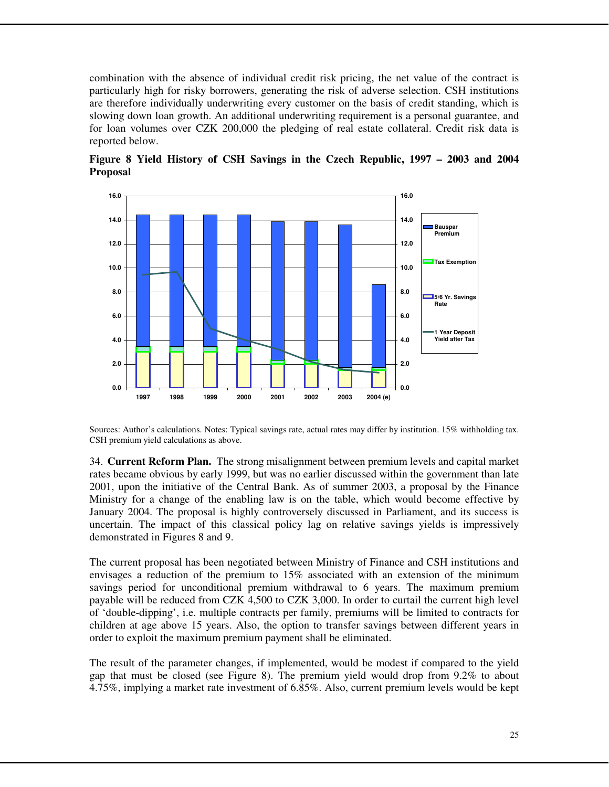combination with the absence of individual credit risk pricing, the net value of the contract is particularly high for risky borrowers, generating the risk of adverse selection. CSH institutions are therefore individually underwriting every customer on the basis of credit standing, which is slowing down loan growth. An additional underwriting requirement is a personal guarantee, and for loan volumes over CZK 200,000 the pledging of real estate collateral. Credit risk data is reported below.



**Figure 8 Yield History of CSH Savings in the Czech Republic, 1997 – 2003 and 2004 Proposal** 

Sources: Author's calculations. Notes: Typical savings rate, actual rates may differ by institution. 15% withholding tax. CSH premium yield calculations as above.

34. **Current Reform Plan.** The strong misalignment between premium levels and capital market rates became obvious by early 1999, but was no earlier discussed within the government than late 2001, upon the initiative of the Central Bank. As of summer 2003, a proposal by the Finance Ministry for a change of the enabling law is on the table, which would become effective by January 2004. The proposal is highly controversely discussed in Parliament, and its success is uncertain. The impact of this classical policy lag on relative savings yields is impressively demonstrated in Figures 8 and 9.

The current proposal has been negotiated between Ministry of Finance and CSH institutions and envisages a reduction of the premium to 15% associated with an extension of the minimum savings period for unconditional premium withdrawal to 6 years. The maximum premium payable will be reduced from CZK 4,500 to CZK 3,000. In order to curtail the current high level of 'double-dipping', i.e. multiple contracts per family, premiums will be limited to contracts for children at age above 15 years. Also, the option to transfer savings between different years in order to exploit the maximum premium payment shall be eliminated.

The result of the parameter changes, if implemented, would be modest if compared to the yield gap that must be closed (see Figure 8). The premium yield would drop from 9.2% to about 4.75%, implying a market rate investment of 6.85%. Also, current premium levels would be kept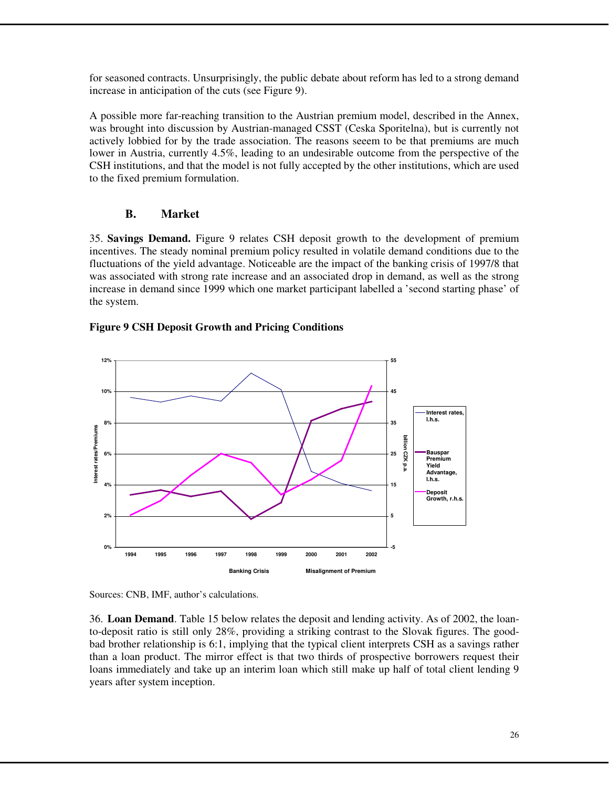for seasoned contracts. Unsurprisingly, the public debate about reform has led to a strong demand increase in anticipation of the cuts (see Figure 9).

A possible more far-reaching transition to the Austrian premium model, described in the Annex, was brought into discussion by Austrian-managed CSST (Ceska Sporitelna), but is currently not actively lobbied for by the trade association. The reasons seeem to be that premiums are much lower in Austria, currently 4.5%, leading to an undesirable outcome from the perspective of the CSH institutions, and that the model is not fully accepted by the other institutions, which are used to the fixed premium formulation.

# **B. Market**

35. **Savings Demand.** Figure 9 relates CSH deposit growth to the development of premium incentives. The steady nominal premium policy resulted in volatile demand conditions due to the fluctuations of the yield advantage. Noticeable are the impact of the banking crisis of 1997/8 that was associated with strong rate increase and an associated drop in demand, as well as the strong increase in demand since 1999 which one market participant labelled a 'second starting phase' of the system.

# **Figure 9 CSH Deposit Growth and Pricing Conditions**



Sources: CNB, IMF, author's calculations.

36. **Loan Demand**. Table 15 below relates the deposit and lending activity. As of 2002, the loanto-deposit ratio is still only 28%, providing a striking contrast to the Slovak figures. The goodbad brother relationship is 6:1, implying that the typical client interprets CSH as a savings rather than a loan product. The mirror effect is that two thirds of prospective borrowers request their loans immediately and take up an interim loan which still make up half of total client lending 9 years after system inception.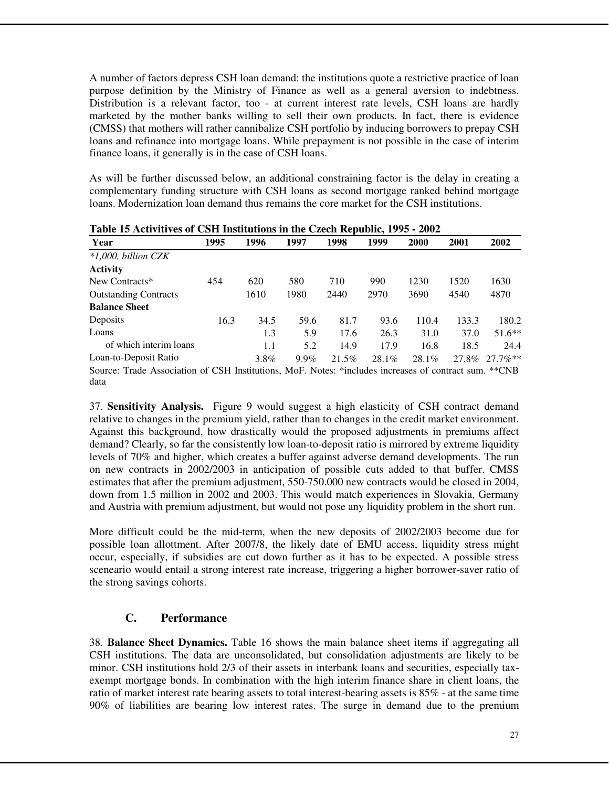A number of factors depress CSH loan demand: the institutions quote a restrictive practice of loan purpose definition by the Ministry of Finance as well as a general aversion to indebtness. Distribution is a relevant factor, too - at current interest rate levels, CSH loans are hardly marketed by the mother banks willing to sell their own products. In fact, there is evidence (CMSS) that mothers will rather cannibalize CSH portfolio by inducing borrowers to prepay CSH loans and refinance into mortgage loans. While prepayment is not possible in the case of interim finance loans, it generally is in the case of CSH loans.

As will be further discussed below, an additional constraining factor is the delay in creating a complementary funding structure with CSH loans as second mortgage ranked behind mortgage loans. Modernization loan demand thus remains the core market for the CSH institutions.

| Year                                                                                                  | 1995 | 1996 | 1997    | 1998  | 1999  | 2000     | 2001  | 2002       |
|-------------------------------------------------------------------------------------------------------|------|------|---------|-------|-------|----------|-------|------------|
| $*1,000$ , billion CZK                                                                                |      |      |         |       |       |          |       |            |
| <b>Activity</b>                                                                                       |      |      |         |       |       |          |       |            |
| New Contracts*                                                                                        | 454  | 620  | 580     | 710   | 990   | 1230     | 1520  | 1630       |
| <b>Outstanding Contracts</b>                                                                          |      | 1610 | 1980    | 2440  | 2970  | 3690     | 4540  | 4870       |
| <b>Balance Sheet</b>                                                                                  |      |      |         |       |       |          |       |            |
| Deposits                                                                                              | 16.3 | 34.5 | 59.6    | 81.7  | 93.6  | 110.4    | 133.3 | 180.2      |
| Loans                                                                                                 |      | 1.3  | 5.9     | 17.6  | 26.3  | 31.0     | 37.0  | $51.6**$   |
| of which interim loans                                                                                |      | 1.1  | 5.2     | 14.9  | 17.9  | 16.8     | 18.5  | 24.4       |
| Loan-to-Deposit Ratio                                                                                 |      | 3.8% | $9.9\%$ | 21.5% | 28.1% | $28.1\%$ | 27.8% | $27.7\%**$ |
| Source: Trade Association of CSH Institutions, MoF. Notes: *includes increases of contract sum. **CNB |      |      |         |       |       |          |       |            |
| data                                                                                                  |      |      |         |       |       |          |       |            |

**Table 15 Activitives of CSH Institutions in the Czech Republic, 1995 - 2002** 

37. **Sensitivity Analysis.** Figure 9 would suggest a high elasticity of CSH contract demand relative to changes in the premium yield, rather than to changes in the credit market environment. Against this background, how drastically would the proposed adjustments in premiums affect demand? Clearly, so far the consistently low loan-to-deposit ratio is mirrored by extreme liquidity levels of 70% and higher, which creates a buffer against adverse demand developments. The run on new contracts in 2002/2003 in anticipation of possible cuts added to that buffer. CMSS estimates that after the premium adjustment, 550-750.000 new contracts would be closed in 2004, down from 1.5 million in 2002 and 2003. This would match experiences in Slovakia, Germany and Austria with premium adjustment, but would not pose any liquidity problem in the short run.

More difficult could be the mid-term, when the new deposits of 2002/2003 become due for possible loan allottment. After 2007/8, the likely date of EMU access, liquidity stress might occur, especially, if subsidies are cut down further as it has to be expected. A possible stress sceneario would entail a strong interest rate increase, triggering a higher borrower-saver ratio of the strong savings cohorts.

# **C. Performance**

38. **Balance Sheet Dynamics.** Table 16 shows the main balance sheet items if aggregating all CSH institutions. The data are unconsolidated, but consolidation adjustments are likely to be minor. CSH institutions hold 2/3 of their assets in interbank loans and securities, especially taxexempt mortgage bonds. In combination with the high interim finance share in client loans, the ratio of market interest rate bearing assets to total interest-bearing assets is 85% - at the same time 90% of liabilities are bearing low interest rates. The surge in demand due to the premium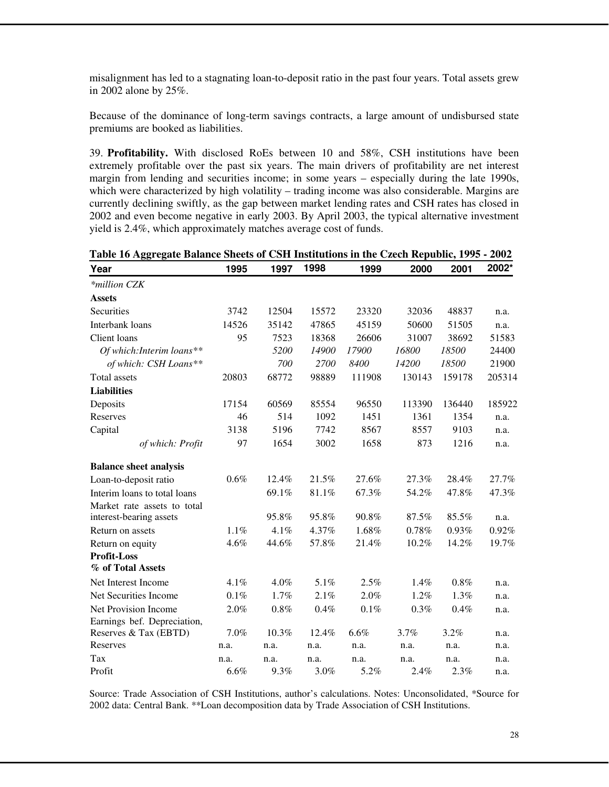misalignment has led to a stagnating loan-to-deposit ratio in the past four years. Total assets grew in 2002 alone by 25%.

Because of the dominance of long-term savings contracts, a large amount of undisbursed state premiums are booked as liabilities.

39. **Profitability.** With disclosed RoEs between 10 and 58%, CSH institutions have been extremely profitable over the past six years. The main drivers of profitability are net interest margin from lending and securities income; in some years – especially during the late 1990s, which were characterized by high volatility – trading income was also considerable. Margins are currently declining swiftly, as the gap between market lending rates and CSH rates has closed in 2002 and even become negative in early 2003. By April 2003, the typical alternative investment yield is 2.4%, which approximately matches average cost of funds.

| Table 16 Aggregate Balance Sheets of CSH Institutions in the Czech Republic, 1995 - 2002 |       |          |          |         |        |        |        |  |  |  |
|------------------------------------------------------------------------------------------|-------|----------|----------|---------|--------|--------|--------|--|--|--|
| Year                                                                                     | 1995  | 1997     | 1998     | 1999    | 2000   | 2001   | 2002*  |  |  |  |
| *million CZK                                                                             |       |          |          |         |        |        |        |  |  |  |
| <b>Assets</b>                                                                            |       |          |          |         |        |        |        |  |  |  |
| Securities                                                                               | 3742  | 12504    | 15572    | 23320   | 32036  | 48837  | n.a.   |  |  |  |
| Interbank loans                                                                          | 14526 | 35142    | 47865    | 45159   | 50600  | 51505  | n.a.   |  |  |  |
| Client loans                                                                             | 95    | 7523     | 18368    | 26606   | 31007  | 38692  | 51583  |  |  |  |
| Of which: Interim loans**                                                                |       | 5200     | 14900    | 17900   | 16800  | 18500  | 24400  |  |  |  |
| of which: CSH Loans**                                                                    |       | 700      | 2700     | 8400    | 14200  | 18500  | 21900  |  |  |  |
| <b>Total</b> assets                                                                      | 20803 | 68772    | 98889    | 111908  | 130143 | 159178 | 205314 |  |  |  |
| <b>Liabilities</b>                                                                       |       |          |          |         |        |        |        |  |  |  |
| Deposits                                                                                 | 17154 | 60569    | 85554    | 96550   | 113390 | 136440 | 185922 |  |  |  |
| Reserves                                                                                 | 46    | 514      | 1092     | 1451    | 1361   | 1354   | n.a.   |  |  |  |
| Capital                                                                                  | 3138  | 5196     | 7742     | 8567    | 8557   | 9103   | n.a.   |  |  |  |
| of which: Profit                                                                         | 97    | 1654     | 3002     | 1658    | 873    | 1216   | n.a.   |  |  |  |
| <b>Balance sheet analysis</b>                                                            |       |          |          |         |        |        |        |  |  |  |
| Loan-to-deposit ratio                                                                    | 0.6%  | $12.4\%$ | 21.5%    | 27.6%   | 27.3%  | 28.4%  | 27.7%  |  |  |  |
| Interim loans to total loans                                                             |       | 69.1%    | 81.1%    | 67.3%   | 54.2%  | 47.8%  | 47.3%  |  |  |  |
| Market rate assets to total                                                              |       |          |          |         |        |        |        |  |  |  |
| interest-bearing assets                                                                  |       | 95.8%    | 95.8%    | 90.8%   | 87.5%  | 85.5%  | n.a.   |  |  |  |
| Return on assets                                                                         | 1.1%  | $4.1\%$  | 4.37%    | 1.68%   | 0.78%  | 0.93%  | 0.92%  |  |  |  |
| Return on equity                                                                         | 4.6%  | 44.6%    | 57.8%    | 21.4%   | 10.2%  | 14.2%  | 19.7%  |  |  |  |
| <b>Profit-Loss</b>                                                                       |       |          |          |         |        |        |        |  |  |  |
| % of Total Assets                                                                        |       |          |          |         |        |        |        |  |  |  |
| Net Interest Income                                                                      | 4.1%  | 4.0%     | 5.1%     | 2.5%    | 1.4%   | 0.8%   | n.a.   |  |  |  |
| Net Securities Income                                                                    | 0.1%  | 1.7%     | 2.1%     | 2.0%    | 1.2%   | 1.3%   | n.a.   |  |  |  |
| Net Provision Income                                                                     | 2.0%  | 0.8%     | 0.4%     | 0.1%    | 0.3%   | 0.4%   | n.a.   |  |  |  |
| Earnings bef. Depreciation,                                                              |       |          |          |         |        |        |        |  |  |  |
| Reserves & Tax (EBTD)                                                                    | 7.0%  | $10.3\%$ | $12.4\%$ | $6.6\%$ | 3.7%   | 3.2%   | n.a.   |  |  |  |
| Reserves                                                                                 | n.a.  | n.a.     | n.a.     | n.a.    | n.a.   | n.a.   | n.a.   |  |  |  |
| Tax                                                                                      | n.a.  | n.a.     | n.a.     | n.a.    | n.a.   | n.a.   | n.a.   |  |  |  |
| Profit                                                                                   | 6.6%  | 9.3%     | 3.0%     | 5.2%    | 2.4%   | 2.3%   | n.a.   |  |  |  |

Source: Trade Association of CSH Institutions, author's calculations. Notes: Unconsolidated, \*Source for 2002 data: Central Bank. \*\*Loan decomposition data by Trade Association of CSH Institutions.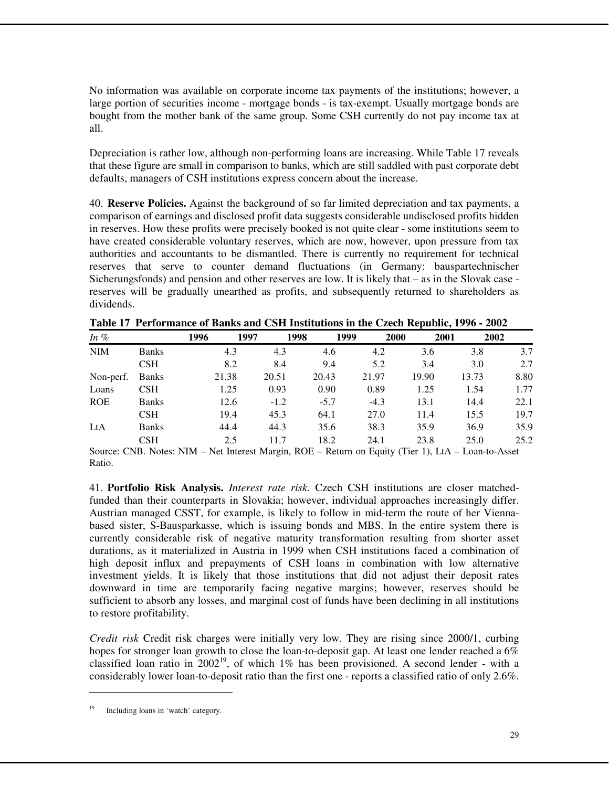No information was available on corporate income tax payments of the institutions; however, a large portion of securities income - mortgage bonds - is tax-exempt. Usually mortgage bonds are bought from the mother bank of the same group. Some CSH currently do not pay income tax at all.

Depreciation is rather low, although non-performing loans are increasing. While Table 17 reveals that these figure are small in comparison to banks, which are still saddled with past corporate debt defaults, managers of CSH institutions express concern about the increase.

40. **Reserve Policies.** Against the background of so far limited depreciation and tax payments, a comparison of earnings and disclosed profit data suggests considerable undisclosed profits hidden in reserves. How these profits were precisely booked is not quite clear - some institutions seem to have created considerable voluntary reserves, which are now, however, upon pressure from tax authorities and accountants to be dismantled. There is currently no requirement for technical reserves that serve to counter demand fluctuations (in Germany: bauspartechnischer Sicherungsfonds) and pension and other reserves are low. It is likely that – as in the Slovak case reserves will be gradually unearthed as profits, and subsequently returned to shareholders as dividends.

| In $%$     |              | 1996  | 1997   | 1998   | 1999   | 2000  | 2001  | 2002 |
|------------|--------------|-------|--------|--------|--------|-------|-------|------|
| <b>NIM</b> | <b>Banks</b> | 4.3   | 4.3    | 4.6    | 4.2    | 3.6   | 3.8   | 3.7  |
|            | CSH          | 8.2   | 8.4    | 9.4    | 5.2    | 3.4   | 3.0   | 2.7  |
| Non-perf.  | <b>Banks</b> | 21.38 | 20.51  | 20.43  | 21.97  | 19.90 | 13.73 | 8.80 |
| Loans      | CSH          | 1.25  | 0.93   | 0.90   | 0.89   | 1.25  | 1.54  | 1.77 |
| <b>ROE</b> | <b>Banks</b> | 12.6  | $-1.2$ | $-5.7$ | $-4.3$ | 13.1  | 14.4  | 22.1 |
|            | <b>CSH</b>   | 19.4  | 45.3   | 64.1   | 27.0   | 11.4  | 15.5  | 19.7 |
| LtA        | <b>Banks</b> | 44.4  | 44.3   | 35.6   | 38.3   | 35.9  | 36.9  | 35.9 |
|            | CSH          | 2.5   | 11.7   | 18.2   | 24.1   | 23.8  | 25.0  | 25.2 |

Source: CNB. Notes: NIM – Net Interest Margin, ROE – Return on Equity (Tier 1), LtA – Loan-to-Asset Ratio.

41. **Portfolio Risk Analysis.** *Interest rate risk.* Czech CSH institutions are closer matchedfunded than their counterparts in Slovakia; however, individual approaches increasingly differ. Austrian managed CSST, for example, is likely to follow in mid-term the route of her Viennabased sister, S-Bausparkasse, which is issuing bonds and MBS. In the entire system there is currently considerable risk of negative maturity transformation resulting from shorter asset durations, as it materialized in Austria in 1999 when CSH institutions faced a combination of high deposit influx and prepayments of CSH loans in combination with low alternative investment yields. It is likely that those institutions that did not adjust their deposit rates downward in time are temporarily facing negative margins; however, reserves should be sufficient to absorb any losses, and marginal cost of funds have been declining in all institutions to restore profitability.

*Credit risk* Credit risk charges were initially very low. They are rising since 2000/1, curbing hopes for stronger loan growth to close the loan-to-deposit gap. At least one lender reached a  $6\%$ classified loan ratio in  $2002^{19}$ , of which 1% has been provisioned. A second lender - with a considerably lower loan-to-deposit ratio than the first one - reports a classified ratio of only 2.6%.

 $\overline{a}$ 

Including loans in 'watch' category.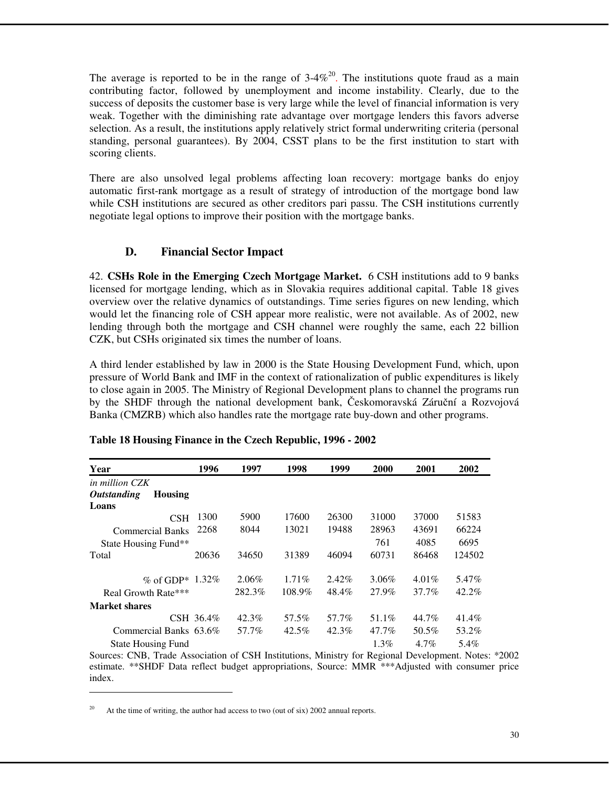The average is reported to be in the range of  $3.4\%$ <sup>20</sup>. The institutions quote fraud as a main contributing factor, followed by unemployment and income instability. Clearly, due to the success of deposits the customer base is very large while the level of financial information is very weak. Together with the diminishing rate advantage over mortgage lenders this favors adverse selection. As a result, the institutions apply relatively strict formal underwriting criteria (personal standing, personal guarantees). By 2004, CSST plans to be the first institution to start with scoring clients.

There are also unsolved legal problems affecting loan recovery: mortgage banks do enjoy automatic first-rank mortgage as a result of strategy of introduction of the mortgage bond law while CSH institutions are secured as other creditors pari passu. The CSH institutions currently negotiate legal options to improve their position with the mortgage banks.

# **D. Financial Sector Impact**

42. **CSHs Role in the Emerging Czech Mortgage Market.** 6 CSH institutions add to 9 banks licensed for mortgage lending, which as in Slovakia requires additional capital. Table 18 gives overview over the relative dynamics of outstandings. Time series figures on new lending, which would let the financing role of CSH appear more realistic, were not available. As of 2002, new lending through both the mortgage and CSH channel were roughly the same, each 22 billion CZK, but CSHs originated six times the number of loans.

A third lender established by law in 2000 is the State Housing Development Fund, which, upon pressure of World Bank and IMF in the context of rationalization of public expenditures is likely to close again in 2005. The Ministry of Regional Development plans to channel the programs run by the SHDF through the national development bank, Českomoravská Záruční a Rozvojová Banka (CMZRB) which also handles rate the mortgage rate buy-down and other programs.

| Year                                 | 1996      | 1997     | 1998     | 1999     | 2000     | 2001     | 2002   |
|--------------------------------------|-----------|----------|----------|----------|----------|----------|--------|
| in million CZK                       |           |          |          |          |          |          |        |
| <i><b>Outstanding</b></i><br>Housing |           |          |          |          |          |          |        |
| Loans                                |           |          |          |          |          |          |        |
| CSH                                  | 1300      | 5900     | 17600    | 26300    | 31000    | 37000    | 51583  |
| <b>Commercial Banks</b>              | 2268      | 8044     | 13021    | 19488    | 28963    | 43691    | 66224  |
| State Housing Fund**                 |           |          |          |          | 761      | 4085     | 6695   |
| Total                                | 20636     | 34650    | 31389    | 46094    | 60731    | 86468    | 124502 |
| % of GDP* 1.32%                      |           | $2.06\%$ | $1.71\%$ | $2.42\%$ | $3.06\%$ | $4.01\%$ | 5.47%  |
| Real Growth Rate***                  |           | 282.3%   | 108.9%   | 48.4%    | 27.9%    | 37.7%    | 42.2%  |
| Market shares                        |           |          |          |          |          |          |        |
|                                      | CSH 36.4% | 42.3%    | 57.5%    | 57.7%    | 51.1%    | 44.7%    | 41.4%  |
| Commercial Banks 63.6%               |           | 57.7%    | $42.5\%$ | 42.3%    | 47.7%    | 50.5%    | 53.2%  |
| <b>State Housing Fund</b>            |           |          |          |          | $1.3\%$  | $4.7\%$  | 5.4%   |

#### **Table 18 Housing Finance in the Czech Republic, 1996 - 2002**

Sources: CNB, Trade Association of CSH Institutions, Ministry for Regional Development. Notes: \*2002 estimate. \*\*SHDF Data reflect budget appropriations, Source: MMR \*\*\*Adjusted with consumer price index.

 $\overline{a}$ 

At the time of writing, the author had access to two (out of six) 2002 annual reports.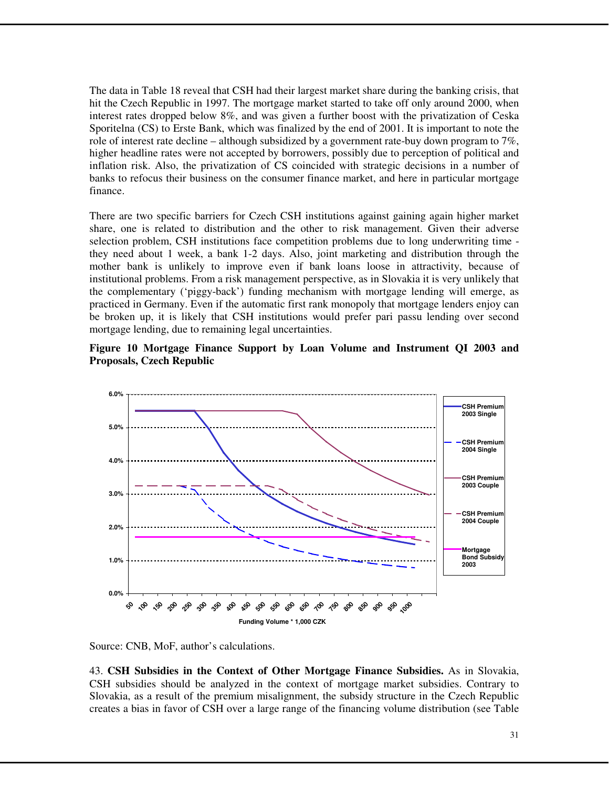The data in Table 18 reveal that CSH had their largest market share during the banking crisis, that hit the Czech Republic in 1997. The mortgage market started to take off only around 2000, when interest rates dropped below 8%, and was given a further boost with the privatization of Ceska Sporitelna (CS) to Erste Bank, which was finalized by the end of 2001. It is important to note the role of interest rate decline – although subsidized by a government rate-buy down program to  $7\%$ , higher headline rates were not accepted by borrowers, possibly due to perception of political and inflation risk. Also, the privatization of CS coincided with strategic decisions in a number of banks to refocus their business on the consumer finance market, and here in particular mortgage finance.

There are two specific barriers for Czech CSH institutions against gaining again higher market share, one is related to distribution and the other to risk management. Given their adverse selection problem, CSH institutions face competition problems due to long underwriting time they need about 1 week, a bank 1-2 days. Also, joint marketing and distribution through the mother bank is unlikely to improve even if bank loans loose in attractivity, because of institutional problems. From a risk management perspective, as in Slovakia it is very unlikely that the complementary ('piggy-back') funding mechanism with mortgage lending will emerge, as practiced in Germany. Even if the automatic first rank monopoly that mortgage lenders enjoy can be broken up, it is likely that CSH institutions would prefer pari passu lending over second mortgage lending, due to remaining legal uncertainties.





Source: CNB, MoF, author's calculations.

43. **CSH Subsidies in the Context of Other Mortgage Finance Subsidies.** As in Slovakia, CSH subsidies should be analyzed in the context of mortgage market subsidies. Contrary to Slovakia, as a result of the premium misalignment, the subsidy structure in the Czech Republic creates a bias in favor of CSH over a large range of the financing volume distribution (see Table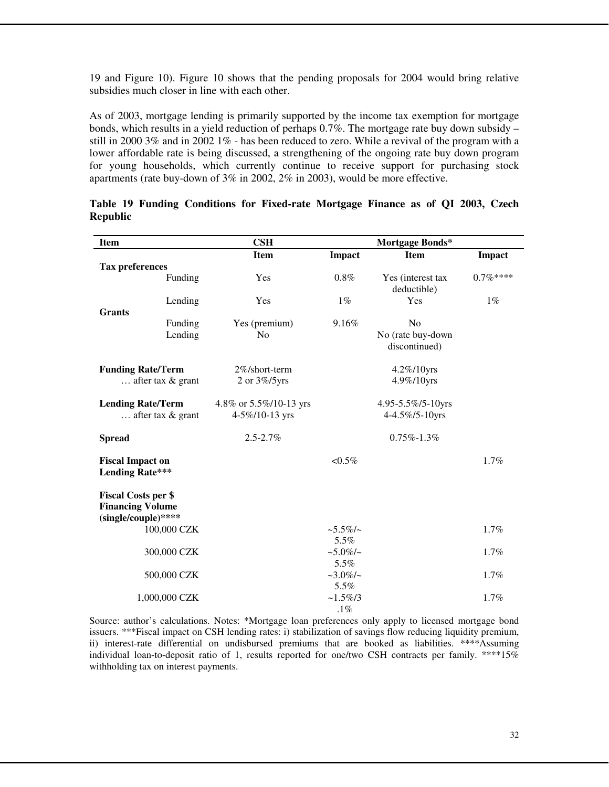19 and Figure 10). Figure 10 shows that the pending proposals for 2004 would bring relative subsidies much closer in line with each other.

As of 2003, mortgage lending is primarily supported by the income tax exemption for mortgage bonds, which results in a yield reduction of perhaps  $0.7\%$ . The mortgage rate buy down subsidy – still in 2000 3% and in 2002 1% - has been reduced to zero. While a revival of the program with a lower affordable rate is being discussed, a strengthening of the ongoing rate buy down program for young households, which currently continue to receive support for purchasing stock apartments (rate buy-down of 3% in 2002, 2% in 2003), would be more effective.

| <b>Item</b>                                                                  |             | $\mathbf{CSH}$                           |                            | Mortgage Bonds*                     |            |
|------------------------------------------------------------------------------|-------------|------------------------------------------|----------------------------|-------------------------------------|------------|
|                                                                              |             | <b>Item</b>                              | Impact                     | <b>Item</b>                         | Impact     |
| <b>Tax preferences</b>                                                       |             |                                          |                            |                                     |            |
|                                                                              | Funding     | Yes                                      | $0.8\%$                    | Yes (interest tax<br>deductible)    | $0.7\%***$ |
| <b>Grants</b>                                                                | Lending     | Yes                                      | $1\%$                      | Yes                                 | $1\%$      |
|                                                                              | Funding     | Yes (premium)                            | 9.16%                      | N <sub>o</sub>                      |            |
|                                                                              | Lending     | No                                       |                            | No (rate buy-down<br>discontinued)  |            |
| <b>Funding Rate/Term</b><br>$\ldots$ after tax & grant                       |             | 2%/short-term<br>2 or 3%/5yrs            |                            | 4.2%/10yrs<br>4.9%/10yrs            |            |
| <b>Lending Rate/Term</b><br>$\ldots$ after tax & grant                       |             | 4.8% or 5.5%/10-13 yrs<br>4-5%/10-13 yrs |                            | 4.95-5.5%/5-10yrs<br>4-4.5%/5-10yrs |            |
| <b>Spread</b>                                                                |             | $2.5 - 2.7\%$                            |                            | $0.75\% - 1.3\%$                    |            |
| <b>Fiscal Impact on</b><br><b>Lending Rate***</b>                            |             |                                          | $< 0.5\%$                  |                                     | 1.7%       |
| <b>Fiscal Costs per \$</b><br><b>Financing Volume</b><br>(single/couple)**** |             |                                          |                            |                                     |            |
|                                                                              | 100,000 CZK |                                          | $~1.5\%$ / $~\sim$<br>5.5% |                                     | 1.7%       |
|                                                                              | 300,000 CZK |                                          | $~1.0\%$ /~<br>5.5%        |                                     | 1.7%       |
|                                                                              | 500,000 CZK |                                          | $~2.0\%$ /~<br>5.5%        |                                     | 1.7%       |
| 1,000,000 CZK                                                                |             |                                          | $~1.5\%/3$<br>$.1\%$       |                                     | 1.7%       |

**Table 19 Funding Conditions for Fixed-rate Mortgage Finance as of QI 2003, Czech Republic** 

Source: author's calculations. Notes: \*Mortgage loan preferences only apply to licensed mortgage bond issuers. \*\*\*Fiscal impact on CSH lending rates: i) stabilization of savings flow reducing liquidity premium, ii) interest-rate differential on undisbursed premiums that are booked as liabilities. \*\*\*\*Assuming individual loan-to-deposit ratio of 1, results reported for one/two CSH contracts per family. \*\*\*\*15% withholding tax on interest payments.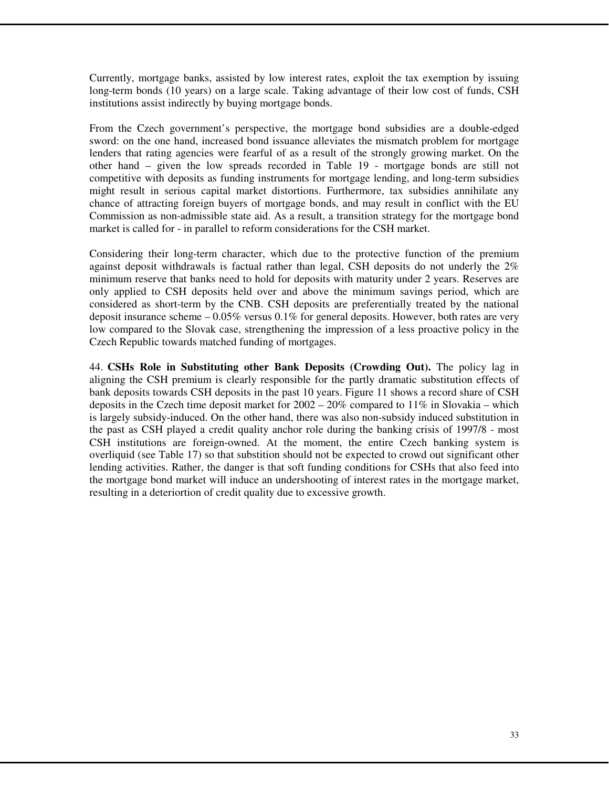Currently, mortgage banks, assisted by low interest rates, exploit the tax exemption by issuing long-term bonds (10 years) on a large scale. Taking advantage of their low cost of funds, CSH institutions assist indirectly by buying mortgage bonds.

From the Czech government's perspective, the mortgage bond subsidies are a double-edged sword: on the one hand, increased bond issuance alleviates the mismatch problem for mortgage lenders that rating agencies were fearful of as a result of the strongly growing market. On the other hand – given the low spreads recorded in Table 19 - mortgage bonds are still not competitive with deposits as funding instruments for mortgage lending, and long-term subsidies might result in serious capital market distortions. Furthermore, tax subsidies annihilate any chance of attracting foreign buyers of mortgage bonds, and may result in conflict with the EU Commission as non-admissible state aid. As a result, a transition strategy for the mortgage bond market is called for - in parallel to reform considerations for the CSH market.

Considering their long-term character, which due to the protective function of the premium against deposit withdrawals is factual rather than legal, CSH deposits do not underly the 2% minimum reserve that banks need to hold for deposits with maturity under 2 years. Reserves are only applied to CSH deposits held over and above the minimum savings period, which are considered as short-term by the CNB. CSH deposits are preferentially treated by the national deposit insurance scheme  $-0.05\%$  versus  $0.1\%$  for general deposits. However, both rates are very low compared to the Slovak case, strengthening the impression of a less proactive policy in the Czech Republic towards matched funding of mortgages.

44. **CSHs Role in Substituting other Bank Deposits (Crowding Out).** The policy lag in aligning the CSH premium is clearly responsible for the partly dramatic substitution effects of bank deposits towards CSH deposits in the past 10 years. Figure 11 shows a record share of CSH deposits in the Czech time deposit market for  $2002 - 20\%$  compared to  $11\%$  in Slovakia – which is largely subsidy-induced. On the other hand, there was also non-subsidy induced substitution in the past as CSH played a credit quality anchor role during the banking crisis of 1997/8 - most CSH institutions are foreign-owned. At the moment, the entire Czech banking system is overliquid (see Table 17) so that substition should not be expected to crowd out significant other lending activities. Rather, the danger is that soft funding conditions for CSHs that also feed into the mortgage bond market will induce an undershooting of interest rates in the mortgage market, resulting in a deteriortion of credit quality due to excessive growth.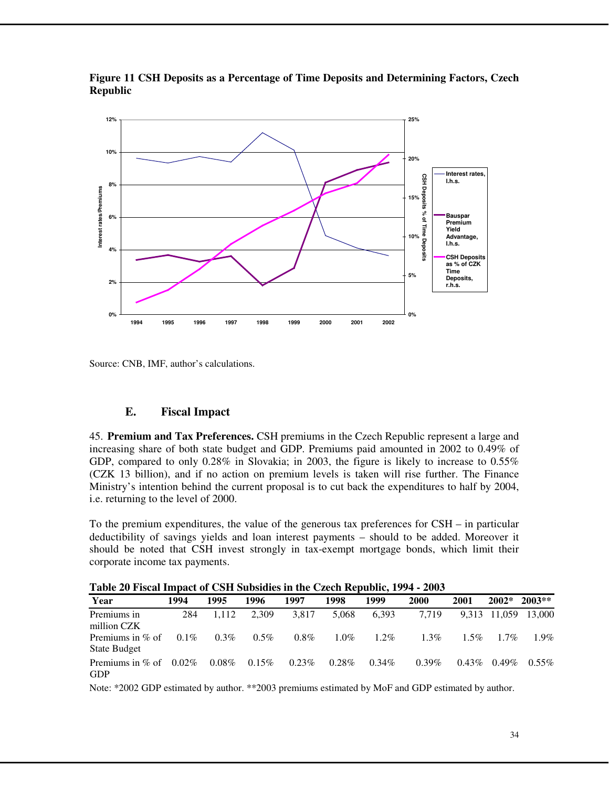

**Figure 11 CSH Deposits as a Percentage of Time Deposits and Determining Factors, Czech Republic** 

Source: CNB, IMF, author's calculations.

#### **E. Fiscal Impact**

45. **Premium and Tax Preferences.** CSH premiums in the Czech Republic represent a large and increasing share of both state budget and GDP. Premiums paid amounted in 2002 to 0.49% of GDP, compared to only 0.28% in Slovakia; in 2003, the figure is likely to increase to 0.55% (CZK 13 billion), and if no action on premium levels is taken will rise further. The Finance Ministry's intention behind the current proposal is to cut back the expenditures to half by 2004, i.e. returning to the level of 2000.

To the premium expenditures, the value of the generous tax preferences for CSH – in particular deductibility of savings yields and loan interest payments – should to be added. Moreover it should be noted that CSH invest strongly in tax-exempt mortgage bonds, which limit their corporate income tax payments.

| Year                               | 1994     | 1995     | 1996    | 1997     | 1998     | 1999     | 2000     | 2001     | $2002*$      | $2003**$ |
|------------------------------------|----------|----------|---------|----------|----------|----------|----------|----------|--------------|----------|
| Premiums in<br>million CZK         | 284      | 1.112    | 2,309   | 3.817    | 5.068    | 6.393    | 7.719    |          | 9,313 11,059 | 13,000   |
| Premiums in $%$ of<br>State Budget | $0.1\%$  | $0.3\%$  | $0.5\%$ | $0.8\%$  | $1.0\%$  | $1.2\%$  | $1.3\%$  | $1.5\%$  | $1.7\%$      | $1.9\%$  |
| Premiums in $%$ of<br><b>GDP</b>   | $0.02\%$ | $0.08\%$ | 0.15%   | $0.23\%$ | $0.28\%$ | $0.34\%$ | $0.39\%$ | $0.43\%$ | $0.49\%$     | $0.55\%$ |

**Table 20 Fiscal Impact of CSH Subsidies in the Czech Republic, 1994 - 2003** 

Note: \*2002 GDP estimated by author. \*\*2003 premiums estimated by MoF and GDP estimated by author.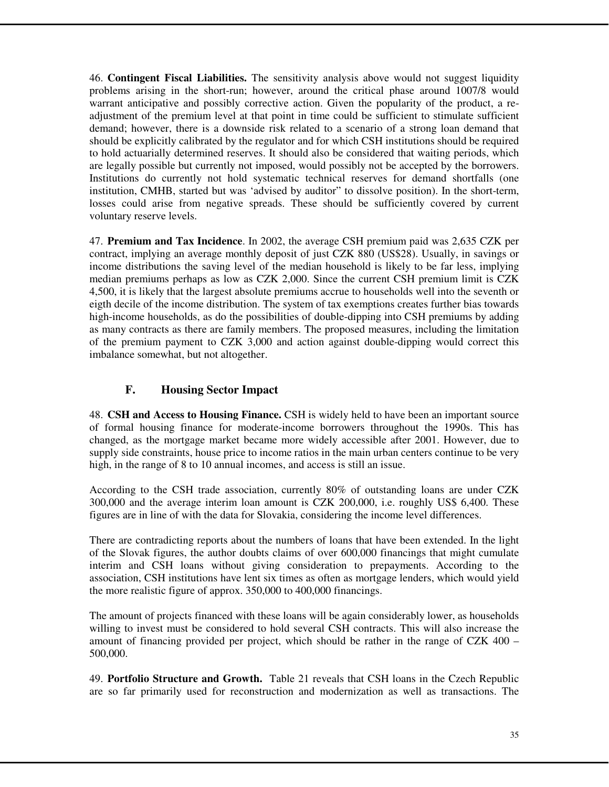46. **Contingent Fiscal Liabilities.** The sensitivity analysis above would not suggest liquidity problems arising in the short-run; however, around the critical phase around 1007/8 would warrant anticipative and possibly corrective action. Given the popularity of the product, a readjustment of the premium level at that point in time could be sufficient to stimulate sufficient demand; however, there is a downside risk related to a scenario of a strong loan demand that should be explicitly calibrated by the regulator and for which CSH institutions should be required to hold actuarially determined reserves. It should also be considered that waiting periods, which are legally possible but currently not imposed, would possibly not be accepted by the borrowers. Institutions do currently not hold systematic technical reserves for demand shortfalls (one institution, CMHB, started but was 'advised by auditor" to dissolve position). In the short-term, losses could arise from negative spreads. These should be sufficiently covered by current voluntary reserve levels.

47. **Premium and Tax Incidence**. In 2002, the average CSH premium paid was 2,635 CZK per contract, implying an average monthly deposit of just CZK 880 (US\$28). Usually, in savings or income distributions the saving level of the median household is likely to be far less, implying median premiums perhaps as low as CZK 2,000. Since the current CSH premium limit is CZK 4,500, it is likely that the largest absolute premiums accrue to households well into the seventh or eigth decile of the income distribution. The system of tax exemptions creates further bias towards high-income households, as do the possibilities of double-dipping into CSH premiums by adding as many contracts as there are family members. The proposed measures, including the limitation of the premium payment to CZK 3,000 and action against double-dipping would correct this imbalance somewhat, but not altogether.

# **F. Housing Sector Impact**

48. **CSH and Access to Housing Finance.** CSH is widely held to have been an important source of formal housing finance for moderate-income borrowers throughout the 1990s. This has changed, as the mortgage market became more widely accessible after 2001. However, due to supply side constraints, house price to income ratios in the main urban centers continue to be very high, in the range of 8 to 10 annual incomes, and access is still an issue.

According to the CSH trade association, currently 80% of outstanding loans are under CZK 300,000 and the average interim loan amount is CZK 200,000, i.e. roughly US\$ 6,400. These figures are in line of with the data for Slovakia, considering the income level differences.

There are contradicting reports about the numbers of loans that have been extended. In the light of the Slovak figures, the author doubts claims of over 600,000 financings that might cumulate interim and CSH loans without giving consideration to prepayments. According to the association, CSH institutions have lent six times as often as mortgage lenders, which would yield the more realistic figure of approx. 350,000 to 400,000 financings.

The amount of projects financed with these loans will be again considerably lower, as households willing to invest must be considered to hold several CSH contracts. This will also increase the amount of financing provided per project, which should be rather in the range of CZK 400 – 500,000.

49. **Portfolio Structure and Growth.** Table 21 reveals that CSH loans in the Czech Republic are so far primarily used for reconstruction and modernization as well as transactions. The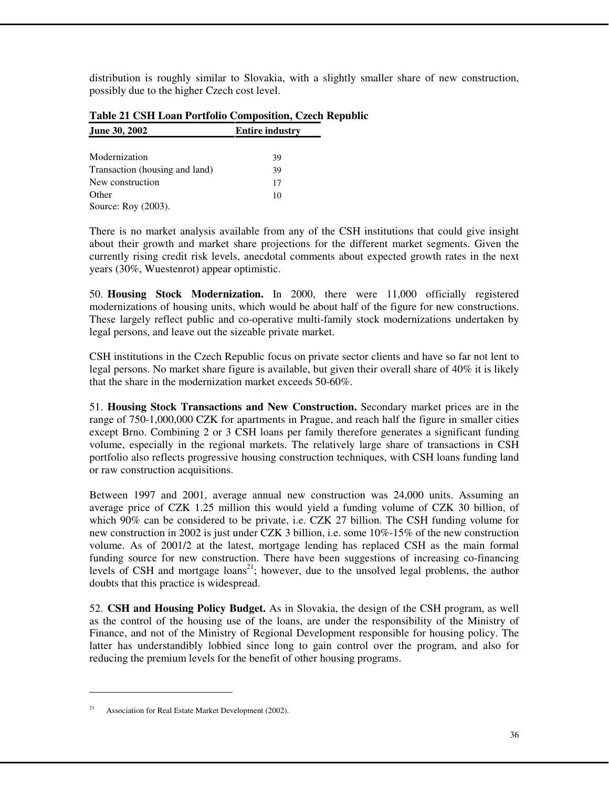distribution is roughly similar to Slovakia, with a slightly smaller share of new construction, possibly due to the higher Czech cost level.

| June 30, 2002                  | <b>Entire industry</b> |
|--------------------------------|------------------------|
|                                |                        |
| Modernization                  | 39                     |
| Transaction (housing and land) | 39                     |
| New construction               | 17                     |
| Other                          | 10                     |
| Source: Roy (2003).            |                        |

# **Table 21 CSH Loan Portfolio Composition, Czech Republic**

There is no market analysis available from any of the CSH institutions that could give insight about their growth and market share projections for the different market segments. Given the currently rising credit risk levels, anecdotal comments about expected growth rates in the next years (30%, Wuestenrot) appear optimistic.

50. **Housing Stock Modernization.** In 2000, there were 11,000 officially registered modernizations of housing units, which would be about half of the figure for new constructions. These largely reflect public and co-operative multi-family stock modernizations undertaken by legal persons, and leave out the sizeable private market.

CSH institutions in the Czech Republic focus on private sector clients and have so far not lent to legal persons. No market share figure is available, but given their overall share of 40% it is likely that the share in the modernization market exceeds 50-60%.

51. **Housing Stock Transactions and New Construction.** Secondary market prices are in the range of 750-1,000,000 CZK for apartments in Prague, and reach half the figure in smaller cities except Brno. Combining 2 or 3 CSH loans per family therefore generates a significant funding volume, especially in the regional markets. The relatively large share of transactions in CSH portfolio also reflects progressive housing construction techniques, with CSH loans funding land or raw construction acquisitions.

Between 1997 and 2001, average annual new construction was 24,000 units. Assuming an average price of CZK 1.25 million this would yield a funding volume of CZK 30 billion, of which 90% can be considered to be private, i.e. CZK 27 billion. The CSH funding volume for new construction in 2002 is just under CZK 3 billion, i.e. some 10%-15% of the new construction volume. As of 2001/2 at the latest, mortgage lending has replaced CSH as the main formal funding source for new construction. There have been suggestions of increasing co-financing levels of CSH and mortgage  $\text{loans}^{21}$ ; however, due to the unsolved legal problems, the author doubts that this practice is widespread.

52. **CSH and Housing Policy Budget.** As in Slovakia, the design of the CSH program, as well as the control of the housing use of the loans, are under the responsibility of the Ministry of Finance, and not of the Ministry of Regional Development responsible for housing policy. The latter has understandibly lobbied since long to gain control over the program, and also for reducing the premium levels for the benefit of other housing programs.

 $\overline{a}$ 

Association for Real Estate Market Development (2002).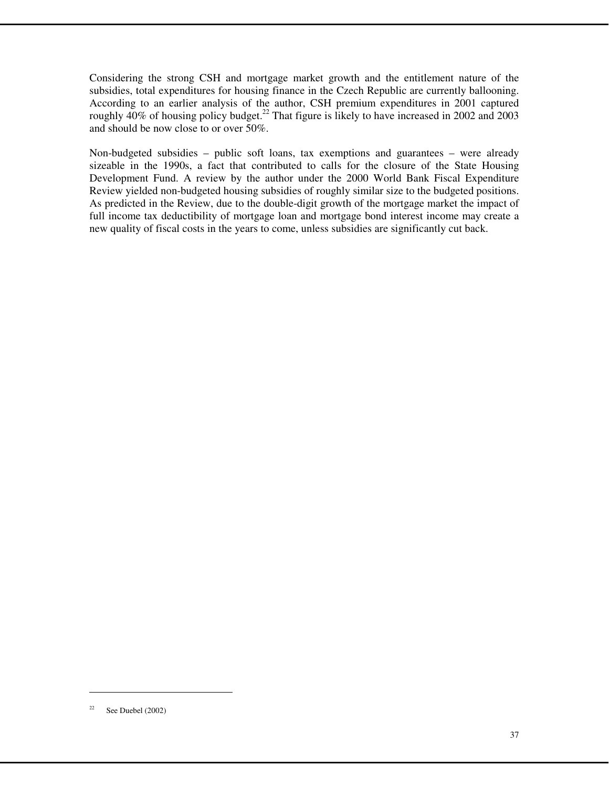Considering the strong CSH and mortgage market growth and the entitlement nature of the subsidies, total expenditures for housing finance in the Czech Republic are currently ballooning. According to an earlier analysis of the author, CSH premium expenditures in 2001 captured roughly  $40\%$  of housing policy budget.<sup>22</sup> That figure is likely to have increased in 2002 and 2003 and should be now close to or over 50%.

Non-budgeted subsidies – public soft loans, tax exemptions and guarantees – were already sizeable in the 1990s, a fact that contributed to calls for the closure of the State Housing Development Fund. A review by the author under the 2000 World Bank Fiscal Expenditure Review yielded non-budgeted housing subsidies of roughly similar size to the budgeted positions. As predicted in the Review, due to the double-digit growth of the mortgage market the impact of full income tax deductibility of mortgage loan and mortgage bond interest income may create a new quality of fiscal costs in the years to come, unless subsidies are significantly cut back.

 $\overline{a}$ 

<sup>&</sup>lt;sup>22</sup> See Duebel (2002)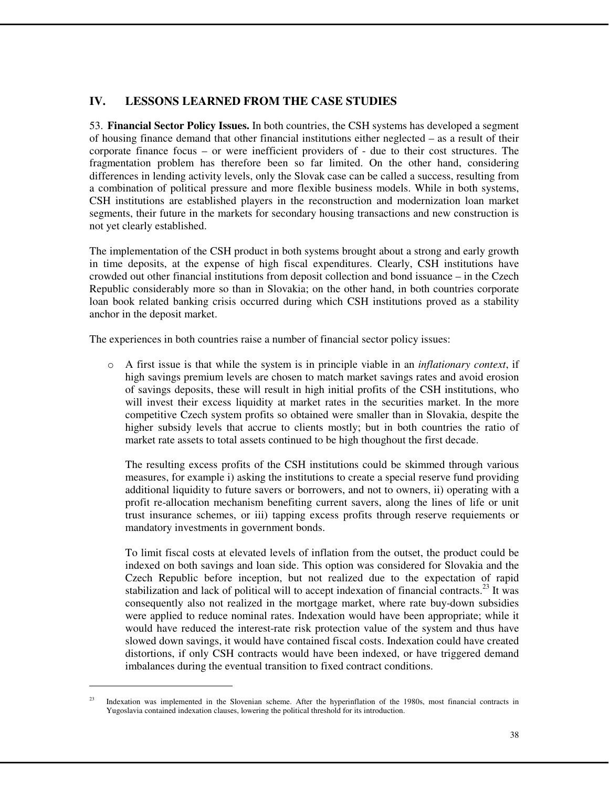# **IV. LESSONS LEARNED FROM THE CASE STUDIES**

53. **Financial Sector Policy Issues.** In both countries, the CSH systems has developed a segment of housing finance demand that other financial institutions either neglected – as a result of their corporate finance focus – or were inefficient providers of - due to their cost structures. The fragmentation problem has therefore been so far limited. On the other hand, considering differences in lending activity levels, only the Slovak case can be called a success, resulting from a combination of political pressure and more flexible business models. While in both systems, CSH institutions are established players in the reconstruction and modernization loan market segments, their future in the markets for secondary housing transactions and new construction is not yet clearly established.

The implementation of the CSH product in both systems brought about a strong and early growth in time deposits, at the expense of high fiscal expenditures. Clearly, CSH institutions have crowded out other financial institutions from deposit collection and bond issuance – in the Czech Republic considerably more so than in Slovakia; on the other hand, in both countries corporate loan book related banking crisis occurred during which CSH institutions proved as a stability anchor in the deposit market.

The experiences in both countries raise a number of financial sector policy issues:

o A first issue is that while the system is in principle viable in an *inflationary context*, if high savings premium levels are chosen to match market savings rates and avoid erosion of savings deposits, these will result in high initial profits of the CSH institutions, who will invest their excess liquidity at market rates in the securities market. In the more competitive Czech system profits so obtained were smaller than in Slovakia, despite the higher subsidy levels that accrue to clients mostly; but in both countries the ratio of market rate assets to total assets continued to be high thoughout the first decade.

The resulting excess profits of the CSH institutions could be skimmed through various measures, for example i) asking the institutions to create a special reserve fund providing additional liquidity to future savers or borrowers, and not to owners, ii) operating with a profit re-allocation mechanism benefiting current savers, along the lines of life or unit trust insurance schemes, or iii) tapping excess profits through reserve requiements or mandatory investments in government bonds.

To limit fiscal costs at elevated levels of inflation from the outset, the product could be indexed on both savings and loan side. This option was considered for Slovakia and the Czech Republic before inception, but not realized due to the expectation of rapid stabilization and lack of political will to accept indexation of financial contracts.<sup>23</sup> It was consequently also not realized in the mortgage market, where rate buy-down subsidies were applied to reduce nominal rates. Indexation would have been appropriate; while it would have reduced the interest-rate risk protection value of the system and thus have slowed down savings, it would have contained fiscal costs. Indexation could have created distortions, if only CSH contracts would have been indexed, or have triggered demand imbalances during the eventual transition to fixed contract conditions.

<sup>&</sup>lt;sup>23</sup> Indexation was implemented in the Slovenian scheme. After the hyperinflation of the 1980s, most financial contracts in Yugoslavia contained indexation clauses, lowering the political threshold for its introduction.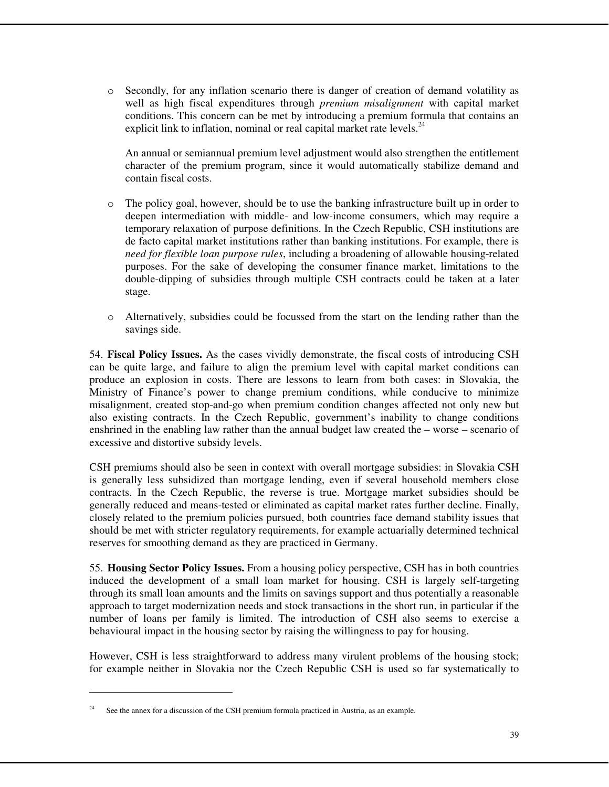o Secondly, for any inflation scenario there is danger of creation of demand volatility as well as high fiscal expenditures through *premium misalignment* with capital market conditions. This concern can be met by introducing a premium formula that contains an explicit link to inflation, nominal or real capital market rate levels. $^{24}$ 

An annual or semiannual premium level adjustment would also strengthen the entitlement character of the premium program, since it would automatically stabilize demand and contain fiscal costs.

- $\circ$  The policy goal, however, should be to use the banking infrastructure built up in order to deepen intermediation with middle- and low-income consumers, which may require a temporary relaxation of purpose definitions. In the Czech Republic, CSH institutions are de facto capital market institutions rather than banking institutions. For example, there is *need for flexible loan purpose rules*, including a broadening of allowable housing-related purposes. For the sake of developing the consumer finance market, limitations to the double-dipping of subsidies through multiple CSH contracts could be taken at a later stage.
- o Alternatively, subsidies could be focussed from the start on the lending rather than the savings side.

54. **Fiscal Policy Issues.** As the cases vividly demonstrate, the fiscal costs of introducing CSH can be quite large, and failure to align the premium level with capital market conditions can produce an explosion in costs. There are lessons to learn from both cases: in Slovakia, the Ministry of Finance's power to change premium conditions, while conducive to minimize misalignment, created stop-and-go when premium condition changes affected not only new but also existing contracts. In the Czech Republic, government's inability to change conditions enshrined in the enabling law rather than the annual budget law created the – worse – scenario of excessive and distortive subsidy levels.

CSH premiums should also be seen in context with overall mortgage subsidies: in Slovakia CSH is generally less subsidized than mortgage lending, even if several household members close contracts. In the Czech Republic, the reverse is true. Mortgage market subsidies should be generally reduced and means-tested or eliminated as capital market rates further decline. Finally, closely related to the premium policies pursued, both countries face demand stability issues that should be met with stricter regulatory requirements, for example actuarially determined technical reserves for smoothing demand as they are practiced in Germany.

55. **Housing Sector Policy Issues.** From a housing policy perspective, CSH has in both countries induced the development of a small loan market for housing. CSH is largely self-targeting through its small loan amounts and the limits on savings support and thus potentially a reasonable approach to target modernization needs and stock transactions in the short run, in particular if the number of loans per family is limited. The introduction of CSH also seems to exercise a behavioural impact in the housing sector by raising the willingness to pay for housing.

However, CSH is less straightforward to address many virulent problems of the housing stock; for example neither in Slovakia nor the Czech Republic CSH is used so far systematically to

 $\overline{a}$ 

See the annex for a discussion of the CSH premium formula practiced in Austria, as an example.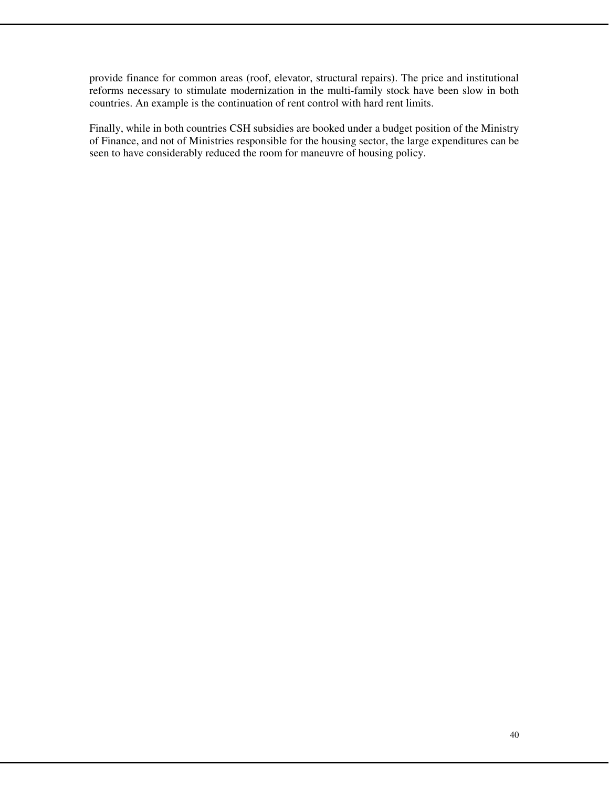provide finance for common areas (roof, elevator, structural repairs). The price and institutional reforms necessary to stimulate modernization in the multi-family stock have been slow in both countries. An example is the continuation of rent control with hard rent limits.

Finally, while in both countries CSH subsidies are booked under a budget position of the Ministry of Finance, and not of Ministries responsible for the housing sector, the large expenditures can be seen to have considerably reduced the room for maneuvre of housing policy.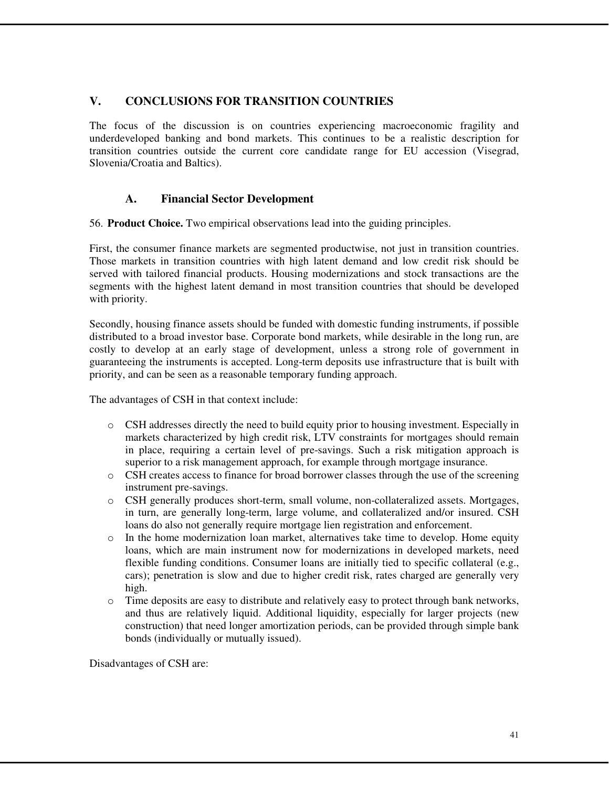# **V. CONCLUSIONS FOR TRANSITION COUNTRIES**

The focus of the discussion is on countries experiencing macroeconomic fragility and underdeveloped banking and bond markets. This continues to be a realistic description for transition countries outside the current core candidate range for EU accession (Visegrad, Slovenia/Croatia and Baltics).

# **A. Financial Sector Development**

56. **Product Choice.** Two empirical observations lead into the guiding principles.

First, the consumer finance markets are segmented productwise, not just in transition countries. Those markets in transition countries with high latent demand and low credit risk should be served with tailored financial products. Housing modernizations and stock transactions are the segments with the highest latent demand in most transition countries that should be developed with priority.

Secondly, housing finance assets should be funded with domestic funding instruments, if possible distributed to a broad investor base. Corporate bond markets, while desirable in the long run, are costly to develop at an early stage of development, unless a strong role of government in guaranteeing the instruments is accepted. Long-term deposits use infrastructure that is built with priority, and can be seen as a reasonable temporary funding approach.

The advantages of CSH in that context include:

- o CSH addresses directly the need to build equity prior to housing investment. Especially in markets characterized by high credit risk, LTV constraints for mortgages should remain in place, requiring a certain level of pre-savings. Such a risk mitigation approach is superior to a risk management approach, for example through mortgage insurance.
- o CSH creates access to finance for broad borrower classes through the use of the screening instrument pre-savings.
- o CSH generally produces short-term, small volume, non-collateralized assets. Mortgages, in turn, are generally long-term, large volume, and collateralized and/or insured. CSH loans do also not generally require mortgage lien registration and enforcement.
- $\circ$  In the home modernization loan market, alternatives take time to develop. Home equity loans, which are main instrument now for modernizations in developed markets, need flexible funding conditions. Consumer loans are initially tied to specific collateral (e.g., cars); penetration is slow and due to higher credit risk, rates charged are generally very high.
- o Time deposits are easy to distribute and relatively easy to protect through bank networks, and thus are relatively liquid. Additional liquidity, especially for larger projects (new construction) that need longer amortization periods, can be provided through simple bank bonds (individually or mutually issued).

Disadvantages of CSH are: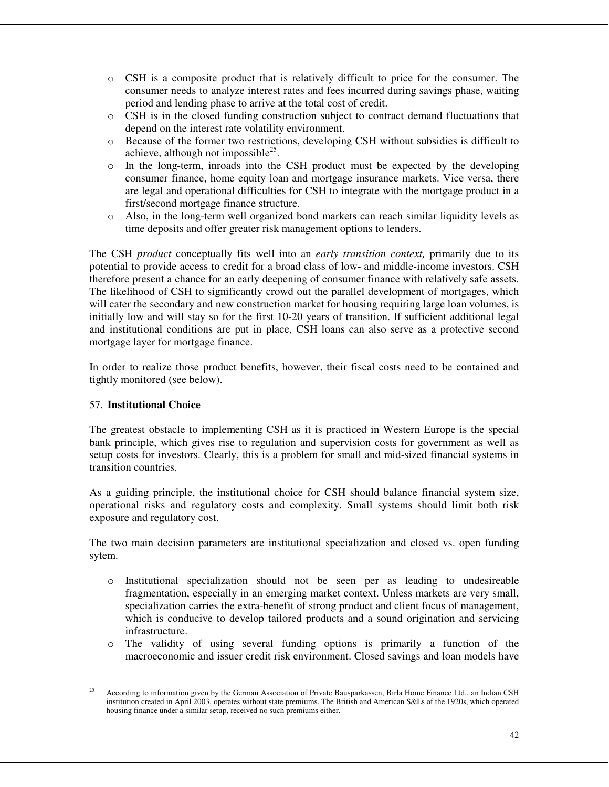- $\circ$  CSH is a composite product that is relatively difficult to price for the consumer. The consumer needs to analyze interest rates and fees incurred during savings phase, waiting period and lending phase to arrive at the total cost of credit.
- $\circ$  CSH is in the closed funding construction subject to contract demand fluctuations that depend on the interest rate volatility environment.
- o Because of the former two restrictions, developing CSH without subsidies is difficult to achieve, although not impossible $^{25}$ .
- $\circ$  In the long-term, inroads into the CSH product must be expected by the developing consumer finance, home equity loan and mortgage insurance markets. Vice versa, there are legal and operational difficulties for CSH to integrate with the mortgage product in a first/second mortgage finance structure.
- o Also, in the long-term well organized bond markets can reach similar liquidity levels as time deposits and offer greater risk management options to lenders.

The CSH *product* conceptually fits well into an *early transition context,* primarily due to its potential to provide access to credit for a broad class of low- and middle-income investors. CSH therefore present a chance for an early deepening of consumer finance with relatively safe assets. The likelihood of CSH to significantly crowd out the parallel development of mortgages, which will cater the secondary and new construction market for housing requiring large loan volumes, is initially low and will stay so for the first 10-20 years of transition. If sufficient additional legal and institutional conditions are put in place, CSH loans can also serve as a protective second mortgage layer for mortgage finance.

In order to realize those product benefits, however, their fiscal costs need to be contained and tightly monitored (see below).

#### 57. **Institutional Choice**

 $\overline{a}$ 

The greatest obstacle to implementing CSH as it is practiced in Western Europe is the special bank principle, which gives rise to regulation and supervision costs for government as well as setup costs for investors. Clearly, this is a problem for small and mid-sized financial systems in transition countries.

As a guiding principle, the institutional choice for CSH should balance financial system size, operational risks and regulatory costs and complexity. Small systems should limit both risk exposure and regulatory cost.

The two main decision parameters are institutional specialization and closed vs. open funding sytem.

- o Institutional specialization should not be seen per as leading to undesireable fragmentation, especially in an emerging market context. Unless markets are very small, specialization carries the extra-benefit of strong product and client focus of management, which is conducive to develop tailored products and a sound origination and servicing infrastructure.
- o The validity of using several funding options is primarily a function of the macroeconomic and issuer credit risk environment. Closed savings and loan models have

<sup>25</sup> According to information given by the German Association of Private Bausparkassen, Birla Home Finance Ltd., an Indian CSH institution created in April 2003, operates without state premiums. The British and American S&Ls of the 1920s, which operated housing finance under a similar setup, received no such premiums either.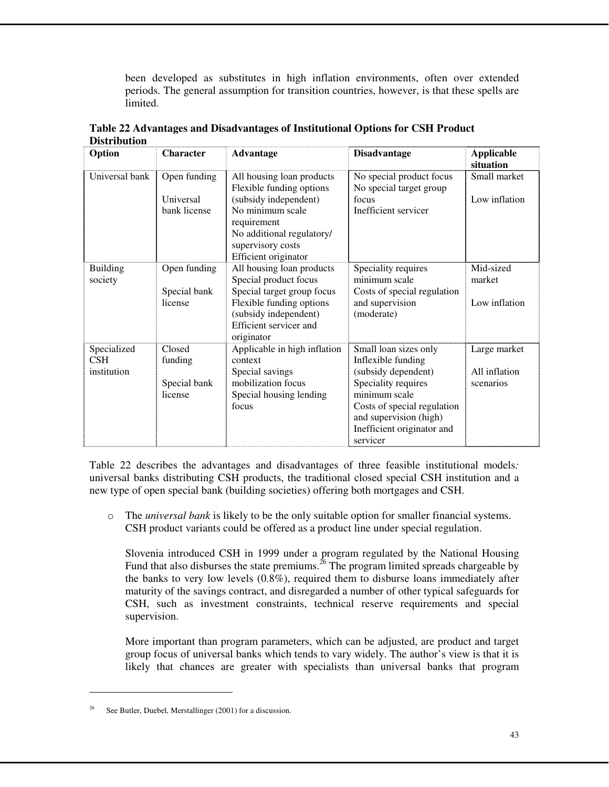been developed as substitutes in high inflation environments, often over extended periods. The general assumption for transition countries, however, is that these spells are limited.

| Option                            | <b>Character</b>                             | <b>Advantage</b>                                                                                                                                                                            | <b>Disadvantage</b>                                                                                                                                                                                           | <b>Applicable</b>                          |
|-----------------------------------|----------------------------------------------|---------------------------------------------------------------------------------------------------------------------------------------------------------------------------------------------|---------------------------------------------------------------------------------------------------------------------------------------------------------------------------------------------------------------|--------------------------------------------|
| Universal bank                    | Open funding<br>Universal<br>bank license    | All housing loan products<br>Flexible funding options<br>(subsidy independent)<br>No minimum scale<br>requirement<br>No additional regulatory/<br>supervisory costs<br>Efficient originator | No special product focus<br>No special target group<br>focus<br>Inefficient servicer                                                                                                                          | situation<br>Small market<br>Low inflation |
| <b>Building</b><br>society        | Open funding<br>Special bank<br>license      | All housing loan products<br>Special product focus<br>Special target group focus<br>Flexible funding options<br>(subsidy independent)<br>Efficient servicer and<br>originator               | Speciality requires<br>minimum scale<br>Costs of special regulation<br>and supervision<br>(moderate)                                                                                                          | Mid-sized<br>market<br>Low inflation       |
| Specialized<br>CSH<br>institution | Closed<br>funding<br>Special bank<br>license | Applicable in high inflation<br>context<br>Special savings<br>mobilization focus<br>Special housing lending<br>focus                                                                        | Small loan sizes only<br>Inflexible funding<br>(subsidy dependent)<br>Speciality requires<br>minimum scale<br>Costs of special regulation<br>and supervision (high)<br>Inefficient originator and<br>servicer | Large market<br>All inflation<br>scenarios |

**Table 22 Advantages and Disadvantages of Institutional Options for CSH Product Distribution** 

Table 22 describes the advantages and disadvantages of three feasible institutional models*:*  universal banks distributing CSH products, the traditional closed special CSH institution and a new type of open special bank (building societies) offering both mortgages and CSH.

o The *universal bank* is likely to be the only suitable option for smaller financial systems. CSH product variants could be offered as a product line under special regulation.

Slovenia introduced CSH in 1999 under a program regulated by the National Housing Fund that also disburses the state premiums.<sup>26</sup> The program limited spreads chargeable by the banks to very low levels (0.8%), required them to disburse loans immediately after maturity of the savings contract, and disregarded a number of other typical safeguards for CSH, such as investment constraints, technical reserve requirements and special supervision.

More important than program parameters, which can be adjusted, are product and target group focus of universal banks which tends to vary widely. The author's view is that it is likely that chances are greater with specialists than universal banks that program

 $\overline{a}$ 

See Butler, Duebel, Merstallinger (2001) for a discussion.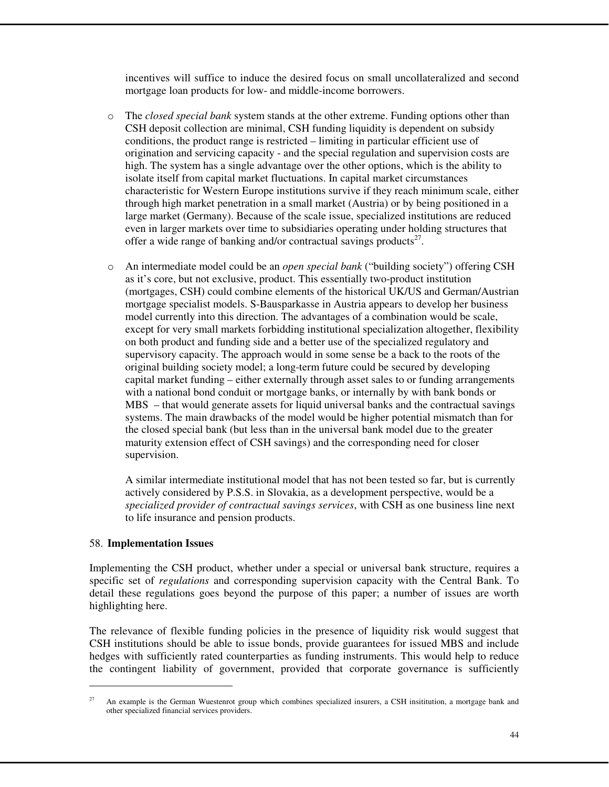incentives will suffice to induce the desired focus on small uncollateralized and second mortgage loan products for low- and middle-income borrowers.

- o The *closed special bank* system stands at the other extreme. Funding options other than CSH deposit collection are minimal, CSH funding liquidity is dependent on subsidy conditions, the product range is restricted – limiting in particular efficient use of origination and servicing capacity - and the special regulation and supervision costs are high. The system has a single advantage over the other options, which is the ability to isolate itself from capital market fluctuations. In capital market circumstances characteristic for Western Europe institutions survive if they reach minimum scale, either through high market penetration in a small market (Austria) or by being positioned in a large market (Germany). Because of the scale issue, specialized institutions are reduced even in larger markets over time to subsidiaries operating under holding structures that offer a wide range of banking and/or contractual savings products<sup>27</sup>.
- o An intermediate model could be an *open special bank* ("building society") offering CSH as it's core, but not exclusive, product. This essentially two-product institution (mortgages, CSH) could combine elements of the historical UK/US and German/Austrian mortgage specialist models. S-Bausparkasse in Austria appears to develop her business model currently into this direction. The advantages of a combination would be scale, except for very small markets forbidding institutional specialization altogether, flexibility on both product and funding side and a better use of the specialized regulatory and supervisory capacity. The approach would in some sense be a back to the roots of the original building society model; a long-term future could be secured by developing capital market funding – either externally through asset sales to or funding arrangements with a national bond conduit or mortgage banks, or internally by with bank bonds or MBS – that would generate assets for liquid universal banks and the contractual savings systems. The main drawbacks of the model would be higher potential mismatch than for the closed special bank (but less than in the universal bank model due to the greater maturity extension effect of CSH savings) and the corresponding need for closer supervision.

A similar intermediate institutional model that has not been tested so far, but is currently actively considered by P.S.S. in Slovakia, as a development perspective, would be a *specialized provider of contractual savings services*, with CSH as one business line next to life insurance and pension products.

#### 58. **Implementation Issues**

Implementing the CSH product, whether under a special or universal bank structure, requires a specific set of *regulations* and corresponding supervision capacity with the Central Bank. To detail these regulations goes beyond the purpose of this paper; a number of issues are worth highlighting here.

The relevance of flexible funding policies in the presence of liquidity risk would suggest that CSH institutions should be able to issue bonds, provide guarantees for issued MBS and include hedges with sufficiently rated counterparties as funding instruments. This would help to reduce the contingent liability of government, provided that corporate governance is sufficiently

<sup>&</sup>lt;sup>27</sup> An example is the German Wuestenrot group which combines specialized insurers, a CSH insititution, a mortgage bank and other specialized financial services providers.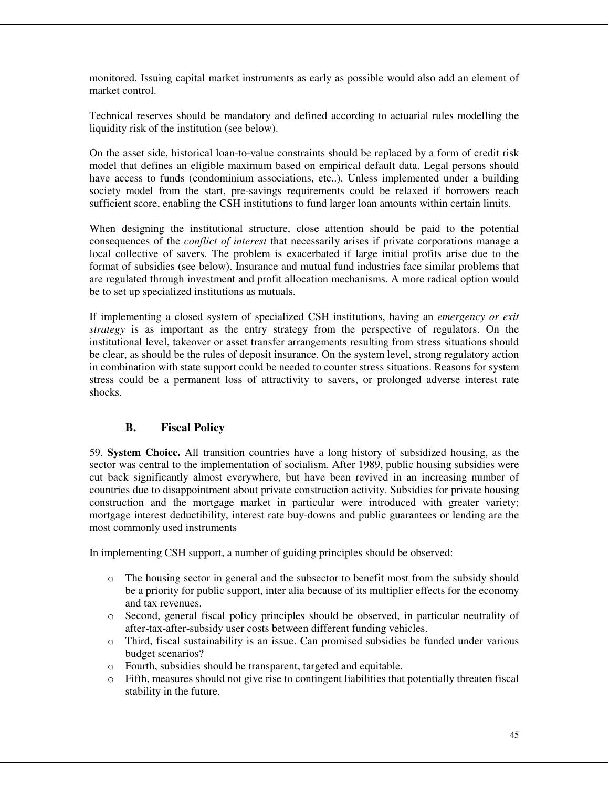monitored. Issuing capital market instruments as early as possible would also add an element of market control.

Technical reserves should be mandatory and defined according to actuarial rules modelling the liquidity risk of the institution (see below).

On the asset side, historical loan-to-value constraints should be replaced by a form of credit risk model that defines an eligible maximum based on empirical default data. Legal persons should have access to funds (condominium associations, etc..). Unless implemented under a building society model from the start, pre-savings requirements could be relaxed if borrowers reach sufficient score, enabling the CSH institutions to fund larger loan amounts within certain limits.

When designing the institutional structure, close attention should be paid to the potential consequences of the *conflict of interest* that necessarily arises if private corporations manage a local collective of savers. The problem is exacerbated if large initial profits arise due to the format of subsidies (see below). Insurance and mutual fund industries face similar problems that are regulated through investment and profit allocation mechanisms. A more radical option would be to set up specialized institutions as mutuals.

If implementing a closed system of specialized CSH institutions, having an *emergency or exit strategy* is as important as the entry strategy from the perspective of regulators. On the institutional level, takeover or asset transfer arrangements resulting from stress situations should be clear, as should be the rules of deposit insurance. On the system level, strong regulatory action in combination with state support could be needed to counter stress situations. Reasons for system stress could be a permanent loss of attractivity to savers, or prolonged adverse interest rate shocks.

# **B. Fiscal Policy**

59. **System Choice.** All transition countries have a long history of subsidized housing, as the sector was central to the implementation of socialism. After 1989, public housing subsidies were cut back significantly almost everywhere, but have been revived in an increasing number of countries due to disappointment about private construction activity. Subsidies for private housing construction and the mortgage market in particular were introduced with greater variety; mortgage interest deductibility, interest rate buy-downs and public guarantees or lending are the most commonly used instruments

In implementing CSH support, a number of guiding principles should be observed:

- o The housing sector in general and the subsector to benefit most from the subsidy should be a priority for public support, inter alia because of its multiplier effects for the economy and tax revenues.
- o Second, general fiscal policy principles should be observed, in particular neutrality of after-tax-after-subsidy user costs between different funding vehicles.
- o Third, fiscal sustainability is an issue. Can promised subsidies be funded under various budget scenarios?
- o Fourth, subsidies should be transparent, targeted and equitable.
- $\circ$  Fifth, measures should not give rise to contingent liabilities that potentially threaten fiscal stability in the future.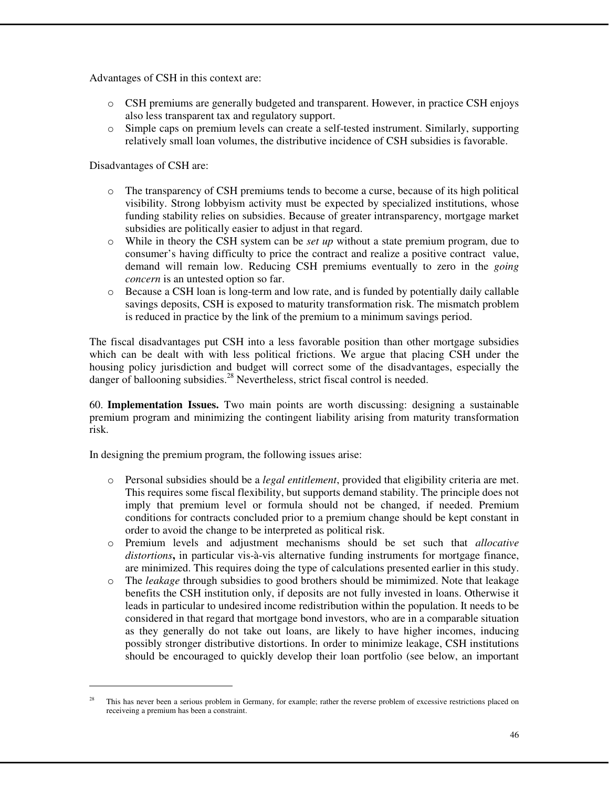Advantages of CSH in this context are:

- o CSH premiums are generally budgeted and transparent. However, in practice CSH enjoys also less transparent tax and regulatory support.
- o Simple caps on premium levels can create a self-tested instrument. Similarly, supporting relatively small loan volumes, the distributive incidence of CSH subsidies is favorable.

Disadvantages of CSH are:

- o The transparency of CSH premiums tends to become a curse, because of its high political visibility. Strong lobbyism activity must be expected by specialized institutions, whose funding stability relies on subsidies. Because of greater intransparency, mortgage market subsidies are politically easier to adjust in that regard.
- o While in theory the CSH system can be *set up* without a state premium program, due to consumer's having difficulty to price the contract and realize a positive contract value, demand will remain low. Reducing CSH premiums eventually to zero in the *going concern* is an untested option so far.
- o Because a CSH loan is long-term and low rate, and is funded by potentially daily callable savings deposits, CSH is exposed to maturity transformation risk. The mismatch problem is reduced in practice by the link of the premium to a minimum savings period.

The fiscal disadvantages put CSH into a less favorable position than other mortgage subsidies which can be dealt with with less political frictions. We argue that placing CSH under the housing policy jurisdiction and budget will correct some of the disadvantages, especially the danger of ballooning subsidies.<sup>28</sup> Nevertheless, strict fiscal control is needed.

60. **Implementation Issues.** Two main points are worth discussing: designing a sustainable premium program and minimizing the contingent liability arising from maturity transformation risk.

In designing the premium program, the following issues arise:

- o Personal subsidies should be a *legal entitlement*, provided that eligibility criteria are met. This requires some fiscal flexibility, but supports demand stability. The principle does not imply that premium level or formula should not be changed, if needed. Premium conditions for contracts concluded prior to a premium change should be kept constant in order to avoid the change to be interpreted as political risk.
- o Premium levels and adjustment mechanisms should be set such that *allocative distortions***,** in particular vis-à-vis alternative funding instruments for mortgage finance, are minimized. This requires doing the type of calculations presented earlier in this study.
- o The *leakage* through subsidies to good brothers should be mimimized. Note that leakage benefits the CSH institution only, if deposits are not fully invested in loans. Otherwise it leads in particular to undesired income redistribution within the population. It needs to be considered in that regard that mortgage bond investors, who are in a comparable situation as they generally do not take out loans, are likely to have higher incomes, inducing possibly stronger distributive distortions. In order to minimize leakage, CSH institutions should be encouraged to quickly develop their loan portfolio (see below, an important

<sup>&</sup>lt;sup>28</sup> This has never been a serious problem in Germany, for example; rather the reverse problem of excessive restrictions placed on receiveing a premium has been a constraint.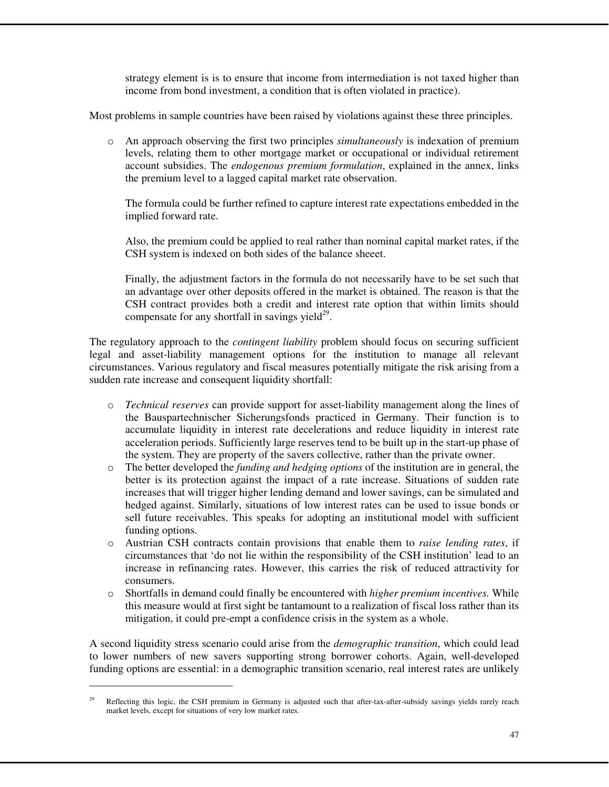strategy element is is to ensure that income from intermediation is not taxed higher than income from bond investment, a condition that is often violated in practice).

Most problems in sample countries have been raised by violations against these three principles.

o An approach observing the first two principles *simultaneously* is indexation of premium levels, relating them to other mortgage market or occupational or individual retirement account subsidies. The *endogenous premium formulation*, explained in the annex, links the premium level to a lagged capital market rate observation.

The formula could be further refined to capture interest rate expectations embedded in the implied forward rate.

Also, the premium could be applied to real rather than nominal capital market rates, if the CSH system is indexed on both sides of the balance sheeet.

Finally, the adjustment factors in the formula do not necessarily have to be set such that an advantage over other deposits offered in the market is obtained. The reason is that the CSH contract provides both a credit and interest rate option that within limits should compensate for any shortfall in savings yield $^{29}$ .

The regulatory approach to the *contingent liability* problem should focus on securing sufficient legal and asset-liability management options for the institution to manage all relevant circumstances. Various regulatory and fiscal measures potentially mitigate the risk arising from a sudden rate increase and consequent liquidity shortfall:

- o *Technical reserves* can provide support for asset-liability management along the lines of the Bauspartechnischer Sicherungsfonds practiced in Germany. Their function is to accumulate liquidity in interest rate decelerations and reduce liquidity in interest rate acceleration periods. Sufficiently large reserves tend to be built up in the start-up phase of the system. They are property of the savers collective, rather than the private owner.
- o The better developed the *funding and hedging options* of the institution are in general, the better is its protection against the impact of a rate increase. Situations of sudden rate increases that will trigger higher lending demand and lower savings, can be simulated and hedged against. Similarly, situations of low interest rates can be used to issue bonds or sell future receivables. This speaks for adopting an institutional model with sufficient funding options.
- o Austrian CSH contracts contain provisions that enable them to *raise lending rates*, if circumstances that 'do not lie within the responsibility of the CSH institution' lead to an increase in refinancing rates. However, this carries the risk of reduced attractivity for consumers.
- o Shortfalls in demand could finally be encountered with *higher premium incentives.* While this measure would at first sight be tantamount to a realization of fiscal loss rather than its mitigation, it could pre-empt a confidence crisis in the system as a whole.

A second liquidity stress scenario could arise from the *demographic transition*, which could lead to lower numbers of new savers supporting strong borrower cohorts. Again, well-developed funding options are essential: in a demographic transition scenario, real interest rates are unlikely

<sup>&</sup>lt;sup>29</sup> Reflecting this logic, the CSH premium in Germany is adjusted such that after-tax-after-subsidy savings yields rarely reach market levels, except for situations of very low market rates.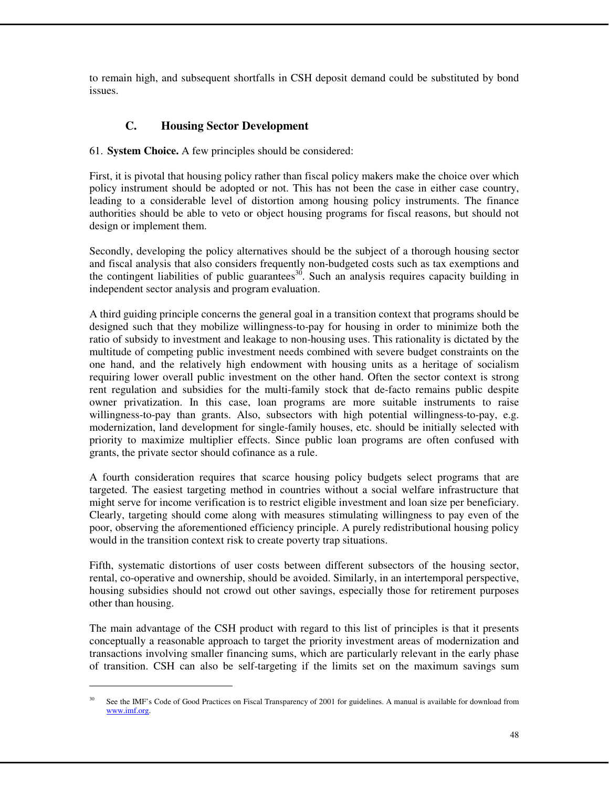to remain high, and subsequent shortfalls in CSH deposit demand could be substituted by bond issues.

# **C. Housing Sector Development**

#### 61. **System Choice.** A few principles should be considered:

First, it is pivotal that housing policy rather than fiscal policy makers make the choice over which policy instrument should be adopted or not. This has not been the case in either case country, leading to a considerable level of distortion among housing policy instruments. The finance authorities should be able to veto or object housing programs for fiscal reasons, but should not design or implement them.

Secondly, developing the policy alternatives should be the subject of a thorough housing sector and fiscal analysis that also considers frequently non-budgeted costs such as tax exemptions and the contingent liabilities of public guarantees<sup>30</sup>. Such an analysis requires capacity building in independent sector analysis and program evaluation.

A third guiding principle concerns the general goal in a transition context that programs should be designed such that they mobilize willingness-to-pay for housing in order to minimize both the ratio of subsidy to investment and leakage to non-housing uses. This rationality is dictated by the multitude of competing public investment needs combined with severe budget constraints on the one hand, and the relatively high endowment with housing units as a heritage of socialism requiring lower overall public investment on the other hand. Often the sector context is strong rent regulation and subsidies for the multi-family stock that de-facto remains public despite owner privatization. In this case, loan programs are more suitable instruments to raise willingness-to-pay than grants. Also, subsectors with high potential willingness-to-pay, e.g. modernization, land development for single-family houses, etc. should be initially selected with priority to maximize multiplier effects. Since public loan programs are often confused with grants, the private sector should cofinance as a rule.

A fourth consideration requires that scarce housing policy budgets select programs that are targeted. The easiest targeting method in countries without a social welfare infrastructure that might serve for income verification is to restrict eligible investment and loan size per beneficiary. Clearly, targeting should come along with measures stimulating willingness to pay even of the poor, observing the aforementioned efficiency principle. A purely redistributional housing policy would in the transition context risk to create poverty trap situations.

Fifth, systematic distortions of user costs between different subsectors of the housing sector, rental, co-operative and ownership, should be avoided. Similarly, in an intertemporal perspective, housing subsidies should not crowd out other savings, especially those for retirement purposes other than housing.

The main advantage of the CSH product with regard to this list of principles is that it presents conceptually a reasonable approach to target the priority investment areas of modernization and transactions involving smaller financing sums, which are particularly relevant in the early phase of transition. CSH can also be self-targeting if the limits set on the maximum savings sum

l

<sup>&</sup>lt;sup>30</sup> See the IMF's Code of Good Practices on Fiscal Transparency of 2001 for guidelines. A manual is available for download from www.imf.org.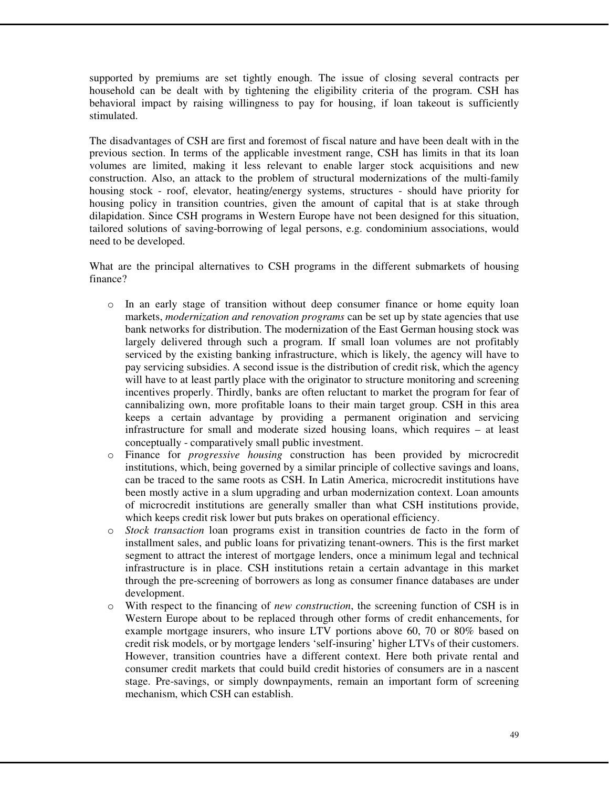supported by premiums are set tightly enough. The issue of closing several contracts per household can be dealt with by tightening the eligibility criteria of the program. CSH has behavioral impact by raising willingness to pay for housing, if loan takeout is sufficiently stimulated.

The disadvantages of CSH are first and foremost of fiscal nature and have been dealt with in the previous section. In terms of the applicable investment range, CSH has limits in that its loan volumes are limited, making it less relevant to enable larger stock acquisitions and new construction. Also, an attack to the problem of structural modernizations of the multi-family housing stock - roof, elevator, heating/energy systems, structures - should have priority for housing policy in transition countries, given the amount of capital that is at stake through dilapidation. Since CSH programs in Western Europe have not been designed for this situation, tailored solutions of saving-borrowing of legal persons, e.g. condominium associations, would need to be developed.

What are the principal alternatives to CSH programs in the different submarkets of housing finance?

- o In an early stage of transition without deep consumer finance or home equity loan markets, *modernization and renovation programs* can be set up by state agencies that use bank networks for distribution. The modernization of the East German housing stock was largely delivered through such a program. If small loan volumes are not profitably serviced by the existing banking infrastructure, which is likely, the agency will have to pay servicing subsidies. A second issue is the distribution of credit risk, which the agency will have to at least partly place with the originator to structure monitoring and screening incentives properly. Thirdly, banks are often reluctant to market the program for fear of cannibalizing own, more profitable loans to their main target group. CSH in this area keeps a certain advantage by providing a permanent origination and servicing infrastructure for small and moderate sized housing loans, which requires – at least conceptually - comparatively small public investment.
- o Finance for *progressive housing* construction has been provided by microcredit institutions, which, being governed by a similar principle of collective savings and loans, can be traced to the same roots as CSH. In Latin America, microcredit institutions have been mostly active in a slum upgrading and urban modernization context. Loan amounts of microcredit institutions are generally smaller than what CSH institutions provide, which keeps credit risk lower but puts brakes on operational efficiency.
- o *Stock transaction* loan programs exist in transition countries de facto in the form of installment sales, and public loans for privatizing tenant-owners. This is the first market segment to attract the interest of mortgage lenders, once a minimum legal and technical infrastructure is in place. CSH institutions retain a certain advantage in this market through the pre-screening of borrowers as long as consumer finance databases are under development.
- o With respect to the financing of *new construction*, the screening function of CSH is in Western Europe about to be replaced through other forms of credit enhancements, for example mortgage insurers, who insure LTV portions above 60, 70 or 80% based on credit risk models, or by mortgage lenders 'self-insuring' higher LTVs of their customers. However, transition countries have a different context. Here both private rental and consumer credit markets that could build credit histories of consumers are in a nascent stage. Pre-savings, or simply downpayments, remain an important form of screening mechanism, which CSH can establish.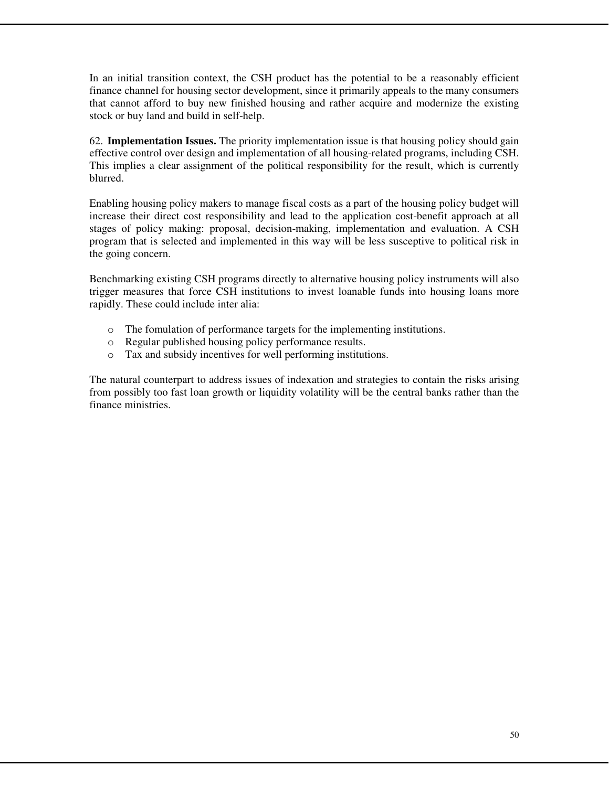In an initial transition context, the CSH product has the potential to be a reasonably efficient finance channel for housing sector development, since it primarily appeals to the many consumers that cannot afford to buy new finished housing and rather acquire and modernize the existing stock or buy land and build in self-help.

62. **Implementation Issues.** The priority implementation issue is that housing policy should gain effective control over design and implementation of all housing-related programs, including CSH. This implies a clear assignment of the political responsibility for the result, which is currently blurred.

Enabling housing policy makers to manage fiscal costs as a part of the housing policy budget will increase their direct cost responsibility and lead to the application cost-benefit approach at all stages of policy making: proposal, decision-making, implementation and evaluation. A CSH program that is selected and implemented in this way will be less susceptive to political risk in the going concern.

Benchmarking existing CSH programs directly to alternative housing policy instruments will also trigger measures that force CSH institutions to invest loanable funds into housing loans more rapidly. These could include inter alia:

- o The fomulation of performance targets for the implementing institutions.
- o Regular published housing policy performance results.
- o Tax and subsidy incentives for well performing institutions.

The natural counterpart to address issues of indexation and strategies to contain the risks arising from possibly too fast loan growth or liquidity volatility will be the central banks rather than the finance ministries.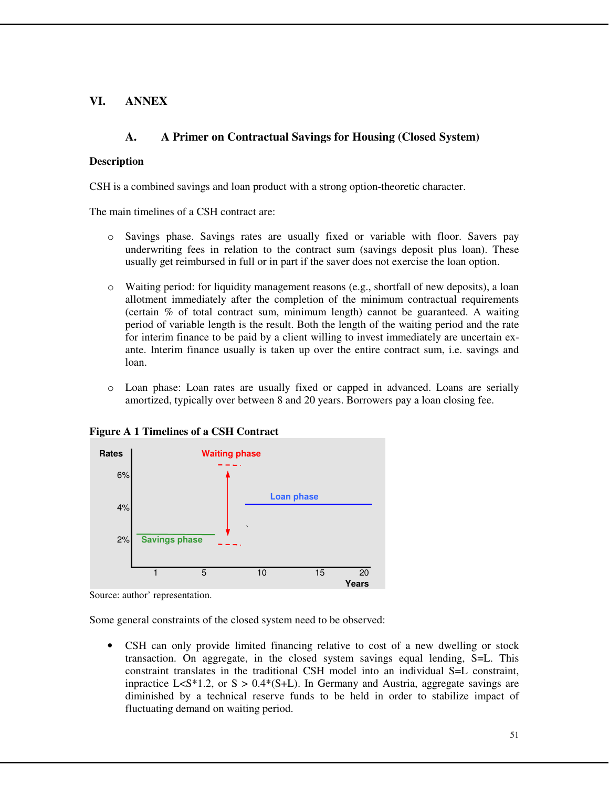# **VI. ANNEX**

# **A. A Primer on Contractual Savings for Housing (Closed System)**

#### **Description**

CSH is a combined savings and loan product with a strong option-theoretic character.

The main timelines of a CSH contract are:

- o Savings phase. Savings rates are usually fixed or variable with floor. Savers pay underwriting fees in relation to the contract sum (savings deposit plus loan). These usually get reimbursed in full or in part if the saver does not exercise the loan option.
- $\circ$  Waiting period: for liquidity management reasons (e.g., shortfall of new deposits), a loan allotment immediately after the completion of the minimum contractual requirements (certain % of total contract sum, minimum length) cannot be guaranteed. A waiting period of variable length is the result. Both the length of the waiting period and the rate for interim finance to be paid by a client willing to invest immediately are uncertain exante. Interim finance usually is taken up over the entire contract sum, i.e. savings and loan.
- o Loan phase: Loan rates are usually fixed or capped in advanced. Loans are serially amortized, typically over between 8 and 20 years. Borrowers pay a loan closing fee.



**Figure A 1 Timelines of a CSH Contract** 

Some general constraints of the closed system need to be observed:

• CSH can only provide limited financing relative to cost of a new dwelling or stock transaction. On aggregate, in the closed system savings equal lending, S=L. This constraint translates in the traditional CSH model into an individual S=L constraint, inpractice L<S\*1.2, or  $S > 0.4*(S+L)$ . In Germany and Austria, aggregate savings are diminished by a technical reserve funds to be held in order to stabilize impact of fluctuating demand on waiting period.

Source: author' representation.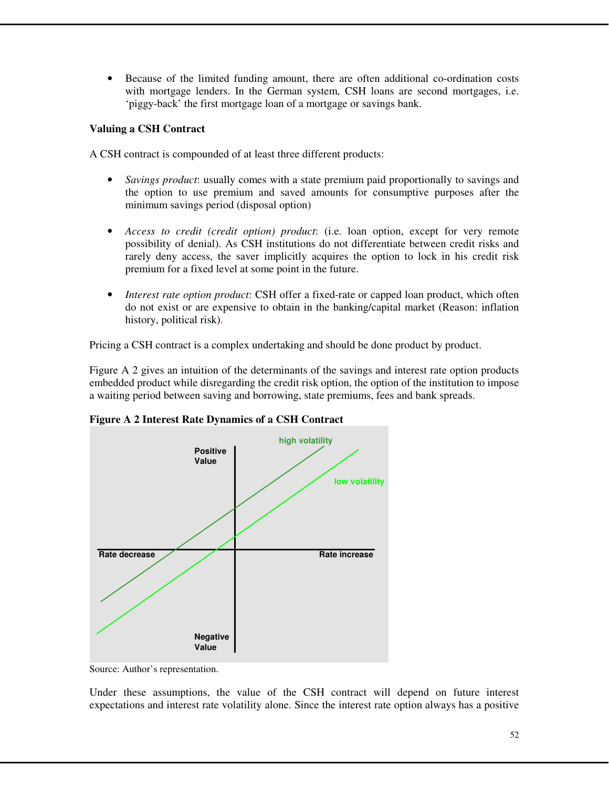• Because of the limited funding amount, there are often additional co-ordination costs with mortgage lenders. In the German system, CSH loans are second mortgages, i.e. 'piggy-back' the first mortgage loan of a mortgage or savings bank.

### **Valuing a CSH Contract**

A CSH contract is compounded of at least three different products:

- *Savings product*: usually comes with a state premium paid proportionally to savings and the option to use premium and saved amounts for consumptive purposes after the minimum savings period (disposal option)
- *Access to credit (credit option) product*: (i.e. loan option, except for very remote possibility of denial). As CSH institutions do not differentiate between credit risks and rarely deny access, the saver implicitly acquires the option to lock in his credit risk premium for a fixed level at some point in the future.
- *Interest rate option product*: CSH offer a fixed-rate or capped loan product, which often do not exist or are expensive to obtain in the banking/capital market (Reason: inflation history, political risk).

Pricing a CSH contract is a complex undertaking and should be done product by product.

Figure A 2 gives an intuition of the determinants of the savings and interest rate option products embedded product while disregarding the credit risk option, the option of the institution to impose a waiting period between saving and borrowing, state premiums, fees and bank spreads.



**Figure A 2 Interest Rate Dynamics of a CSH Contract**

Under these assumptions, the value of the CSH contract will depend on future interest expectations and interest rate volatility alone. Since the interest rate option always has a positive

Source: Author's representation.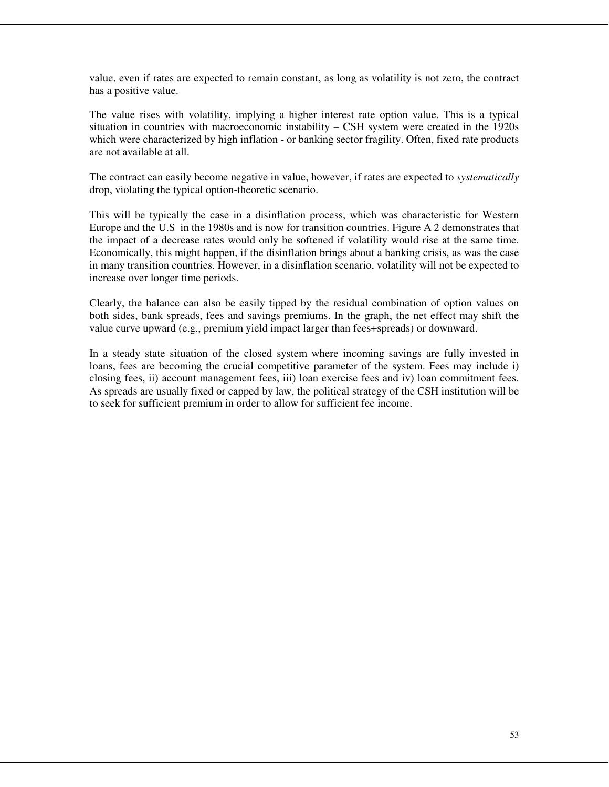value, even if rates are expected to remain constant, as long as volatility is not zero, the contract has a positive value.

The value rises with volatility, implying a higher interest rate option value. This is a typical situation in countries with macroeconomic instability – CSH system were created in the 1920s which were characterized by high inflation - or banking sector fragility. Often, fixed rate products are not available at all.

The contract can easily become negative in value, however, if rates are expected to *systematically*  drop, violating the typical option-theoretic scenario.

This will be typically the case in a disinflation process, which was characteristic for Western Europe and the U.S in the 1980s and is now for transition countries. Figure A 2 demonstrates that the impact of a decrease rates would only be softened if volatility would rise at the same time. Economically, this might happen, if the disinflation brings about a banking crisis, as was the case in many transition countries. However, in a disinflation scenario, volatility will not be expected to increase over longer time periods.

Clearly, the balance can also be easily tipped by the residual combination of option values on both sides, bank spreads, fees and savings premiums. In the graph, the net effect may shift the value curve upward (e.g., premium yield impact larger than fees+spreads) or downward.

In a steady state situation of the closed system where incoming savings are fully invested in loans, fees are becoming the crucial competitive parameter of the system. Fees may include i) closing fees, ii) account management fees, iii) loan exercise fees and iv) loan commitment fees. As spreads are usually fixed or capped by law, the political strategy of the CSH institution will be to seek for sufficient premium in order to allow for sufficient fee income.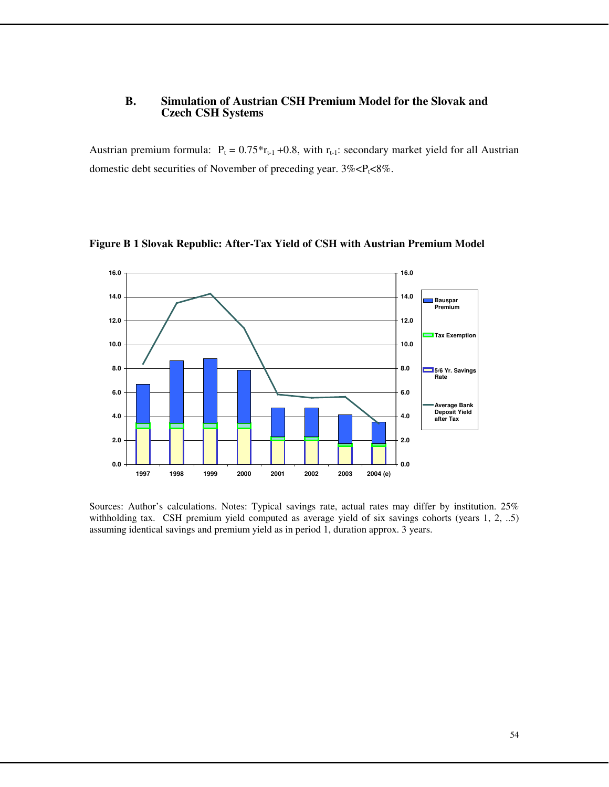#### **B. Simulation of Austrian CSH Premium Model for the Slovak and Czech CSH Systems**

Austrian premium formula:  $P_t = 0.75 \cdot r_{t-1} + 0.8$ , with  $r_{t-1}$ : secondary market yield for all Austrian domestic debt securities of November of preceding year.  $3\% < P_1 < 8\%$ .



**Figure B 1 Slovak Republic: After-Tax Yield of CSH with Austrian Premium Model** 

Sources: Author's calculations. Notes: Typical savings rate, actual rates may differ by institution. 25% withholding tax. CSH premium yield computed as average yield of six savings cohorts (years 1, 2, ..5) assuming identical savings and premium yield as in period 1, duration approx. 3 years.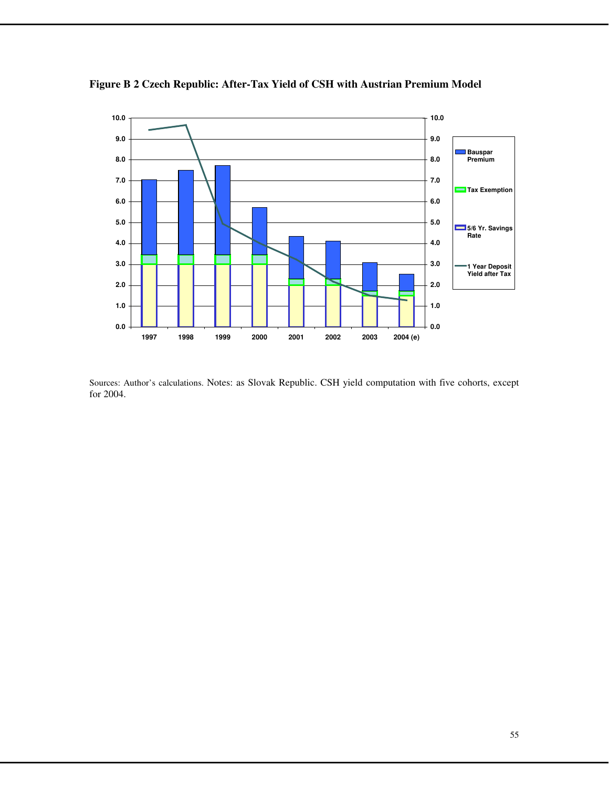

**Figure B 2 Czech Republic: After-Tax Yield of CSH with Austrian Premium Model** 

Sources: Author's calculations. Notes: as Slovak Republic. CSH yield computation with five cohorts, except for 2004.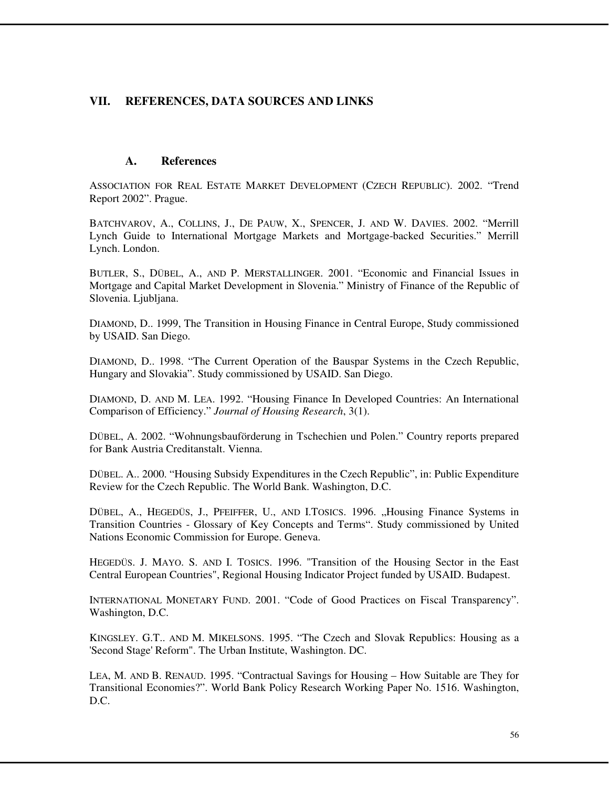# **VII. REFERENCES, DATA SOURCES AND LINKS**

### **A. References**

ASSOCIATION FOR REAL ESTATE MARKET DEVELOPMENT (CZECH REPUBLIC). 2002. "Trend Report 2002". Prague.

BATCHVAROV, A., COLLINS, J., DE PAUW, X., SPENCER, J. AND W. DAVIES. 2002. "Merrill Lynch Guide to International Mortgage Markets and Mortgage-backed Securities." Merrill Lynch. London.

BUTLER, S., DÜBEL, A., AND P. MERSTALLINGER. 2001. "Economic and Financial Issues in Mortgage and Capital Market Development in Slovenia." Ministry of Finance of the Republic of Slovenia. Ljubljana.

DIAMOND, D.. 1999, The Transition in Housing Finance in Central Europe, Study commissioned by USAID. San Diego.

DIAMOND, D.. 1998. "The Current Operation of the Bauspar Systems in the Czech Republic, Hungary and Slovakia". Study commissioned by USAID. San Diego.

DIAMOND, D. AND M. LEA. 1992. "Housing Finance In Developed Countries: An International Comparison of Efficiency." *Journal of Housing Research*, 3(1).

DÜBEL, A. 2002. "Wohnungsbauförderung in Tschechien und Polen." Country reports prepared for Bank Austria Creditanstalt. Vienna.

DÜBEL. A.. 2000. "Housing Subsidy Expenditures in the Czech Republic", in: Public Expenditure Review for the Czech Republic. The World Bank. Washington, D.C.

DÜBEL, A., HEGEDÜS, J., PFEIFFER, U., AND I.TOSICS. 1996. "Housing Finance Systems in Transition Countries - Glossary of Key Concepts and Terms". Study commissioned by United Nations Economic Commission for Europe. Geneva.

HEGEDÜS. J. MAYO. S. AND I. TOSICS. 1996. "Transition of the Housing Sector in the East Central European Countries", Regional Housing Indicator Project funded by USAID. Budapest.

INTERNATIONAL MONETARY FUND. 2001. "Code of Good Practices on Fiscal Transparency". Washington, D.C.

KINGSLEY. G.T.. AND M. MIKELSONS. 1995. "The Czech and Slovak Republics: Housing as a 'Second Stage' Reform". The Urban Institute, Washington. DC.

LEA, M. AND B. RENAUD. 1995. "Contractual Savings for Housing – How Suitable are They for Transitional Economies?". World Bank Policy Research Working Paper No. 1516. Washington, D.C.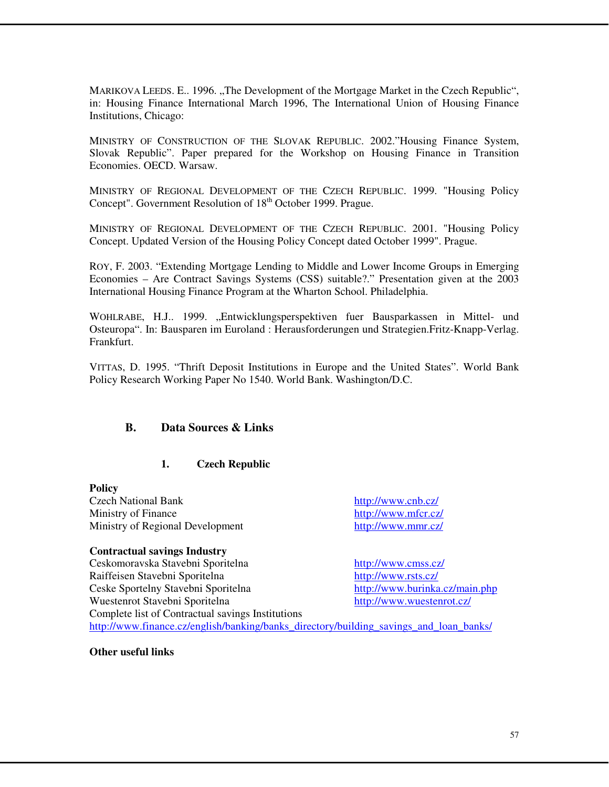MARIKOVA LEEDS. E., 1996. "The Development of the Mortgage Market in the Czech Republic", in: Housing Finance International March 1996, The International Union of Housing Finance Institutions, Chicago:

MINISTRY OF CONSTRUCTION OF THE SLOVAK REPUBLIC. 2002."Housing Finance System, Slovak Republic". Paper prepared for the Workshop on Housing Finance in Transition Economies. OECD. Warsaw.

MINISTRY OF REGIONAL DEVELOPMENT OF THE CZECH REPUBLIC. 1999. "Housing Policy Concept". Government Resolution of 18<sup>th</sup> October 1999. Prague.

MINISTRY OF REGIONAL DEVELOPMENT OF THE CZECH REPUBLIC. 2001. "Housing Policy Concept. Updated Version of the Housing Policy Concept dated October 1999". Prague.

ROY, F. 2003. "Extending Mortgage Lending to Middle and Lower Income Groups in Emerging Economies – Are Contract Savings Systems (CSS) suitable?." Presentation given at the 2003 International Housing Finance Program at the Wharton School. Philadelphia.

WOHLRABE, H.J.. 1999. "Entwicklungsperspektiven fuer Bausparkassen in Mittel- und Osteuropa". In: Bausparen im Euroland : Herausforderungen und Strategien.Fritz-Knapp-Verlag. Frankfurt.

VITTAS, D. 1995. "Thrift Deposit Institutions in Europe and the United States". World Bank Policy Research Working Paper No 1540. World Bank. Washington/D.C.

#### **B. Data Sources & Links**

#### **1. Czech Republic**

**Policy**  Czech National Bank http://www.cnb.cz/ Ministry of Finance http://www.mfcr.cz/ Ministry of Regional Development http://www.mmr.cz/

#### **Contractual savings Industry**

Ceskomoravska Stavebni Sporitelna http://www.cmss.cz/ Raiffeisen Stavebni Sporitelna http://www.rsts.cz/ Ceske Sportelny Stavebni Sporitelna http://www.burinka.cz/main.php Wuestenrot Stavebni Sporitelna http://www.wuestenrot.cz/ Complete list of Contractual savings Institutions http://www.finance.cz/english/banking/banks\_directory/building\_savings\_and\_loan\_banks/

**Other useful links**